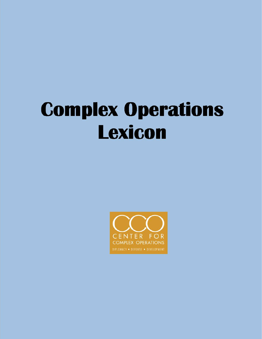# **Complex Operations Lexicon**

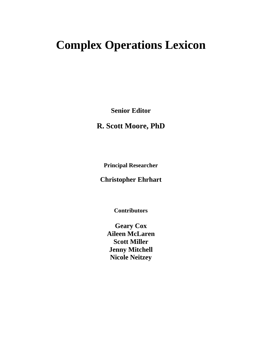# **Complex Operations Lexicon**

**Senior Editor** 

**R. Scott Moore, PhD** 

**Principal Researcher** 

**Christopher Ehrhart** 

**Contributors** 

**Geary Cox Aileen McLaren Scott Miller Jenny Mitchell Nicole Neitzey**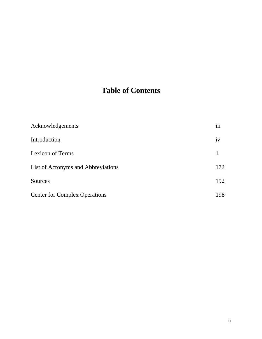# **Table of Contents**

| Acknowledgements                     | iii |
|--------------------------------------|-----|
| Introduction                         | 1V  |
| <b>Lexicon of Terms</b>              |     |
| List of Acronyms and Abbreviations   | 172 |
| Sources                              | 192 |
| <b>Center for Complex Operations</b> | 198 |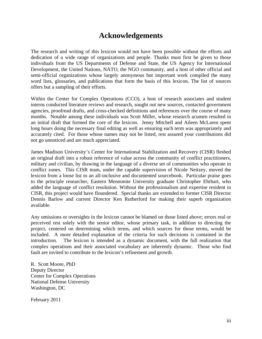### **Acknowledgements**

The research and writing of this lexicon would not have been possible without the efforts and dedication of a wide range of organizations and people. Thanks must first be given to those individuals from the US Departments of Defense and State, the US Agency for International Development, the United Nations, NATO, the NGO community, and a host of other official and semi-official organizations whose largely anonymous but important work compiled the many word lists, glossaries, and publications that form the basis of this lexicon. The list of sources offers but a sampling of their efforts.

Within the Center for Complex Operations (CCO), a host of research associates and student interns conducted literature reviews and research, sought out new sources, contacted government agencies, proofread drafts, and cross-checked definitions and references over the course of many months. Notable among these individuals was Scott Miller, whose research acumen resulted in an initial draft that formed the core of the lexicon. Jenny Mitchell and Aileen McLaren spent long hours doing the necessary final editing as well as ensuring each term was appropriately and accurately cited. For those whose names may not be listed, rest assured your contributions did not go unnoticed and are much appreciated.

James Madison University's Center for International Stabilization and Recovery (CISR) fleshed an original draft into a robust reference of value across the community of conflict practitioners, military and civilian, by drawing in the language of a diverse set of communities who operate in conflict zones. This CISR team, under the capable supervision of Nicole Neitzey, moved the lexicon from a loose list to an all-inclusive and documented sourcebook. Particular praise goes to the principle researcher, Eastern Mennonite University graduate Christopher Ehrhart, who added the language of conflict resolution. Without the professionalism and expertise resident in CISR, this project would have floundered. Special thanks are extended to former CISR Director Dennis Barlow and current Director Ken Rutherford for making their superb organization available.

Any omissions or oversights in the lexicon cannot be blamed on those listed above; errors real or perceived rest solely with the senior editor, whose primary task, in addition to directing the project, centered on determining which terms, and which sources for those terms, would be included. A more detailed explanation of the criteria for such decisions is contained in the introduction. The lexicon is intended as a dynamic document, with the full realization that complex operations and their associated vocabulary are inherently dynamic. Those who find fault are invited to contribute to the lexicon's refinement and growth.

R. Scott Moore, PhD Deputy Director Center for Complex Operations National Defense University Washington, DC

February 2011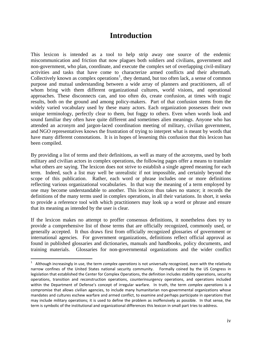### **Introduction**

This lexicon is intended as a tool to help strip away one source of the endemic miscommunication and friction that now plagues both soldiers and civilians, government and non-government, who plan, coordinate, and execute the complex set of overlapping civil-military activities and tasks that have come to characterize armed conflicts and their aftermath. Collectively known as complex operations<sup>[1](#page-4-0)</sup>, they demand, but too often lack, a sense of common purpose and mutual understanding between a wide array of planners and practitioners, all of whom bring with them different organizational cultures, world visions, and operational approaches. These disconnects can, and too often do, create confusion, at times with tragic results, both on the ground and among policy-makers. Part of that confusion stems from the widely varied vocabulary used by these many actors. Each organization possesses their own unique terminology, perfectly clear to them, but foggy to others. Even when words look and sound familiar they often have quite different and sometimes alien meanings. Anyone who has attended an acronym and jargon-laced coordination meeting of military, civilian government, and NGO representatives knows the frustration of trying to interpret what is meant by words that have many different connotations. It is in hopes of lessening this confusion that this lexicon has been compiled.

By providing a list of terms and their definitions, as well as many of the acronyms, used by both military and civilian actors in complex operations, the following pages offer a means to translate what others are saying. The lexicon does not strive to establish a single agreed meaning for each term. Indeed, such a list may well be unrealistic if not impossible, and certainly beyond the scope of this publication. Rather, each word or phrase includes one or more definitions reflecting various organizational vocabularies. In that way the meaning of a term employed by one may become understandable to another. This lexicon thus takes no stance; it records the definitions of the many terms used in complex operations, in all their variations. In short, it seeks to provide a reference tool with which practitioners may look up a word or phrase and ensure that its meaning as intended by the user is clear.

If the lexicon makes no attempt to proffer consensus definitions, it nonetheless does try to provide a comprehensive list of those terms that are officially recognized, commonly used, or generally accepted. It thus draws first from officially recognized glossaries of government or international agencies. For government organizations, definitions reflect official approval as found in published glossaries and dictionaries, manuals and handbooks, policy documents, and training materials. Glossaries for non-governmental organizations and the wider conflict

1

<span id="page-4-0"></span><sup>1</sup> Although increasingly in use, the term *complex operations* is not universally recognized, even with the relatively narrow confines of the United States national security community. Formally coined by the US Congress in legislation that established the Center for Complex Operations, the definition includes stability operations, security operations, transition and reconstruction operations, counterinsurgency operations, and operations included within the Department of Defense's concept of irregular warfare. In truth, the term *complex operations* is a compromise that allows civilian agencies, to include many humanitarian non-governmental organizations whose mandates and cultures eschew warfare and armed conflict, to examine and perhaps participate in operations that may include military operations; it is used to define the problem as inoffensively as possible. In that sense, the term is symbolic of the institutional and organizational differences this lexicon in small part tries to address.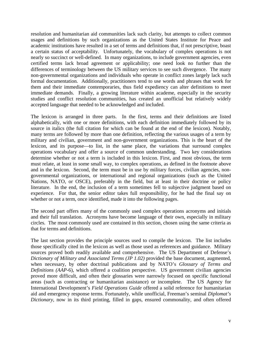resolution and humanitarian aid communities lack such clarity, but attempts to collect common usages and definitions by such organizations as the United States Institute for Peace and academic institutions have resulted in a set of terms and definitions that, if not prescriptive, boast a certain status of acceptability. Unfortunately, the vocabulary of complex operations is not nearly so succinct or well-defined. In many organizations, to include government agencies, even certified terms lack broad agreement or applicability; one need look no further than the differences of terminology between the US military services to see such divergence. The many non-governmental organizations and individuals who operate in conflict zones largely lack such formal documentation. Additionally, practitioners tend to use words and phrases that work for them and their immediate contemporaries, thus field expediency can alter definitions to meet immediate demands. Finally, a growing literature within academe, especially in the security studies and conflict resolution communities, has created an unofficial but relatively widely accepted language that needed to be acknowledged and included.

The lexicon is arranged in three parts. In the first, terms and their definitions are listed alphabetically, with one or more definitions, with each definition immediately followed by its source in italics (the full citation for which can be found at the end of the lexicon). Notably, many terms are followed by more than one definition, reflecting the various usages of a term by military and civilian, government and non-government organizations. This is the heart of the lexicon, and its purpose—to list, in the same place, the variations that surround complex operations vocabulary and offer a source of common understanding. Two key considerations determine whether or not a term is included in this lexicon. First, and most obvious, the term must relate, at least in some small way, to complex operations, as defined in the footnote above and in the lexicon. Second, the term must be in use by military forces, civilian agencies, nongovernmental organizations, or international and regional organizations (such as the United Nations, NATO, or OSCE), preferably in the field, but at least in their doctrine or policy literature. In the end, the inclusion of a term sometimes fell to subjective judgment based on experience. For that, the senior editor takes full responsibility, for he had the final say on whether or not a term, once identified, made it into the following pages.

The second part offers many of the commonly used complex operations acronyms and initials and their full translation. Acronyms have become language of their own, especially in military circles. The most commonly used are contained in this section, chosen using the same criteria as that for terms and definitions.

The last section provides the principle sources used to compile the lexicon. The list includes those specifically cited in the lexicon as well as those used as references and guidance. Military sources proved both readily available and comprehensive. The US Department of Defense's *Dictionary of Military and Associated Terms (JP 1.02)* provided the base document, augmented, when necessary, by other doctrinal publications and by NATO's *Glossary of Terms and Definitions (AAP*-6), which offered a coalition perspective.US government civilian agencies proved more difficult, and often their glossaries were narrowly focused on specific functional areas (such as contracting or humanitarian assistance) or incomplete. The US Agency for International Development's *Field Operations Guide* offered a solid reference for humanitarian aid and emergency response terms. Fortunately, while unofficial, Freeman's seminal *Diplomat's Dictionary*, now in its third printing, filled in gaps, ensured commonality, and often offered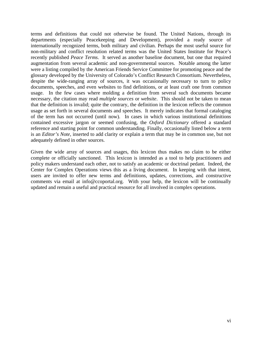terms and definitions that could not otherwise be found. The United Nations, through its departments (especially Peacekeeping and Development), provided a ready source of internationally recognized terms, both military and civilian. Perhaps the most useful source for non-military and conflict resolution related terms was the United States Institute for Peace's recently published *Peace Terms*. It served as another baseline document, but one that required augmentation from several academic and non-governmental sources. Notable among the latter were a listing compiled by the American Friends Service Committee for promoting peace and the glossary developed by the University of Colorado's Conflict Research Consortium. Nevertheless, despite the wide-ranging array of sources, it was occasionally necessary to turn to policy documents, speeches, and even websites to find definitions, or at least craft one from common usage. In the few cases where molding a definition from several such documents became necessary, the citation may read *multiple sources* or *website*. This should not be taken to mean that the definition is invalid; quite the contrary, the definition in the lexicon reflects the common usage as set forth in several documents and speeches. It merely indicates that formal cataloging of the term has not occurred (until now). In cases in which various institutional definitions contained excessive jargon or seemed confusing, the *Oxford Dictionary* offered a standard reference and starting point for common understanding. Finally, occasionally listed below a term is an *Editor's Note*, inserted to add clarity or explain a term that may be in common use, but not adequately defined in other sources.

Given the wide array of sources and usages, this lexicon thus makes no claim to be either complete or officially sanctioned. This lexicon is intended as a tool to help practitioners and policy makers understand each other, not to satisfy an academic or doctrinal pedant. Indeed, the Center for Complex Operations views this as a living document. In keeping with that intent, users are invited to offer new terms and definitions, updates, corrections, and constructive comments via email at info@ccoportal.org. With your help, the lexicon will be continually updated and remain a useful and practical resource for all involved in complex operations.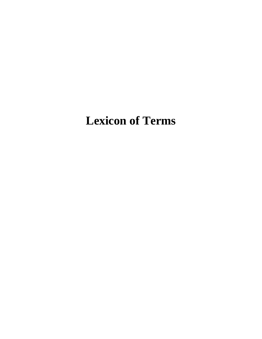# **Lexicon of Terms**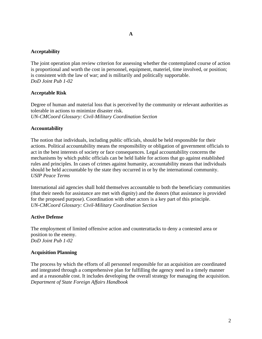#### **Acceptability**

The joint operation plan review criterion for assessing whether the contemplated course of action is proportional and worth the cost in personnel, equipment, materiel, time involved, or position; is consistent with the law of war; and is militarily and politically supportable. *DoD Joint Pub 1-02*

#### **Acceptable Risk**

Degree of human and material loss that is perceived by the community or relevant authorities as tolerable in actions to minimize disaster risk. *UN-CMCoord Glossary: Civil-Military Coordination Section* 

#### **Accountability**

The notion that individuals, including public officials, should be held responsible for their actions. Political accountability means the responsibility or obligation of government officials to act in the best interests of society or face consequences. Legal accountability concerns the mechanisms by which public officials can be held liable for actions that go against established rules and principles. In cases of crimes against humanity, accountability means that individuals should be held accountable by the state they occurred in or by the international community. *USIP Peace Terms* 

International aid agencies shall hold themselves accountable to both the beneficiary communities (that their needs for assistance are met with dignity) and the donors (that assistance is provided for the proposed purpose). Coordination with other actors is a key part of this principle. *UN-CMCoord Glossary: Civil-Military Coordination Section*

#### **Active Defense**

The employment of limited offensive action and counterattacks to deny a contested area or position to the enemy. *DoD Joint Pub 1-02* 

#### **Acquisition Planning**

The process by which the efforts of all personnel responsible for an acquisition are coordinated and integrated through a comprehensive plan for fulfilling the agency need in a timely manner and at a reasonable cost. It includes developing the overall strategy for managing the acquisition. *Department of State Foreign Affairs Handbook*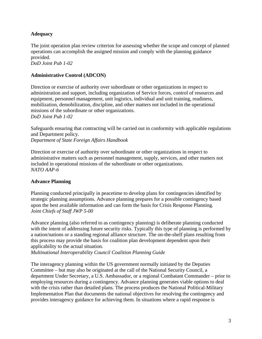#### **Adequacy**

The joint operation plan review criterion for assessing whether the scope and concept of planned operations can accomplish the assigned mission and comply with the planning guidance provided.

*DoD Joint Pub 1-02* 

#### **Administrative Control (ADCON)**

Direction or exercise of authority over subordinate or other organizations in respect to administration and support, including organization of Service forces, control of resources and equipment, personnel management, unit logistics, individual and unit training, readiness, mobilization, demobilization, discipline, and other matters not included in the operational missions of the subordinate or other organizations. *DoD Joint Pub 1-02* 

Safeguards ensuring that contracting will be carried out in conformity with applicable regulations and Department policy. *Department of State Foreign Affairs Handbook* 

Direction or exercise of authority over subordinate or other organizations in respect to administrative matters such as personnel management, supply, services, and other matters not included in operational missions of the subordinate or other organizations. *NATO AAP-6* 

#### **Advance Planning**

Planning conducted principally in peacetime to develop plans for contingencies identified by strategic planning assumptions. Advance planning prepares for a possible contingency based upon the best available information and can form the basis for Crisis Response Planning. *Joint Chiefs of Staff JWP 5-00* 

Advance planning (also referred to as contingency planning) is deliberate planning conducted with the intent of addressing future security risks. Typically this type of planning is performed by a nation/nations or a standing regional alliance structure. The on-the-shelf plans resulting from this process may provide the basis for coalition plan development dependent upon their applicability to the actual situation.

*Multinational Interoperability Council Coalition Planning Guide* 

The interagency planning within the US government normally initiated by the Deputies Committee – but may also be originated at the call of the National Security Council, a department Under Secretary, a U.S. Ambassador, or a regional Combatant Commander – prior to employing resources during a contingency. Advance planning generates viable options to deal with the crisis rather than detailed plans. The process produces the National Political-Military Implementation Plan that documents the national objectives for resolving the contingency and provides interagency guidance for achieving them. In situations where a rapid response is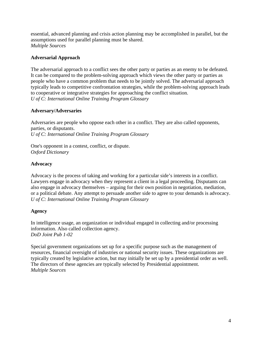essential, advanced planning and crisis action planning may be accomplished in parallel, but the assumptions used for parallel planning must be shared. *Multiple Sources* 

#### **Adversarial Approach**

The adversarial approach to a conflict sees the other party or parties as an enemy to be defeated. It can be compared to the problem-solving approach which views the other party or parties as people who have a common problem that needs to be jointly solved. The adversarial approach typically leads to competitive confrontation strategies, while the problem-solving approach leads to cooperative or integrative strategies for approaching the conflict situation. *U of C: International Online Training Program Glossary* 

#### **Adversary/Adversaries**

Adversaries are people who oppose each other in a conflict. They are also called opponents, parties, or disputants. *U of C: International Online Training Program Glossary* 

One's opponent in a contest, conflict, or dispute. *Oxford Dictionary* 

#### **Advocacy**

Advocacy is the process of taking and working for a particular side's interests in a conflict. Lawyers engage in advocacy when they represent a client in a legal proceeding. Disputants can also engage in advocacy themselves – arguing for their own position in negotiation, mediation, or a political debate. Any attempt to persuade another side to agree to your demands is advocacy. *U of C: International Online Training Program Glossary* 

#### **Agency**

In intelligence usage, an organization or individual engaged in collecting and/or processing information. Also called collection agency. *DoD Joint Pub 1-02* 

Special government organizations set up for a specific purpose such as the management of resources, financial oversight of industries or national security issues. These organizations are typically created by legislative action, but may initially be set up by a presidential order as well. The directors of these agencies are typically selected by Presidential appointment. *Multiple Sources*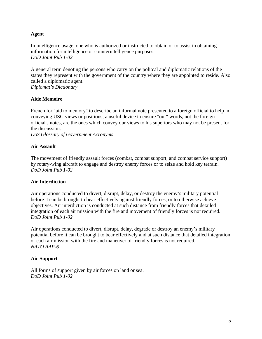#### **Agent**

In intelligence usage, one who is authorized or instructed to obtain or to assist in obtaining information for intelligence or counterintelligence purposes. *DoD Joint Pub 1-02* 

A general term denoting the persons who carry on the politcal and diplomatic relations of the states they represent with the government of the country where they are appointed to reside. Also called a diplomatic agent.

*Diplomat's Dictionary* 

#### **Aide Memoire**

French for "aid to memory" to describe an informal note presented to a foreign official to help in conveying USG views or positions; a useful device to ensure "our" words, not the foreign official's notes, are the ones which convey our views to his superiors who may not be present for the discussion.

*DoS Glossary of Government Acronyms* 

#### **Air Assault**

The movement of friendly assault forces (combat, combat support, and combat service support) by rotary-wing aircraft to engage and destroy enemy forces or to seize and hold key terrain. *DoD Joint Pub 1-02* 

#### **Air Interdiction**

Air operations conducted to divert, disrupt, delay, or destroy the enemy's military potential before it can be brought to bear effectively against friendly forces, or to otherwise achieve objectives. Air interdiction is conducted at such distance from friendly forces that detailed integration of each air mission with the fire and movement of friendly forces is not required. *DoD Joint Pub 1-02* 

Air operations conducted to divert, disrupt, delay, degrade or destroy an enemy's military potential before it can be brought to bear effectively and at such distance that detailed integration of each air mission with the fire and maneuver of friendly forces is not required. *NATO AAP-6* 

#### **Air Support**

All forms of support given by air forces on land or sea. *DoD Joint Pub 1-02*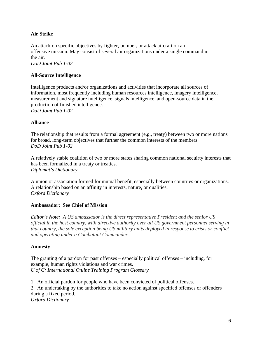#### **Air Strike**

An attack on specific objectives by fighter, bomber, or attack aircraft on an offensive mission. May consist of several air organizations under a single command in the air.

*DoD Joint Pub 1-02* 

#### **All-Source Intelligence**

Intelligence products and/or organizations and activities that incorporate all sources of information, most frequently including human resources intelligence, imagery intelligence, measurement and signature intelligence, signals intelligence, and open-source data in the production of finished intelligence. *DoD Joint Pub 1-02* 

#### **Alliance**

The relationship that results from a formal agreement (e.g., treaty) between two or more nations for broad, long-term objectives that further the common interests of the members. *DoD Joint Pub 1-02* 

A relatively stable coalition of two or more states sharing common national secuirty interests that has been formalized in a treaty or treaties. *Diplomat's Dictionary* 

A union or association formed for mutual benefit, especially between countries or organizations. A relationship based on an affinity in interests, nature, or qualities. *Oxford Dictionary*

#### **Ambassador: See Chief of Mission**

*Editor's Note: A US ambassador is the direct representative President and the senior US official in the host country, with directive authority over all US government personnel serving in that country, the sole exception being US military units deployed in response to crisis or conflict and operating under a Combatant Commander.* 

#### **Amnesty**

The granting of a pardon for past offenses – especially political offenses – including, for example, human rights violations and war crimes. *U of C: International Online Training Program Glossary* 

1. An official pardon for people who have been convicted of political offenses.

2. An undertaking by the authorities to take no action against specified offenses or offenders during a fixed period.

*Oxford Dictionary*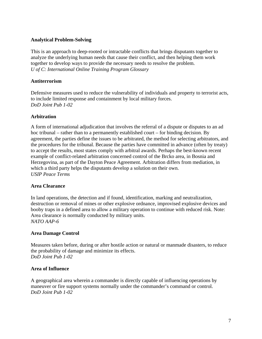#### **Analytical Problem-Solving**

This is an approach to deep-rooted or intractable conflicts that brings disputants together to analyze the underlying human needs that cause their conflict, and then helping them work together to develop ways to provide the necessary needs to resolve the problem. *U of C: International Online Training Program Glossary* 

#### **Antiterrorism**

Defensive measures used to reduce the vulnerability of individuals and property to terrorist acts, to include limited response and containment by local military forces. *DoD Joint Pub 1-02* 

#### **Arbitration**

A form of international adjudication that involves the referral of a dispute or disputes to an ad hoc tribunal – rather than to a permanently established court – for binding decision. By agreement, the parties define the issues to be arbitrated, the method for selecting arbitrators, and the procedures for the tribunal. Because the parties have committed in advance (often by treaty) to accept the results, most states comply with arbitral awards. Perhaps the best-known recent example of conflict-related arbitration concerned control of the Brcko area, in Bosnia and Herzegovina, as part of the Dayton Peace Agreement. Arbitration differs from mediation, in which a third party helps the disputants develop a solution on their own. *USIP Peace Terms*

#### **Area Clearance**

In land operations, the detection and if found, identification, marking and neutralization, destruction or removal of mines or other explosive ordnance, improvised explosive devices and booby traps in a defined area to allow a military operation to continue with reduced risk. Note: Area clearance is normally conducted by military units. *NATO AAP-6* 

#### **Area Damage Control**

Measures taken before, during or after hostile action or natural or manmade disasters, to reduce the probability of damage and minimize its effects. *DoD Joint Pub 1-02*

#### **Area of Influence**

A geographical area wherein a commander is directly capable of influencing operations by maneuver or fire support systems normally under the commander's command or control. *DoD Joint Pub 1-02*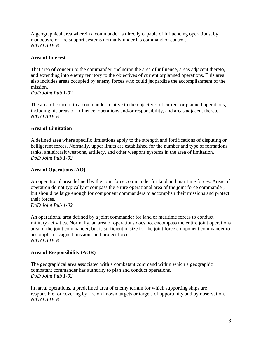A geographical area wherein a commander is directly capable of influencing operations, by manoeuvre or fire support systems normally under his command or control. *NATO AAP-6* 

#### **Area of Interest**

That area of concern to the commander, including the area of influence, areas adjacent thereto, and extending into enemy territory to the objectives of current orplanned operations. This area also includes areas occupied by enemy forces who could jeopardize the accomplishment of the mission.

*DoD Joint Pub 1-02* 

The area of concern to a commander relative to the objectives of current or planned operations, including his areas of influence, operations and/or responsibility, and areas adjacent thereto. *NATO AAP-6* 

#### **Area of Limitation**

A defined area where specific limitations apply to the strength and fortifications of disputing or belligerent forces. Normally, upper limits are established for the number and type of formations, tanks, antiaircraft weapons, artillery, and other weapons systems in the area of limitation. *DoD Joint Pub 1-02* 

#### **Area of Operations (AO)**

An operational area defined by the joint force commander for land and maritime forces. Areas of operation do not typically encompass the entire operational area of the joint force commander, but should be large enough for component commanders to accomplish their missions and protect their forces.

*DoD Joint Pub 1-02* 

An operational area defined by a joint commander for land or maritime forces to conduct military activities. Normally, an area of operations does not encompass the entire joint operations area of the joint commander, but is sufficient in size for the joint force component commander to accomplish assigned missions and protect forces. *NATO AAP-6* 

#### **Area of Responsibility (AOR)**

The geographical area associated with a combatant command within which a geographic combatant commander has authority to plan and conduct operations. *DoD Joint Pub 1-02* 

In naval operations, a predefined area of enemy terrain for which supporting ships are responsible for covering by fire on known targets or targets of opportunity and by observation. *NATO AAP-6*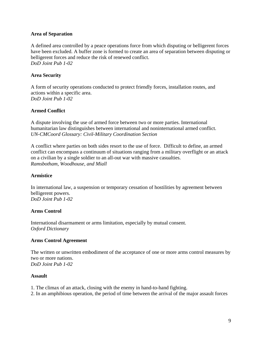#### **Area of Separation**

A defined area controlled by a peace operations force from which disputing or belligerent forces have been excluded. A buffer zone is formed to create an area of separation between disputing or belligerent forces and reduce the risk of renewed conflict. *DoD Joint Pub 1-02* 

#### **Area Security**

A form of security operations conducted to protect friendly forces, installation routes, and actions within a specific area. *DoD Joint Pub 1-02* 

#### **Armed Conflict**

A dispute involving the use of armed force between two or more parties. International humanitarian law distinguishes between international and noninternational armed conflict. *UN-CMCoord Glossary: Civil-Military Coordination Section*

A conflict where parties on both sides resort to the use of force. Difficult to define, an armed conflict can encompass a continuum of situations ranging from a military overflight or an attack on a civilian by a single soldier to an all-out war with massive casualties. *Ramsbotham, Woodhouse, and Miall* 

#### **Armistice**

In international law, a suspension or temporary cessation of hostilities by agreement between belligerent powers. *DoD Joint Pub 1-02* 

#### **Arms Control**

International disarmament or arms limitation, especially by mutual consent. *Oxford Dictionary*

#### **Arms Control Agreement**

The written or unwritten embodiment of the acceptance of one or more arms control measures by two or more nations. *DoD Joint Pub 1-02* 

#### **Assault**

1. The climax of an attack, closing with the enemy in hand-to-hand fighting.

2. In an amphibious operation, the period of time between the arrival of the major assault forces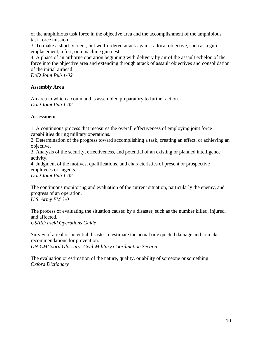of the amphibious task force in the objective area and the accomplishment of the amphibious task force mission.

3. To make a short, violent, but well-ordered attack against a local objective, such as a gun emplacement, a fort, or a machine gun nest.

4. A phase of an airborne operation beginning with delivery by air of the assault echelon of the force into the objective area and extending through attack of assault objectives and consolidation of the initial airhead.

*DoD Joint Pub 1-02* 

#### **Assembly Area**

An area in which a command is assembled preparatory to further action. *DoD Joint Pub 1-02* 

#### **Assessment**

1. A continuous process that measures the overall effectiveness of employing joint force capabilities during military operations.

2. Determination of the progress toward accomplishing a task, creating an effect, or achieving an objective.

3. Analysis of the security, effectiveness, and potential of an existing or planned intelligence activity.

4. Judgment of the motives, qualifications, and characteristics of present or prospective employees or "agents." *DoD Joint Pub 1-02* 

The continuous monitoring and evaluation of the current situation, particularly the enemy, and progress of an operation.

*U.S. Army FM 3-0* 

The process of evaluating the situation caused by a disaster, such as the number killed, injured, and affected.

*USAID Field Operations Guide* 

Survey of a real or potential disaster to estimate the actual or expected damage and to make recommendations for prevention. *UN-CMCoord Glossary: Civil-Military Coordination Section* 

The evaluation or estimation of the nature, quality, or ability of someone or something. *Oxford Dictionary*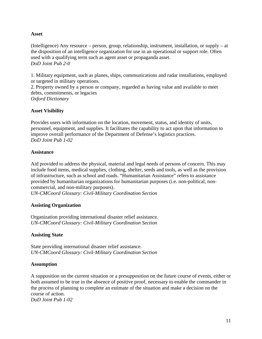#### **Asset**

(Intelligence) Any resource – person, group, relationship, instrument, installation, or supply – at the disposition of an intelligence organization for use in an operational or support role. Often used with a qualifying term such as agent asset or propaganda asset. *DoD Joint Pub 2-0* 

1. Military equipment, such as planes, ships, communications and radar installations, employed or targeted in military operations.

2. Property owned by a person or company, regarded as having value and available to meet debts, commitments, or legacies *Oxford Dictionary* 

#### **Asset Visibility**

Provides users with information on the location, movement, status, and identity of units, personnel, equipment, and supplies. It facilitates the capability to act upon that information to improve overall performance of the Department of Defense's logistics practices. *DoD Joint Pub 1-02* 

#### **Assistance**

Aid provided to address the physical, material and legal needs of persons of concern. This may include food items, medical supplies, clothing, shelter, seeds and tools, as well as the provision of infrastructure, such as school and roads. "Humanitarian Assistance" refers to assistance provided by humanitarian organizations for humanitarian purposes (i.e. non-political, noncommercial, and non-military purposes).

*UN-CMCoord Glossary: Civil-Military Coordination Section*

#### **Assisting Organization**

Organization providing international disaster relief assistance. *UN-CMCoord Glossary: Civil-Military Coordination Section*

#### **Assisting State**

State providing international disaster relief assistance. *UN-CMCoord Glossary: Civil-Military Coordination Section*

#### **Assumption**

A supposition on the current situation or a presupposition on the future course of events, either or both assumed to be true in the absence of positive proof, necessary to enable the commander in the process of planning to complete an estimate of the situation and make a decision on the course of action.

*DoD Joint Pub 1-02*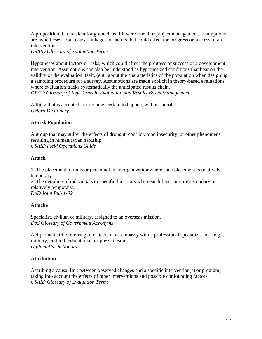A proposition that is taken for granted, as if it were true. For project management, assumptions are hypotheses about causal linkages or factors that could affect the progress or success of an intervention.

*USAID Glossary of Evaluation Terms* 

Hypotheses about factors or risks, which could affect the progress or success of a development intervention. Assumptions can also be understood as hypothesized conditions that bear on the validity of the evaluation itself, (e.g., about the characteristics of the population when designing a sampling procedure for a survey. Assumptions are made explicit in theory-based evaluations where evaluation tracks systematically the anticipated results chain. *OECD Glossary of Key Terms in Evaluation and Results Based Management*

A thing that is accepted as true or as certain to happen, without proof. *Oxford Dictionary* 

#### **At-risk Population**

A group that may suffer the effects of drought, conflict, food insecurity, or other phenomena resulting in humanitarian hardship. *USAID Field Operations Guide*

#### **Attach**

1. The placement of units or personnel in an organization where such placement is relatively temporary.

2. The detailing of individuals to specific functions where such functions are secondary or relatively temporary**.** 

*DoD Joint Pub 1-02*

#### **Attaché**

Specialist, civilian or military, assigned to an overseas mission. *DoS Glossary of Government Acronyms* 

A diplomatic title referring to officers in an embassy with a professional specialization – e.g. , military, cultural, educational, or press liaison. *Diplomat's Dictionary* 

#### **Attribution**

Ascribing a causal link between observed changes and a specific intervention(s) or program, taking into account the effects of other interventions and possible confounding factors. *USAID Glossary of Evaluation Terms*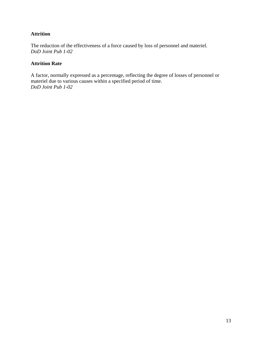#### **Attrition**

The reduction of the effectiveness of a force caused by loss of personnel and materiel. *DoD Joint Pub 1-02* 

#### **Attrition Rate**

A factor, normally expressed as a percentage, reflecting the degree of losses of personnel or materiel due to various causes within a specified period of time. *DoD Joint Pub 1-02*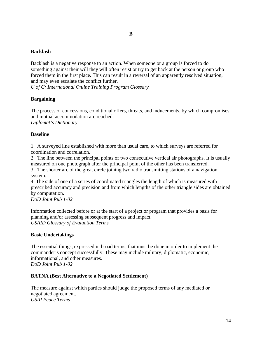#### **Backlash**

Backlash is a negative response to an action. When someone or a group is forced to do something against their will they will often resist or try to get back at the person or group who forced them in the first place. This can result in a reversal of an apparently resolved situation, and may even escalate the conflict further.

*U of C: International Online Training Program Glossary* 

#### **Bargaining**

The process of concessions, conditional offers, threats, and inducements, by which compromises and mutual accommodation are reached. *Diplomat's Dictionary* 

#### **Baseline**

1. A surveyed line established with more than usual care, to which surveys are referred for coordination and correlation.

2. The line between the principal points of two consecutive vertical air photographs. It is usually measured on one photograph after the principal point of the other has been transferred.

3. The shorter arc of the great circle joining two radio transmitting stations of a navigation system.

4. The side of one of a series of coordinated triangles the length of which is measured with prescribed accuracy and precision and from which lengths of the other triangle sides are obtained by computation.

*DoD Joint Pub 1-02* 

Information collected before or at the start of a project or program that provides a basis for planning and/or assessing subsequent progress and impact. *USAID Glossary of Evaluation Terms* 

#### **Basic Undertakings**

The essential things, expressed in broad terms, that must be done in order to implement the commander's concept successfully. These may include military, diplomatic, economic, informational, and other measures. *DoD Joint Pub 1-02* 

#### **BATNA (Best Alternative to a Negotiated Settlement)**

The measure against which parties should judge the proposed terms of any mediated or negotiated agreement. *USIP Peace Terms*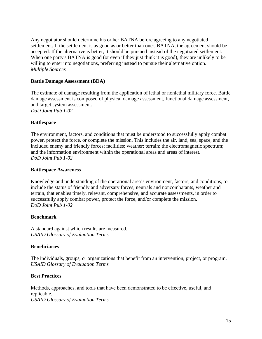Any negotiator should determine his or her BATNA before agreeing to any negotiated settlement. If the settlement is as good as or better than one's BATNA, the agreement should be accepted. If the alternative is better, it should be pursued instead of the negotiated settlement. When one party's BATNA is good (or even if they just think it is good), they are unlikely to be willing to enter into negotiations, preferring instead to pursue their alternative option. *Multiple Sources*

#### **Battle Damage Assessment (BDA)**

The estimate of damage resulting from the application of lethal or nonlethal military force. Battle damage assessment is composed of physical damage assessment, functional damage assessment, and target system assessment. *DoD Joint Pub 1-02* 

#### **Battlespace**

The environment, factors, and conditions that must be understood to successfully apply combat power, protect the force, or complete the mission. This includes the air, land, sea, space, and the included enemy and friendly forces; facilities; weather; terrain; the electromagnetic spectrum; and the information environment within the operational areas and areas of interest. *DoD Joint Pub 1-02* 

#### **Battlespace Awareness**

Knowledge and understanding of the operational area's environment, factors, and conditions, to include the status of friendly and adversary forces, neutrals and noncombatants, weather and terrain, that enables timely, relevant, comprehensive, and accurate assessments, in order to successfully apply combat power, protect the force, and/or complete the mission. *DoD Joint Pub 1-02* 

#### **Benchmark**

A standard against which results are measured. *USAID Glossary of Evaluation Terms* 

#### **Beneficiaries**

The individuals, groups, or organizations that benefit from an intervention, project, or program. *USAID Glossary of Evaluation Terms* 

#### **Best Practices**

Methods, approaches, and tools that have been demonstrated to be effective, useful, and replicable. *USAID Glossary of Evaluation Terms*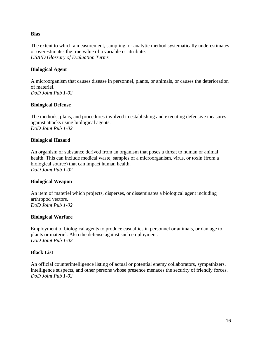#### **Bias**

The extent to which a measurement, sampling, or analytic method systematically underestimates or overestimates the true value of a variable or attribute. *USAID Glossary of Evaluation Terms* 

#### **Biological Agent**

A microorganism that causes disease in personnel, plants, or animals, or causes the deterioration of materiel. *DoD Joint Pub 1-02* 

#### **Biological Defense**

The methods, plans, and procedures involved in establishing and executing defensive measures against attacks using biological agents. *DoD Joint Pub 1-02*

#### **Biological Hazard**

An organism or substance derived from an organism that poses a threat to human or animal health. This can include medical waste, samples of a microorganism, virus, or toxin (from a biological source) that can impact human health. *DoD Joint Pub 1-02* 

#### **Biological Weapon**

An item of materiel which projects, disperses, or disseminates a biological agent including arthropod vectors. *DoD Joint Pub 1-02* 

#### **Biological Warfare**

Employment of biological agents to produce casualties in personnel or animals, or damage to plants or materiel. Also the defense against such employment. *DoD Joint Pub 1-02* 

#### **Black List**

An official counterintelligence listing of actual or potential enemy collaborators, sympathizers, intelligence suspects, and other persons whose presence menaces the security of friendly forces. *DoD Joint Pub 1-02*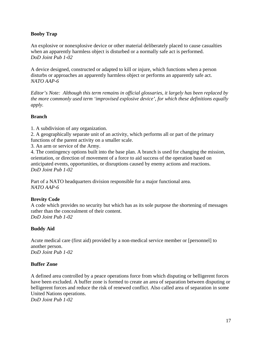#### **Booby Trap**

An explosive or nonexplosive device or other material deliberately placed to cause casualties when an apparently harmless object is disturbed or a normally safe act is performed. *DoD Joint Pub 1-02* 

A device designed, constructed or adapted to kill or injure, which functions when a person disturbs or approaches an apparently harmless object or performs an apparently safe act. *NATO AAP-6* 

*Editor's Note: Although this term remains in official glossaries, it largely has been replaced by the more commonly used term 'improvised explosive device', for which these definitions equally apply.* 

#### **Branch**

1. A subdivision of any organization.

2. A geographically separate unit of an activity, which performs all or part of the primary functions of the parent activity on a smaller scale.

3. An arm or service of the Army.

4. The contingency options built into the base plan. A branch is used for changing the mission, orientation, or direction of movement of a force to aid success of the operation based on anticipated events, opportunities, or disruptions caused by enemy actions and reactions. *DoD Joint Pub 1-02* 

Part of a NATO headquarters division responsible for a major functional area. *NATO AAP-6*

#### **Brevity Code**

A code which provides no security but which has as its sole purpose the shortening of messages rather than the concealment of their content. *DoD Joint Pub 1-02* 

#### **Buddy Aid**

Acute medical care (first aid) provided by a non-medical service member or [personnel] to another person. *DoD Joint Pub 1-02* 

#### **Buffer Zone**

A defined area controlled by a peace operations force from which disputing or belligerent forces have been excluded. A buffer zone is formed to create an area of separation between disputing or belligerent forces and reduce the risk of renewed conflict. Also called area of separation in some United Nations operations.

*DoD Joint Pub 1-02*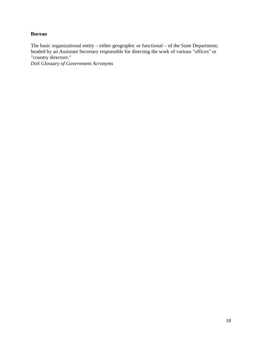#### **Bureau**

The basic organizational entity – either geographic or functional – of the State Department; headed by an Assistant Secretary responsible for directing the work of various "offices" or "country directors."

*DoS Glossary of Government Acronyms*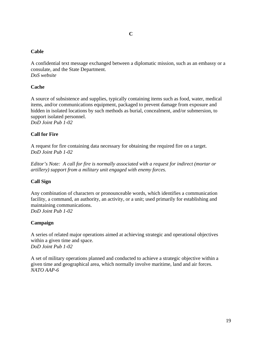#### **C**

#### **Cable**

A confidential text message exchanged between a diplomatic mission, such as an embassy or a consulate, and the State Department. *DoS website* 

#### **Cache**

A source of subsistence and supplies, typically containing items such as food, water, medical items, and/or communications equipment, packaged to prevent damage from exposure and hidden in isolated locations by such methods as burial, concealment, and/or submersion, to support isolated personnel. *DoD Joint Pub 1-02* 

#### **Call for Fire**

A request for fire containing data necessary for obtaining the required fire on a target. *DoD Joint Pub 1-02* 

*Editor's Note: A call for fire is normally associated with a request for indirect (mortar or artillery) support from a military unit engaged with enemy forces.* 

#### **Call Sign**

Any combination of characters or pronounceable words, which identifies a communication facility, a command, an authority, an activity, or a unit; used primarily for establishing and maintaining communications. *DoD Joint Pub 1-02* 

#### **Campaign**

A series of related major operations aimed at achieving strategic and operational objectives within a given time and space. *DoD Joint Pub 1-02* 

A set of military operations planned and conducted to achieve a strategic objective within a given time and geographical area, which normally involve maritime, land and air forces. *NATO AAP-6*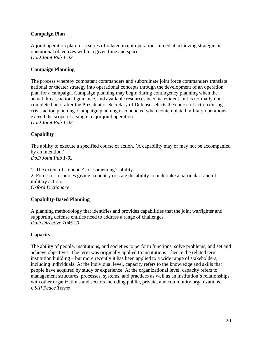#### **Campaign Plan**

A joint operation plan for a series of related major operations aimed at achieving strategic or operational objectives within a given time and space. *DoD Joint Pub 1-02* 

#### **Campaign Planning**

The process whereby combatant commanders and subordinate joint force commanders translate national or theater strategy into operational concepts through the development of an operation plan for a campaign. Campaign planning may begin during contingency planning when the actual threat, national guidance, and available resources become evident, but is normally not completed until after the President or Secretary of Defense selects the course of action during crisis action planning. Campaign planning is conducted when contemplated military operations exceed the scope of a single major joint operation. *DoD Joint Pub 1-02* 

#### **Capability**

The ability to execute a specified course of action. (A capability may or may not be accompanied by an intention.) *DoD Joint Pub 1-02* 

1. The extent of someone's or something's ability. 2. Forces or resources giving a country or state the ability to undertake a particular kind of military action.

*Oxford Dictionary* 

#### **Capability-Based Planning**

A planning methodology that identifies and provides capabilities that the joint warfighter and supporting defense entities need to address a range of challenges. *DoD Directive 7045.20* 

#### **Capacity**

The ability of people, institutions, and societies to perform functions, solve problems, and set and achieve objectives. The term was originally applied to institutions – hence the related term institution building – but more recently it has been applied to a wide range of stakeholders, including individuals. At the individual level, capacity refers to the knowledge and skills that people have acquired by study or experience. At the organizational level, capacity refers to management structures, processes, systems, and practices as well as an institution's relationships with other organizations and sectors including public, private, and community organizations. *USIP Peace Terms*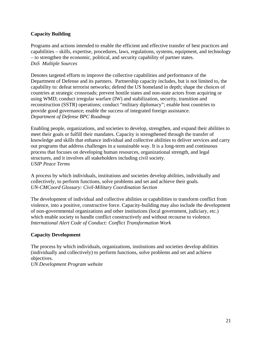#### **Capacity Building**

Programs and actions intended to enable the efficient and effective transfer of best practices and capabilities – skills, expertise, procedures, laws, regulations, systems, equipment, and technology – to strengthen the economic, political, and security capability of partner states. *DoS Multiple Sources* 

Denotes targeted efforts to improve the collective capabilities and performance of the Department of Defense and its partners. Partnership capacity includes, but is not limited to, the capability to: defeat terrorist networks; defend the US homeland in depth; shape the choices of countries at strategic crossroads; prevent hostile states and non-state actors from acquiring or using WMD; conduct irregular warfare (IW) and stabilization, security, transition and reconstruction (SSTR) operations; conduct "military diplomacy"; enable host countries to provide good governance; enable the success of integrated foreign assistance. *Department of Defense BPC Roadmap* 

Enabling people, organizations, and societies to develop, strengthen, and expand their abilities to meet their goals or fulfill their mandates. Capacity is strengthened through the transfer of knowledge and skills that enhance individual and collective abilities to deliver services and carry out programs that address challenges in a sustainable way. It is a long-term and continuous process that focuses on developing human resources, organizational strength, and legal structures, and it involves all stakeholders including civil society. *USIP Peace Terms* 

A process by which individuals, institutions and societies develop abilities, individually and collectively, to perform functions, solve problems and set and achieve their goals*. UN-CMCoord Glossary: Civil-Military Coordination Section* 

The development of individual and collective abilities or capabilities to transform conflict from violence, into a positive, constructive force. Capacity-building may also include the development of non-governmental organizations and other institutions (local government, judiciary, etc.) which enable society to handle conflict constructively and without recourse to violence. *International Alert Code of Conduct: Conflict Transformation Work* 

#### **Capacity Development**

The process by which individuals, organizations, institutions and societies develop abilities (individually and collectively) to perform functions, solve problems and set and achieve objectives.

*UN Development Program website*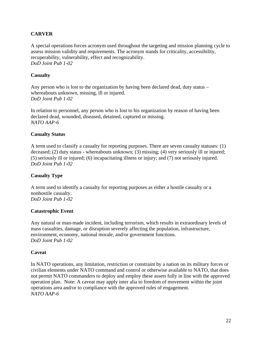#### **CARVER**

A special operations forces acronym used throughout the targeting and mission planning cycle to assess mission validity and requirements. The acronym stands for criticality, accessibility, recuperability, vulnerability, effect and recognizability. *DoD Joint Pub 1-02* 

#### **Casualty**

Any person who is lost to the organization by having been declared dead, duty status – whereabouts unknown, missing, ill or injured. *DoD Joint Pub 1-02* 

In relation to personnel, any person who is lost to his organization by reason of having been declared dead, wounded, diseased, detained, captured or missing. *NATO AAP-6* 

#### **Casualty Status**

A term used to classify a casualty for reporting purposes. There are seven casualty statuses: (1) deceased; (2) duty status - whereabouts unknown; (3) missing; (4) very seriously ill or injured; (5) seriously ill or injured; (6) incapacitating illness or injury; and (7) not seriously injured. *DoD Joint Pub 1-02* 

#### **Casualty Type**

A term used to identify a casualty for reporting purposes as either a hostile casualty or a nonhostile casualty. *DoD Joint Pub 1-02* 

#### **Catastrophic Event**

Any natural or man-made incident, including terrorism, which results in extraordinary levels of mass casualties, damage, or disruption severely affecting the population, infrastructure, environment, economy, national morale, and/or government functions. *DoD Joint Pub 1-02* 

#### **Caveat**

In NATO operations, any limitation, restriction or constraint by a nation on its military forces or civilian elements under NATO command and control or otherwise available to NATO, that does not permit NATO commanders to deploy and employ these assets fully in line with the approved operation plan. Note: A caveat may apply inter alia to freedom of movement within the joint operations area and/or to compliance with the approved rules of engagement. *NATO AAP-6*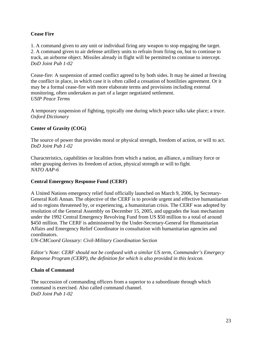#### **Cease Fire**

1. A command given to any unit or individual firing any weapon to stop engaging the target. 2. A command given to air defense artillery units to refrain from firing on, but to continue to track, an airborne object. Missiles already in flight will be permitted to continue to intercept. *DoD Joint Pub 1-02* 

Cease-fire: A suspension of armed conflict agreed to by both sides. It may be aimed at freezing the conflict in place, in which case it is often called a cessation of hostilities agreement. Or it may be a formal cease-fire with more elaborate terms and provisions including external monitoring, often undertaken as part of a larger negotiated settlement. *USIP Peace Terms* 

A temporary suspension of fighting, typically one during which peace talks take place; a truce. *Oxford Dictionary* 

#### **Center of Gravity (COG)**

The source of power that provides moral or physical strength, freedom of action, or will to act. *DoD Joint Pub 1-02* 

Characteristics, capabilities or localities from which a nation, an alliance, a military force or other grouping derives its freedom of action, physical strength or will to fight. *NATO AAP-6* 

#### **Central Emergency Response Fund (CERF)**

A United Nations emergency relief fund officially launched on March 9, 2006, by Secretary-General Kofi Annan. The objective of the CERF is to provide urgent and effective humanitarian aid to regions threatened by, or experiencing, a humanitarian crisis. The CERF was adopted by resolution of the General Assembly on December 15, 2005, and upgrades the loan mechanism under the 1992 Central Emergency Revolving Fund from US \$50 million to a total of around \$450 million. The CERF is administered by the Under-Secretary-General for Humanitarian Affairs and Emergency Relief Coordinator in consultation with humanitarian agencies and coordinators.

*UN-CMCoord Glossary: Civil-Military Coordination Section* 

*Editor's Note: CERF should not be confused with a similar US term, Commander's Emergecy Response Program (CERP), the definition for which is also provided in this lexicon.* 

#### **Chain of Command**

The succession of commanding officers from a superior to a subordinate through which command is exercised. Also called command channel. *DoD Joint Pub 1-02*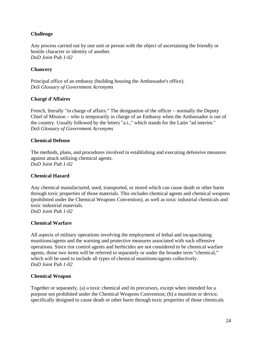#### **Challenge**

Any process carried out by one unit or person with the object of ascertaining the friendly or hostile character or identity of another. *DoD Joint Pub 1-02* 

#### **Chancery**

Principal office of an embassy (building housing the Ambassador's office). *DoS Glossary of Government Acronyms* 

#### **Chargé d'Affaires**

French, literally "in charge of affairs." The designation of the officer – normally the Deputy Chief of Mission – who is temporarily in charge of an Embassy when the Ambassador is out of the country. Usually followed by the letters "a.i.," which stands for the Latin "ad interim." *DoS Glossary of Government Acronyms* 

#### **Chemical Defense**

The methods, plans, and procedures involved in establishing and executing defensive measures against attack utilizing chemical agents. *DoD Joint Pub 1-02*

#### **Chemical Hazard**

Any chemical manufactured, used, transported, or stored which can cause death or other harm through toxic properties of those materials. This includes chemical agents and chemical weapons (prohibited under the Chemical Weapons Convention), as well as toxic industrial chemicals and toxic industrial materials. *DoD Joint Pub 1-02* 

#### **Chemical Warfare**

All aspects of military operations involving the employment of lethal and incapacitating munitions/agents and the warning and protective measures associated with such offensive operations. Since riot control agents and herbicides are not considered to be chemical warfare agents, those two items will be referred to separately or under the broader term "chemical," which will be used to include all types of chemical munitions/agents collectively. *DoD Joint Pub 1-02* 

#### **Chemical Weapon**

Together or separately, (a) a toxic chemical and its precursors, except when intended for a purpose not prohibited under the Chemical Weapons Convention; (b) a munition or device, specifically designed to cause death or other harm through toxic properties of those chemicals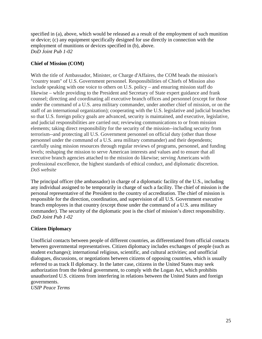specified in (a), above, which would be released as a result of the employment of such munition or device; (c) any equipment specifically designed for use directly in connection with the employment of munitions or devices specified in (b), above. *DoD Joint Pub 1-02* 

#### **Chief of Mission (COM)**

With the title of Ambassador, Minister, or Charge d'Affaires, the COM heads the mission's "country team" of U.S. Government personnel. Responsibilities of Chiefs of Mission also include speaking with one voice to others on U.S. policy – and ensuring mission staff do likewise – while providing to the President and Secretary of State expert guidance and frank counsel; directing and coordinating all executive branch offices and personnel (except for those under the command of a U.S. area military commander, under another chief of mission, or on the staff of an international organization); cooperating with the U.S. legislative and judicial branches so that U.S. foreign policy goals are advanced, security is maintained, and executive, legislative, and judicial responsibilities are carried out; reviewing communications to or from mission elements; taking direct responsibility for the security of the mission--including security from terrorism--and protecting all U.S. Government personnel on official duty (other than those personnel under the command of a U.S. area military commander) and their dependents; carefully using mission resources through regular reviews of programs, personnel, and funding levels; reshaping the mission to serve American interests and values and to ensure that all executive branch agencies attached to the mission do likewise; serving Americans with professional excellence, the highest standards of ethical conduct, and diplomatic discretion. *DoS website* 

The principal officer (the ambassador) in charge of a diplomatic facility of the U.S., including any individual assigned to be temporarily in charge of such a facility. The chief of mission is the personal representative of the President to the country of accreditation. The chief of mission is responsible for the direction, coordination, and supervision of all U.S. Government executive branch employees in that country (except those under the command of a U.S. area military commander). The security of the diplomatic post is the chief of mission's direct responsibility. *DoD Joint Pub 1-02* 

#### **Citizen Diplomacy**

Unofficial contacts between people of different countries, as differentiated from official contacts between governmental representatives. Citizen diplomacy includes exchanges of people (such as student exchanges); international religious, scientific, and cultural activities; and unofficial dialogues, discussions, or negotiations between citizens of opposing countries, which is usually referred to as track II diplomacy. In the latter case, citizens in the United States may seek authorization from the federal government, to comply with the Logan Act, which prohibits unauthorized U.S. citizens from interfering in relations between the United States and foreign governments.

*USIP Peace Terms*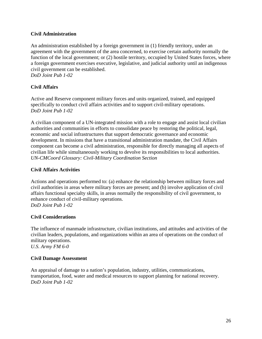#### **Civil Administration**

An administration established by a foreign government in (1) friendly territory, under an agreement with the government of the area concerned, to exercise certain authority normally the function of the local government; or (2) hostile territory, occupied by United States forces, where a foreign government exercises executive, legislative, and judicial authority until an indigenous civil government can be established.

*DoD Joint Pub 1-02* 

#### **Civil Affairs**

Active and Reserve component military forces and units organized, trained, and equipped specifically to conduct civil affairs activities and to support civil-military operations. *DoD Joint Pub 1-02* 

A civilian component of a UN-integrated mission with a role to engage and assist local civilian authorities and communities in efforts to consolidate peace by restoring the political, legal, economic and social infrastructures that support democratic governance and economic development. In missions that have a transitional administration mandate, the Civil Affairs component can become a civil administration, responsible for directly managing all aspects of civilian life while simultaneously working to devolve its responsibilities to local authorities. *UN-CMCoord Glossary: Civil-Military Coordination Section* 

#### **Civil Affairs Activities**

Actions and operations performed to: (a) enhance the relationship between military forces and civil authorities in areas where military forces are present; and (b) involve application of civil affairs functional specialty skills, in areas normally the responsibility of civil government, to enhance conduct of civil-military operations. *DoD Joint Pub 1-02* 

#### **Civil Considerations**

The influence of manmade infrastructure, civilian institutions, and attitudes and activities of the civilian leaders, populations, and organizations within an area of operations on the conduct of military operations. *U.S. Army FM 6-0* 

#### **Civil Damage Assessment**

An appraisal of damage to a nation's population, industry, utilities, communications, transportation, food, water and medical resources to support planning for national recovery. *DoD Joint Pub 1-02*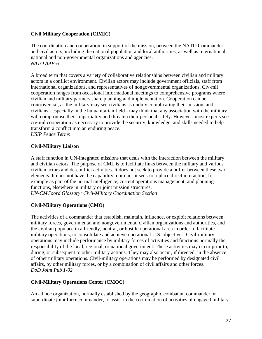#### **Civil Military Cooperation (CIMIC)**

The coordination and cooperation, in support of the mission, between the NATO Commander and civil actors, including the national population and local authorities, as well as international, national and non-governmental organizations and agencies. *NATO AAP-6*

A broad term that covers a variety of collaborative relationships between civilian and military actors in a conflict environment. Civilian actors may include government officials, staff from international organizations, and representatives of nongovernmental organizations. Civ-mil cooperation ranges from occasional informational meetings to comprehensive programs where civilian and military partners share planning and implementation. Cooperation can be controversial, as the military may see civilians as unduly complicating their mission, and civilians - especially in the humanitarian field - may think that any association with the military will compromise their impartiality and threaten their personal safety. However, most experts see civ-mil cooperation as necessary to provide the security, knowledge, and skills needed to help transform a conflict into an enduring peace. *USIP Peace Terms* 

## **Civil-Military Liaison**

A staff function in UN-integrated missions that deals with the interaction between the military and civilian actors. The purpose of CML is to facilitate links between the military and various civilian actors and de-conflict activities. It does not seek to provide a buffer between these two elements. It does not have the capability, nor does it seek to replace direct interaction, for example as part of the normal intelligence, current operations management, and planning functions, elsewhere in military or joint mission structures. *UN-CMCoord Glossary: Civil-Military Coordination Section* 

#### **Civil-Military Operations (CMO)**

The activities of a commander that establish, maintain, influence, or exploit relations between military forces, governmental and nongovernmental civilian organizations and authorities, and the civilian populace in a friendly, neutral, or hostile operational area in order to facilitate military operations, to consolidate and achieve operational U.S. objectives. Civil-military operations may include performance by military forces of activities and functions normally the responsibility of the local, regional, or national government. These activities may occur prior to, during, or subsequent to other military actions. They may also occur, if directed, in the absence of other military operations. Civil-military operations may be performed by designated civil affairs, by other military forces, or by a combination of civil affairs and other forces. *DoD Joint Pub 1-02* 

#### **Civil-Military Operations Center (CMOC)**

An ad hoc organization, normally established by the geographic combatant commander or subordinate joint force commander, to assist in the coordination of activities of engaged military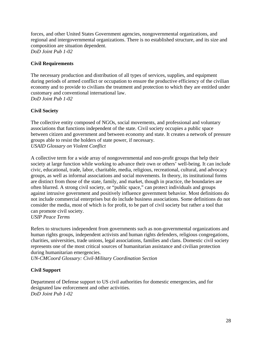forces, and other United States Government agencies, nongovernmental organizations, and regional and intergovernmental organizations. There is no established structure, and its size and composition are situation dependent. *DoD Joint Pub 1-02* 

**Civil Requirements** 

The necessary production and distribution of all types of services, supplies, and equipment during periods of armed conflict or occupation to ensure the productive efficiency of the civilian economy and to provide to civilians the treatment and protection to which they are entitled under customary and conventional international law. *DoD Joint Pub 1-02* 

#### **Civil Society**

The collective entity composed of NGOs, social movements, and professional and voluntary associations that functions independent of the state. Civil society occupies a public space between citizen and government and between economy and state. It creates a network of pressure groups able to resist the holders of state power, if necessary. *USAID Glossary on Violent Conflict* 

A collective term for a wide array of nongovernmental and non-profit groups that help their society at large function while working to advance their own or others' well-being. It can include civic, educational, trade, labor, charitable, media, religious, recreational, cultural, and advocacy groups, as well as informal associations and social movements. In theory, its institutional forms are distinct from those of the state, family, and market, though in practice, the boundaries are often blurred. A strong civil society, or "public space," can protect individuals and groups against intrusive government and positively influence government behavior. Most definitions do not include commercial enterprises but do include business associations. Some definitions do not consider the media, most of which is for profit, to be part of civil society but rather a tool that can promote civil society.

*USIP Peace Terms*

Refers to structures independent from governments such as non-governmental organizations and human rights groups, independent activists and human rights defenders, religious congregations, charities, universities, trade unions, legal associations, families and clans. Domestic civil society represents one of the most critical sources of humanitarian assistance and civilian protection during humanitarian emergencies.

*UN-CMCoord Glossary: Civil-Military Coordination Section* 

#### **Civil Support**

Department of Defense support to US civil authorities for domestic emergencies, and for designated law enforcement and other activities. *DoD Joint Pub 1-02*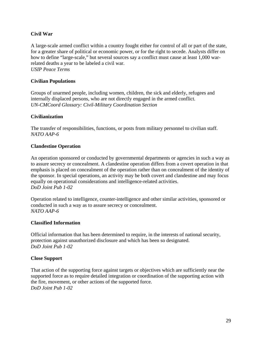#### **Civil War**

A large-scale armed conflict within a country fought either for control of all or part of the state, for a greater share of political or economic power, or for the right to secede. Analysts differ on how to define "large-scale," but several sources say a conflict must cause at least 1,000 warrelated deaths a year to be labeled a civil war. *USIP Peace Terms*

#### **Civilian Populations**

Groups of unarmed people, including women, children, the sick and elderly, refugees and internally displaced persons, who are not directly engaged in the armed conflict. *UN-CMCoord Glossary: Civil-Military Coordination Section*

#### **Civilianization**

The transfer of responsibilities, functions, or posts from military personnel to civilian staff. *NATO AAP-6* 

#### **Clandestine Operation**

An operation sponsored or conducted by governmental departments or agencies in such a way as to assure secrecy or concealment. A clandestine operation differs from a covert operation in that emphasis is placed on concealment of the operation rather than on concealment of the identity of the sponsor. In special operations, an activity may be both covert and clandestine and may focus equally on operational considerations and intelligence-related activities. *DoD Joint Pub 1-02* 

Operation related to intelligence, counter-intelligence and other similar activities, sponsored or conducted in such a way as to assure secrecy or concealment. *NATO AAP-6* 

#### **Classified Information**

Official information that has been determined to require, in the interests of national security, protection against unauthorized disclosure and which has been so designated. *DoD Joint Pub 1-02*

#### **Close Support**

That action of the supporting force against targets or objectives which are sufficiently near the supported force as to require detailed integration or coordination of the supporting action with the fire, movement, or other actions of the supported force. *DoD Joint Pub 1-02*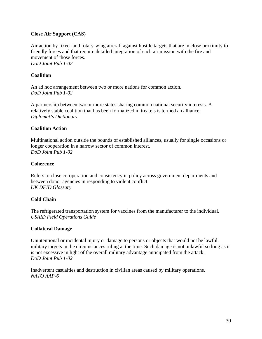## **Close Air Support (CAS)**

Air action by fixed- and rotary-wing aircraft against hostile targets that are in close proximity to friendly forces and that require detailed integration of each air mission with the fire and movement of those forces. *DoD Joint Pub 1-02* 

### **Coalition**

An ad hoc arrangement between two or more nations for common action. *DoD Joint Pub 1-02* 

A partnership between two or more states sharing common national security interests. A relatively stable coalition that has been formalized in treateis is termed an alliance. *Diplomat's Dictionary* 

### **Coalition Action**

Multinational action outside the bounds of established alliances, usually for single occasions or longer cooperation in a narrow sector of common interest. *DoD Joint Pub 1-02* 

### **Coherence**

Refers to close co-operation and consistency in policy across government departments and between donor agencies in responding to violent conflict. *UK DFID Glossary* 

### **Cold Chain**

The refrigerated transportation system for vaccines from the manufacturer to the individual. *USAID Field Operations Guide*

### **Collateral Damage**

Unintentional or incidental injury or damage to persons or objects that would not be lawful military targets in the circumstances ruling at the time. Such damage is not unlawful so long as it is not excessive in light of the overall military advantage anticipated from the attack. *DoD Joint Pub 1-02* 

Inadvertent casualties and destruction in civilian areas caused by military operations. *NATO AAP-6*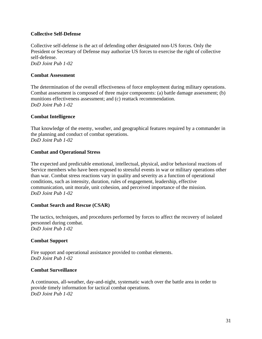### **Collective Self-Defense**

Collective self-defense is the act of defending other designated non-US forces. Only the President or Secretary of Defense may authorize US forces to exercise the right of collective self-defense. *DoD Joint Pub 1-02* 

### **Combat Assessment**

The determination of the overall effectiveness of force employment during military operations. Combat assessment is composed of three major components: (a) battle damage assessment; (b) munitions effectiveness assessment; and (c) reattack recommendation. *DoD Joint Pub 1-02* 

### **Combat Intelligence**

That knowledge of the enemy, weather, and geographical features required by a commander in the planning and conduct of combat operations. *DoD Joint Pub 1-02* 

### **Combat and Operational Stress**

The expected and predictable emotional, intellectual, physical, and/or behavioral reactions of Service members who have been exposed to stressful events in war or military operations other than war. Combat stress reactions vary in quality and severity as a function of operational conditions, such as intensity, duration, rules of engagement, leadership, effective communication, unit morale, unit cohesion, and perceived importance of the mission. *DoD Joint Pub 1-02* 

## **Combat Search and Rescue (CSAR)**

The tactics, techniques, and procedures performed by forces to affect the recovery of isolated personnel during combat. *DoD Joint Pub 1-02* 

### **Combat Support**

Fire support and operational assistance provided to combat elements. *DoD Joint Pub 1-02* 

### **Combat Surveillance**

A continuous, all-weather, day-and-night, systematic watch over the battle area in order to provide timely information for tactical combat operations. *DoD Joint Pub 1-02*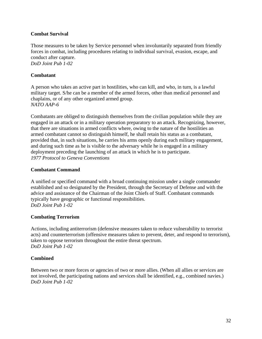# **Combat Survival**

Those measures to be taken by Service personnel when involuntarily separated from friendly forces in combat, including procedures relating to individual survival, evasion, escape, and conduct after capture. *DoD Joint Pub 1-02* 

## **Combatant**

A person who takes an active part in hostilities, who can kill, and who, in turn, is a lawful military target. S/he can be a member of the armed forces, other than medical personnel and chaplains, or of any other organized armed group. *NATO AAP-6* 

Combatants are obliged to distinguish themselves from the civilian population while they are engaged in an attack or in a military operation preparatory to an attack. Recognizing, however, that there are situations in armed conflicts where, owing to the nature of the hostilities an armed combatant cannot so distinguish himself, he shall retain his status as a combatant, provided that, in such situations, he carries his arms openly during each military engagement, and during such time as he is visible to the adversary while he is engaged in a military deployment preceding the launching of an attack in which he is to participate. *1977 Protocol to Geneva Conventions* 

### **Combatant Command**

A unified or specified command with a broad continuing mission under a single commander established and so designated by the President, through the Secretary of Defense and with the advice and assistance of the Chairman of the Joint Chiefs of Staff. Combatant commands typically have geographic or functional responsibilities. *DoD Joint Pub 1-02* 

### **Combating Terrorism**

Actions, including antiterrorism (defensive measures taken to reduce vulnerability to terrorist acts) and counterterrorism (offensive measures taken to prevent, deter, and respond to terrorism), taken to oppose terrorism throughout the entire threat spectrum. *DoD Joint Pub 1-02*

### **Combined**

Between two or more forces or agencies of two or more allies. (When all allies or services are not involved, the participating nations and services shall be identified, e.g., combined navies.) *DoD Joint Pub 1-02*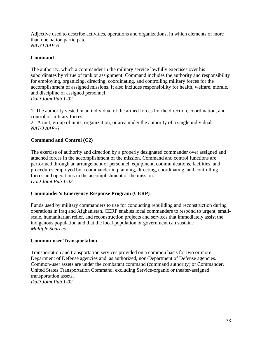Adjective used to describe activities, operations and organizations, in which elements of more than one nation participate. *NATO AAP-6* 

### **Command**

The authority, which a commander in the military service lawfully exercises over his subordinates by virtue of rank or assignment. Command includes the authority and responsibility for employing, organizing, directing, coordinating, and controlling military forces for the accomplishment of assigned missions. It also includes responsibility for health, welfare, morale, and discipline of assigned personnel. *DoD Joint Pub 1-02* 

1. The authority vested in an individual of the armed forces for the direction, coordination, and control of military forces.

2. A unit, group of units, organization, or area under the authority of a single individual. *NATO AAP-6* 

## **Command and Control (C2)**

The exercise of authority and direction by a properly designated commander over assigned and attached forces in the accomplishment of the mission. Command and control functions are performed through an arrangement of personnel, equipment, communications, facilities, and procedures employed by a commander in planning, directing, coordinating, and controlling forces and operations in the accomplishment of the mission. *DoD Joint Pub 1-02* 

## **Commander's Emergency Response Program (CERP)**

Funds used by military commanders to use for conducting rebuilding and reconstruction during operations in Iraq and Afghanistan. CERP enables local commanders to respond to urgent, smallscale, humanitarian relief, and reconstruction projects and services that immediately assist the indigenous population and that the local population or government can sustain. *Multiple Sources*

### **Common-user Transportation**

Transportation and transportation services provided on a common basis for two or more Department of Defense agencies and, as authorized, non-Department of Defense agencies. Common-user assets are under the combatant command (command authority) of Commander, United States Transportation Command, excluding Service-organic or theater-assigned transportation assets. *DoD Joint Pub 1-02*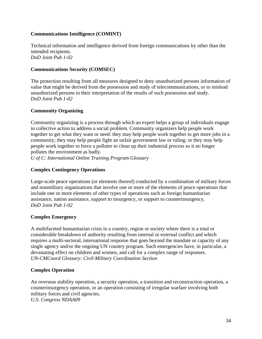## **Communications Intelligence (COMINT)**

Technical information and intelligence derived from foreign communications by other than the intended recipients. *DoD Joint Pub 1-02* 

# **Communications Security (COMSEC)**

The protection resulting from all measures designed to deny unauthorized persons information of value that might be derived from the possession and study of telecommunications, or to mislead unauthorized persons in their interpretation of the results of such possession and study. *DoD Joint Pub 1-02* 

# **Community Organizing**

Community organizing is a process through which an expert helps a group of individuals engage in collective action to address a social problem. Community organizers help people work together to get what they want or need: they may help people work together to get more jobs in a community; they may help people fight an unfair government law or ruling; or they may help people work together to force a polluter to clean up their industrial process so it no longer pollutes the environment as badly.

*U of C: International Online Training Program Glossary* 

## **Complex Contingency Operations**

Large-scale peace operations (or elements thereof) conducted by a combination of military forces and nonmilitary organizations that involve one or more of the elements of peace operations that include one or more elements of other types of operations such as foreign humanitarian assistance, nation assistance, support to insurgency, or support to counterinsurgency. *DoD Joint Pub 1-02* 

## **Complex Emergency**

A multifaceted humanitarian crisis in a country, region or society where there is a total or considerable breakdown of authority resulting from internal or external conflict and which requires a multi-sectoral, international response that goes beyond the mandate or capacity of any single agency and/or the ongoing UN country program. Such emergencies have, in particular, a devastating effect on children and women, and call for a complex range of responses. *UN-CMCoord Glossary: Civil-Military Coordination Section* 

## **Complex Operation**

An overseas stability operation, a security operation, a transition and reconstruction operation, a counterinsurgency operation, or an operation consisting of irregular warfare involving both military forces and civil agencies.

*U.S. Congress NDAA09*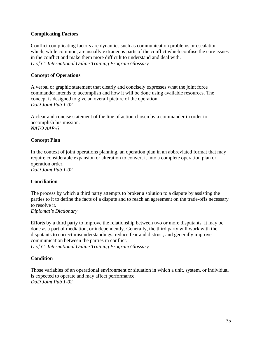# **Complicating Factors**

Conflict complicating factors are dynamics such as communication problems or escalation which, while common, are usually extraneous parts of the conflict which confuse the core issues in the conflict and make them more difficult to understand and deal with. *U of C: International Online Training Program Glossary* 

# **Concept of Operations**

A verbal or graphic statement that clearly and concisely expresses what the joint force commander intends to accomplish and how it will be done using available resources. The concept is designed to give an overall picture of the operation. *DoD Joint Pub 1-02* 

A clear and concise statement of the line of action chosen by a commander in order to accomplish his mission. *NATO AAP-6* 

# **Concept Plan**

In the context of joint operations planning, an operation plan in an abbreviated format that may require considerable expansion or alteration to convert it into a complete operation plan or operation order. *DoD Joint Pub 1-02* 

## **Conciliation**

The process by which a third party attempts to broker a solution to a dispute by assisting the parties to it to define the facts of a dispute and to reach an agreement on the trade-offs necessary to resolve it.

*Diplomat's Dictionary* 

Efforts by a third party to improve the relationship between two or more disputants. It may be done as a part of mediation, or independently. Generally, the third party will work with the disputants to correct misunderstandings, reduce fear and distrust, and generally improve communication between the parties in conflict. *U of C: International Online Training Program Glossary* 

## **Condition**

Those variables of an operational environment or situation in which a unit, system, or individual is expected to operate and may affect performance. *DoD Joint Pub 1-02*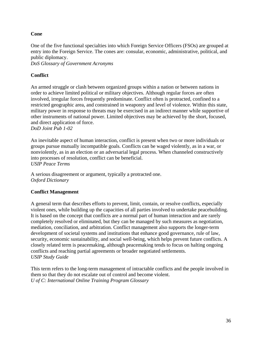# **Cone**

One of the five functional specialties into which Foreign Service Officers (FSOs) are grouped at entry into the Foreign Service. The cones are: consular, economic, administrative, political, and public diplomacy.

*DoS Glossary of Government Acronyms* 

# **Conflict**

An armed struggle or clash between organized groups within a nation or between nations in order to achieve limited political or military objectives. Although regular forces are often involved, irregular forces frequently predominate. Conflict often is protracted, confined to a restricted geographic area, and constrained in weaponry and level of violence. Within this state, military power in response to threats may be exercised in an indirect manner while supportive of other instruments of national power. Limited objectives may be achieved by the short, focused, and direct application of force. *DoD Joint Pub 1-02* 

An inevitable aspect of human interaction, conflict is present when two or more individuals or groups pursue mutually incompatible goals. Conflicts can be waged violently, as in a war, or nonviolently, as in an election or an adversarial legal process. When channeled constructively into processes of resolution, conflict can be beneficial. *USIP Peace Terms* 

A serious disagreement or argument, typically a protracted one. *Oxford Dictionary* 

## **Conflict Management**

A general term that describes efforts to prevent, limit, contain, or resolve conflicts, especially violent ones, while building up the capacities of all parties involved to undertake peacebuilding. It is based on the concept that conflicts are a normal part of human interaction and are rarely completely resolved or eliminated, but they can be managed by such measures as negotiation, mediation, conciliation, and arbitration. Conflict management also supports the longer-term development of societal systems and institutions that enhance good governance, rule of law, security, economic sustainability, and social well-being, which helps prevent future conflicts. A closely related term is peacemaking, although peacemaking tends to focus on halting ongoing conflicts and reaching partial agreements or broader negotiated settlements. *USIP Study Guide* 

This term refers to the long-term management of intractable conflicts and the people involved in them so that they do not escalate out of control and become violent. *U of C: International Online Training Program Glossary*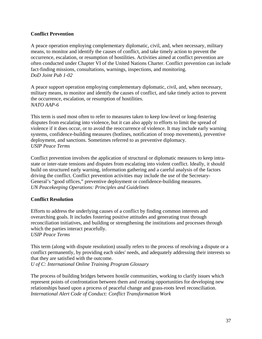# **Conflict Prevention**

A peace operation employing complementary diplomatic, civil, and, when necessary, military means, to monitor and identify the causes of conflict, and take timely action to prevent the occurrence, escalation, or resumption of hostilities. Activities aimed at conflict prevention are often conducted under Chapter VI of the United Nations Charter. Conflict prevention can include fact-finding missions, consultations, warnings, inspections, and monitoring. *DoD Joint Pub 1-02* 

A peace support operation employing complementary diplomatic, civil, and, when necessary, military means, to monitor and identify the causes of conflict, and take timely action to prevent the occurrence, escalation, or resumption of hostilities. *NATO AAP-6* 

This term is used most often to refer to measures taken to keep low-level or long-festering disputes from escalating into violence, but it can also apply to efforts to limit the spread of violence if it does occur, or to avoid the reoccurrence of violence. It may include early warning systems, confidence-building measures (hotlines, notification of troop movements), preventive deployment, and sanctions. Sometimes referred to as preventive diplomacy. *USIP Peace Terms* 

Conflict prevention involves the application of structural or diplomatic measures to keep intrastate or inter-state tensions and disputes from escalating into violent conflict. Ideally, it should build on structured early warning, information gathering and a careful analysis of the factors driving the conflict. Conflict prevention activities may include the use of the Secretary-General's "good offices," preventive deployment or confidence-building measures. *UN Peacekeeping Operations: Principles and Guidelines* 

## **Conflict Resolution**

Efforts to address the underlying causes of a conflict by finding common interests and overarching goals. It includes fostering positive attitudes and generating trust through reconciliation initiatives, and building or strengthening the institutions and processes through which the parties interact peacefully. *USIP Peace Terms* 

This term (along with dispute resolution) usually refers to the process of resolving a dispute or a conflict permanently, by providing each sides' needs, and adequately addressing their interests so that they are satisfied with the outcome.

*U of C: International Online Training Program Glossary* 

The process of building bridges between hostile communities, working to clarify issues which represent points of confrontation between them and creating opportunities for developing new relationships based upon a process of peaceful change and grass-roots level reconciliation. *International Alert Code of Conduct: Conflict Transformation Work*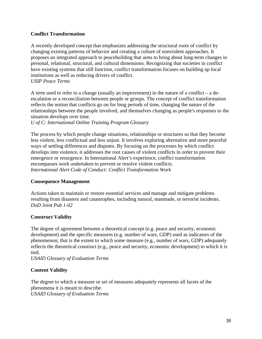## **Conflict Transformation**

A recently developed concept that emphasizes addressing the structural roots of conflict by changing existing patterns of behavior and creating a culture of nonviolent approaches. It proposes an integrated approach to peacebuilding that aims to bring about long-term changes in personal, relational, structural, and cultural dimensions. Recognizing that societies in conflict have existing systems that still function, conflict transformation focuses on building up local institutions as well as reducing drivers of conflict. *USIP Peace Terms* 

A term used to refer to a change (usually an improvement) in the nature of a conflict – a deescalation or a reconciliation between people or groups. The concept of conflict transformation reflects the notion that conflicts go on for long periods of time, changing the nature of the relationships between the people involved, and themselves changing as people's responses to the situation develops over time.

*U of C: International Online Training Program Glossary* 

The process by which people change situations, relationships or structures so that they become less violent, less conflictual and less unjust. It involves exploring alternative and more peaceful ways of settling differences and disputes. By focusing on the processes by which conflict develops into violence, it addresses the root causes of violent conflicts in order to prevent their emergence or resurgence. In International Alert's experience, conflict transformation encompasses work undertaken to prevent or resolve violent conflicts. *International Alert Code of Conduct: Conflict Transformation Work* 

### **Consequence Management**

Actions taken to maintain or restore essential services and manage and mitigate problems resulting from disasters and catastrophes, including natural, manmade, or terrorist incidents. *DoD Joint Pub 1-02* 

## **Construct Validity**

The degree of agreement between a theoretical concept (e.g. peace and security, economic development) and the specific measures (e.g. number of wars, GDP) used as indicators of the phenomenon; that is the extent to which some measure (e.g., number of wars, GDP) adequately reflects the theoretical construct (e.g., peace and security, economic development) to which it is tied.

*USAID Glossary of Evaluation Terms* 

## **Content Validity**

The degree to which a measure or set of measures adequately represents all facets of the phenomena it is meant to describe. *USAID Glossary of Evaluation Terms*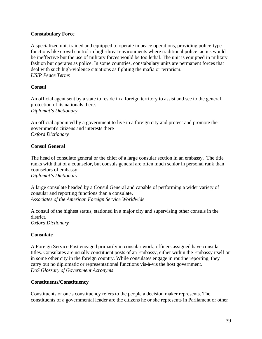## **Constabulary Force**

A specialized unit trained and equipped to operate in peace operations, providing police-type functions like crowd control in high-threat environments where traditional police tactics would be ineffective but the use of military forces would be too lethal. The unit is equipped in military fashion but operates as police. In some countries, constabulary units are permanent forces that deal with such high-violence situations as fighting the mafia or terrorism. *USIP Peace Terms*

## **Consul**

An official agent sent by a state to reside in a foreign territory to assist and see to the general protection of its nationals there. *Diplomat's Dictionary* 

An official appointed by a government to live in a foreign city and protect and promote the government's citizens and interests there *Oxford Dictionary* 

## **Consul General**

The head of consulate general or the chief of a large consular section in an embassy. The title ranks with that of a counselor, but consuls general are often much senior in personal rank than counselors of embassy. *Diplomat's Dictionary* 

A large consulate headed by a Consul General and capable of performing a wider variety of consular and reporting functions than a consulate. *Associates of the American Foreign Service Worldwide* 

A consul of the highest status, stationed in a major city and supervising other consuls in the district.

*Oxford Dictionary* 

## **Consulate**

A Foreign Service Post engaged primarily in consular work; officers assigned have consular titles. Consulates are usually constituent posts of an Embassy, either within the Embassy itself or in some other city in the foreign country. While consulates engage in routine reporting, they carry out no diplomatic or representational functions vis-à-vis the host government. *DoS Glossary of Government Acronyms*

## **Constituents/Constituency**

Constituents or one's constituency refers to the people a decision maker represents. The constituents of a governmental leader are the citizens he or she represents in Parliament or other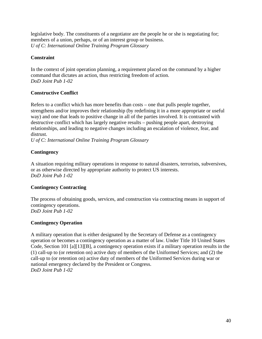legislative body. The constituents of a negotiator are the people he or she is negotiating for; members of a union, perhaps, or of an interest group or business. *U of C: International Online Training Program Glossary* 

# **Constraint**

In the context of joint operation planning, a requirement placed on the command by a higher command that dictates an action, thus restricting freedom of action. *DoD Joint Pub 1-02* 

# **Constructive Conflict**

Refers to a conflict which has more benefits than costs – one that pulls people together, strengthens and/or improves their relationship (by redefining it in a more appropriate or useful way) and one that leads to positive change in all of the parties involved. It is contrasted with destructive conflict which has largely negative results – pushing people apart, destroying relationships, and leading to negative changes including an escalation of violence, fear, and distrust.

*U of C: International Online Training Program Glossary* 

# **Contingency**

A situation requiring military operations in response to natural disasters, terrorists, subversives, or as otherwise directed by appropriate authority to protect US interests. *DoD Joint Pub 1-02* 

# **Contingency Contracting**

The process of obtaining goods, services, and construction via contracting means in support of contingency operations. *DoD Joint Pub 1-02* 

# **Contingency Operation**

A military operation that is either designated by the Secretary of Defense as a contingency operation or becomes a contingency operation as a matter of law. Under Title 10 United States Code, Section 101 [a][13][B], a contingency operation exists if a military operation results in the (1) call-up to (or retention on) active duty of members of the Uniformed Services; and (2) the call-up to (or retention on) active duty of members of the Uniformed Services during war or national emergency declared by the President or Congress. *DoD Joint Pub 1-02*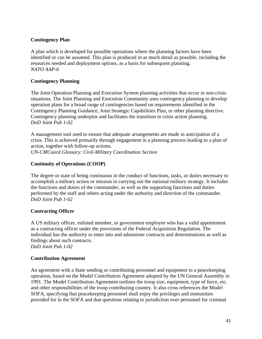# **Contingency Plan**

A plan which is developed for possible operations where the planning factors have been identified or can be assumed. This plan is produced in as much detail as possible, including the resources needed and deployment options, as a basis for subsequent planning**.**  *NATO AAP-6* 

# **Contingency Planning**

The Joint Operation Planning and Execution System planning activities that occur in non-crisis situations. The Joint Planning and Execution Community uses contingency planning to develop operation plans for a broad range of contingencies based on requirements identified in the Contingency Planning Guidance, Joint Strategic Capabilities Plan, or other planning directive. Contingency planning underpins and facilitates the transition to crisis action planning. *DoD Joint Pub 1-02*

A management tool used to ensure that adequate arrangements are made in anticipation of a crisis. This is achieved primarily through engagement in a planning process leading to a plan of action, together with follow-up actions. *UN-CMCoord Glossary: Civil-Military Coordination Section* 

# **Continuity of Operations (COOP)**

The degree or state of being continuous in the conduct of functions, tasks, or duties necessary to accomplish a military action or mission in carrying out the national military strategy. It includes the functions and duties of the commander, as well as the supporting functions and duties performed by the staff and others acting under the authority and direction of the commander. *DoD Joint Pub 1-02* 

## **Contracting Officer**

A US military officer, enlisted member, or government employee who has a valid appointment as a contracting officer under the provisions of the Federal Acquisition Regulation. The individual has the authority to enter into and administer contracts and determinations as well as findings about such contracts. *DoD Joint Pub 1-02* 

## **Contribution Agreement**

An agreement with a State sending or contributing personnel and equipment to a peacekeeping operation, based on the Model Contribution Agreement adopted by the UN General Assembly in 1991. The Model Contribution Agreement outlines the troop size, equipment, type of force, etc. and other responsibilities of the troop contributing country. It also cross references the Model SOFA, specifying that peacekeeping personnel shall enjoy the privileges and immunities provided for in the SOFA and that questions relating to jurisdiction over personnel for criminal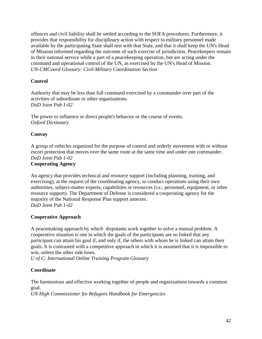offences and civil liability shall be settled according to the SOFA procedures. Furthermore, it provides that responsibility for disciplinary action with respect to military personnel made available by the participating State shall rest with that State, and that it shall keep the UN's Head of Mission informed regarding the outcome of such exercise of jurisdiction. Peacekeepers remain in their national service while a part of a peacekeeping operation, but are acting under the command and operational control of the UN, as exercised by the UN's Head of Mission. *UN-CMCoord Glossary: Civil-Military Coordination Section* 

# **Control**

Authority that may be less than full command exercised by a commander over part of the activities of subordinate or other organizations. *DoD Joint Pub 1-02* 

The power to influence or direct people's behavior or the course of events. *Oxford Dictionary* 

# **Convoy**

A group of vehicles organized for the purpose of control and orderly movement with or without escort protection that moves over the same route at the same time and under one commander. *DoD Joint Pub 1-02* 

# **Cooperating Agency**

An agency that provides technical and resource support (including planning, training, and exercising), at the request of the coordinating agency, to conduct operations using their own authorities, subject-matter experts, capabilities or resources (i.e., personnel, equipment, or other resource support). The Department of Defense is considered a cooperating agency for the majority of the National Response Plan support annexes. *DoD Joint Pub 1-02* 

# **Cooperative Approach**

A peacemaking approach by which disputants work together to solve a mutual problem. A cooperative situation is one in which the goals of the participants are so linked that any participant can attain his goal if, and only if, the others with whom he is linked can attain their goals. It is contrasted with a competitive approach in which it is assumed that it is impossible to win, unless the other side loses.

*U of C: International Online Training Program Glossary* 

# **Coordinate**

The harmonious and effective working together of people and organizations towards a common goal.

*UN High Commissioner for Refugees Handbook for Emergencies*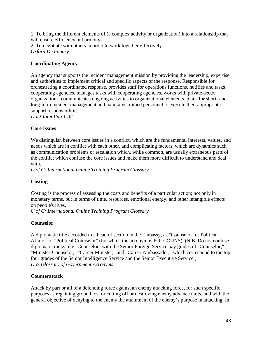1. To bring the different elements of (a complex activity or organization) into a relationship that will ensure efficiency or harmony.

2. To negotiate with others in order to work together effectively. *Oxford Dictionary* 

# **Coordinating Agency**

An agency that supports the incident management mission by providing the leadership, expertise, and authorities to implement critical and specific aspects of the response. Responsible for orchestrating a coordinated response, provides staff for operations functions, notifies and tasks cooperating agencies, manages tasks with cooperating agencies, works with private-sector organizations, communicates ongoing activities to organizational elements, plans for short- and long-term incident management and maintains trained personnel to execute their appropriate support responsibilities.

*DoD Joint Pub 1-02* 

# **Core Issues**

We distinguish between core issues in a conflict, which are the fundamental interests, values, and needs which are in conflict with each other, and complicating factors, which are dynamics such as communication problems or escalation which, while common, are usually extraneous parts of the conflict which confuse the core issues and make them more difficult to understand and deal with.

*U of C: International Online Training Program Glossary* 

# **Costing**

Costing is the process of assessing the costs and benefits of a particular action; not only in monetary terms, but in terms of time, resources, emotional energy, and other intangible effects on people's lives.

*U of C: International Online Training Program Glossary* 

# **Counselor**

A diplomatic title accorded to a head of section in the Embassy, as "Counselor for Political Affairs" or "Political Counselor" (for which the acronym is POLCOUNS). (N.B. Do not confuse diplomatic ranks like "Counselor" with the Senior Foreign Service pay grades of "Counselor," "Minister-Counselor," "Career Minister," and "Career Ambassador," which correspond to the top four grades of the Senior Intelligence Service and the Senior Executive Service.) *DoS Glossary of Government Acronyms*

## **Counterattack**

Attack by part or all of a defending force against an enemy attacking force, for such specific purposes as regaining ground lost or cutting off or destroying enemy advance units, and with the general objective of denying to the enemy the attainment of the enemy's purpose in attacking. In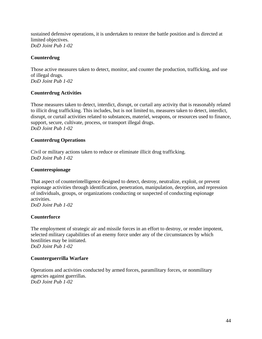sustained defensive operations, it is undertaken to restore the battle position and is directed at limited objectives. *DoD Joint Pub 1-02* 

### **Counterdrug**

Those active measures taken to detect, monitor, and counter the production, trafficking, and use of illegal drugs. *DoD Joint Pub 1-02* 

## **Counterdrug Activities**

Those measures taken to detect, interdict, disrupt, or curtail any activity that is reasonably related to illicit drug trafficking. This includes, but is not limited to, measures taken to detect, interdict, disrupt, or curtail activities related to substances, materiel, weapons, or resources used to finance, support, secure, cultivate, process, or transport illegal drugs. *DoD Joint Pub 1-02* 

### **Counterdrug Operations**

Civil or military actions taken to reduce or eliminate illicit drug trafficking. *DoD Joint Pub 1-02* 

### **Counterespionage**

That aspect of counterintelligence designed to detect, destroy, neutralize, exploit, or prevent espionage activities through identification, penetration, manipulation, deception, and repression of individuals, groups, or organizations conducting or suspected of conducting espionage activities.

*DoD Joint Pub 1-02* 

## **Counterforce**

The employment of strategic air and missile forces in an effort to destroy, or render impotent, selected military capabilities of an enemy force under any of the circumstances by which hostilities may be initiated. *DoD Joint Pub 1-02* 

### **Counterguerrilla Warfare**

Operations and activities conducted by armed forces, paramilitary forces, or nonmilitary agencies against guerrillas. *DoD Joint Pub 1-02*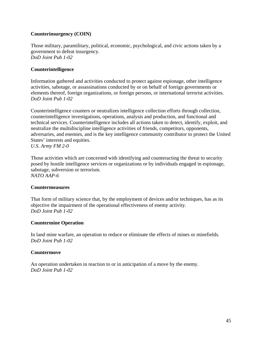# **Counterinsurgency (COIN)**

Those military, paramilitary, political, economic, psychological, and civic actions taken by a government to defeat insurgency. *DoD Joint Pub 1-02* 

## **Counterintelligence**

Information gathered and activities conducted to protect against espionage, other intelligence activities, sabotage, or assassinations conducted by or on behalf of foreign governments or elements thereof, foreign organizations, or foreign persons, or international terrorist activities. *DoD Joint Pub 1-02* 

Counterintelligence counters or neutralizes intelligence collection efforts through collection, counterintelligence investigations, operations, analysis and production, and functional and technical services. Counterintelligence includes all actions taken to detect, identify, exploit, and neutralize the multidiscipline intelligence activities of friends, competitors, opponents, adversaries, and enemies, and is the key intelligence community contributor to protect the United States' interests and equities. *U.S. Army FM 2-0* 

Those activities which are concerned with identifying and counteracting the threat to security posed by hostile intelligence services or organizations or by individuals engaged in espionage, sabotage, subversion or terrorism. *NATO AAP-6* 

## **Countermeasures**

That form of military science that, by the employment of devices and/or techniques, has as its objective the impairment of the operational effectiveness of enemy activity. *DoD Joint Pub 1-02* 

## **Countermine Operation**

In land mine warfare, an operation to reduce or eliminate the effects of mines or minefields. *DoD Joint Pub 1-02* 

### **Countermove**

An operation undertaken in reaction to or in anticipation of a move by the enemy. *DoD Joint Pub 1-02*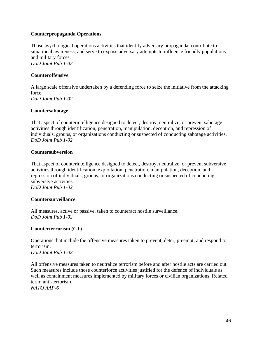## **Counterpropaganda Operations**

Those psychological operations activities that identify adversary propaganda, contribute to situational awareness, and serve to expose adversary attempts to influence friendly populations and military forces. *DoD Joint Pub 1-02* 

### **Counteroffensive**

A large scale offensive undertaken by a defending force to seize the initiative from the attacking force. *DoD Joint Pub 1-02* 

### **Countersabotage**

That aspect of counterintelligence designed to detect, destroy, neutralize, or prevent sabotage activities through identification, penetration, manipulation, deception, and repression of individuals, groups, or organizations conducting or suspected of conducting sabotage activities. *DoD Joint Pub 1-02*

### **Countersubversion**

That aspect of counterintelligence designed to detect, destroy, neutralize, or prevent subversive activities through identification, exploitation, penetration, manipulation, deception, and repression of individuals, groups, or organizations conducting or suspected of conducting subversive activities.

*DoD Joint Pub 1-02*

## **Countersurveillance**

All measures, active or passive, taken to counteract hostile surveillance. *DoD Joint Pub 1-02*

## **Counterterrorism (CT)**

Operations that include the offensive measures taken to prevent, deter, preempt, and respond to terrorism. *DoD Joint Pub 1-02* 

All offensive measures taken to neutralize terrorism before and after hostile acts are carried out. Such measures include those counterforce activities justified for the defence of individuals as well as containment measures implemented by military forces or civilian organizations. Related term: anti-terrorism.

*NATO AAP-6*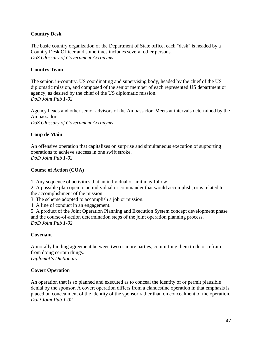# **Country Desk**

The basic country organization of the Department of State office, each "desk" is headed by a Country Desk Officer and sometimes includes several other persons. *DoS Glossary of Government Acronyms* 

# **Country Team**

The senior, in-country, US coordinating and supervising body, headed by the chief of the US diplomatic mission, and composed of the senior member of each represented US department or agency, as desired by the chief of the US diplomatic mission. *DoD Joint Pub 1-02* 

Agency heads and other senior advisors of the Ambassador. Meets at intervals determined by the Ambassador. *DoS Glossary of Government Acronyms* 

# **Coup de Main**

An offensive operation that capitalizes on surprise and simultaneous execution of supporting operations to achieve success in one swift stroke. *DoD Joint Pub 1-02* 

## **Course of Action (COA)**

1. Any sequence of activities that an individual or unit may follow.

2. A possible plan open to an individual or commander that would accomplish, or is related to the accomplishment of the mission.

3. The scheme adopted to accomplish a job or mission.

4. A line of conduct in an engagement.

5. A product of the Joint Operation Planning and Execution System concept development phase and the course-of-action determination steps of the joint operation planning process. *DoD Joint Pub 1-02* 

# **Covenant**

A morally binding agreement between two or more parties, committing them to do or refrain from doing certain things. *Diplomat's Dictionary* 

# **Covert Operation**

An operation that is so planned and executed as to conceal the identity of or permit plausible denial by the sponsor. A covert operation differs from a clandestine operation in that emphasis is placed on concealment of the identity of the sponsor rather than on concealment of the operation. *DoD Joint Pub 1-02*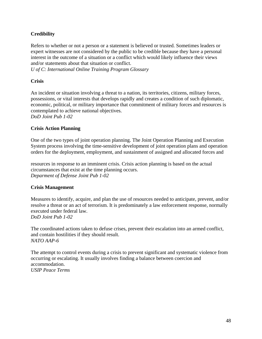# **Credibility**

Refers to whether or not a person or a statement is believed or trusted. Sometimes leaders or expert witnesses are not considered by the public to be credible because they have a personal interest in the outcome of a situation or a conflict which would likely influence their views and/or statements about that situation or conflict.

*U of C: International Online Training Program Glossary* 

# **Crisis**

An incident or situation involving a threat to a nation, its territories, citizens, military forces, possessions, or vital interests that develops rapidly and creates a condition of such diplomatic, economic, political, or military importance that commitment of military forces and resources is contemplated to achieve national objectives. *DoD Joint Pub 1-02* 

## **Crisis Action Planning**

One of the two types of joint operation planning. The Joint Operation Planning and Execution System process involving the time-sensitive development of joint operation plans and operation orders for the deployment, employment, and sustainment of assigned and allocated forces and

resources in response to an imminent crisis. Crisis action planning is based on the actual circumstances that exist at the time planning occurs. *Deparment of Defense Joint Pub 1-02* 

### **Crisis Management**

Measures to identify, acquire, and plan the use of resources needed to anticipate, prevent, and/or resolve a threat or an act of terrorism. It is predominately a law enforcement response, normally executed under federal law. *DoD Joint Pub 1-02* 

The coordinated actions taken to defuse crises, prevent their escalation into an armed conflict, and contain hostilities if they should result. *NATO AAP-6* 

The attempt to control events during a crisis to prevent significant and systematic violence from occurring or escalating. It usually involves finding a balance between coercion and accommodation. *USIP Peace Terms*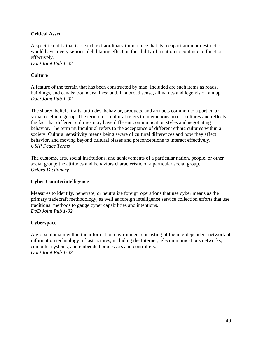# **Critical Asset**

A specific entity that is of such extraordinary importance that its incapacitation or destruction would have a very serious, debilitating effect on the ability of a nation to continue to function effectively.

*DoD Joint Pub 1-02* 

# **Culture**

A feature of the terrain that has been constructed by man. Included are such items as roads, buildings, and canals; boundary lines; and, in a broad sense, all names and legends on a map. *DoD Joint Pub 1-02* 

The shared beliefs, traits, attitudes, behavior, products, and artifacts common to a particular social or ethnic group. The term cross-cultural refers to interactions across cultures and reflects the fact that different cultures may have different communication styles and negotiating behavior. The term multicultural refers to the acceptance of different ethnic cultures within a society. Cultural sensitivity means being aware of cultural differences and how they affect behavior, and moving beyond cultural biases and preconceptions to interact effectively. *USIP Peace Terms* 

The customs, arts, social institutions, and achievements of a particular nation, people, or other social group; the attitudes and behaviors characteristic of a particular social group. *Oxford Dictionary* 

## **Cyber Counterintelligence**

Measures to identify, penetrate, or neutralize foreign operations that use cyber means as the primary tradecraft methodology, as well as foreign intelligence service collection efforts that use traditional methods to gauge cyber capabilities and intentions. *DoD Joint Pub 1-02* 

# **Cyberspace**

A global domain within the information environment consisting of the interdependent network of information technology infrastructures, including the Internet, telecommunications networks, computer systems, and embedded processors and controllers. *DoD Joint Pub 1-02*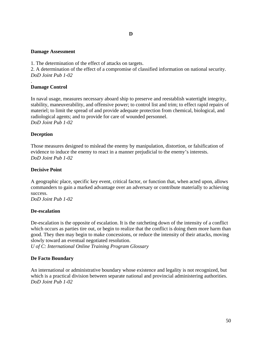#### **Damage Assessment**

1. The determination of the effect of attacks on targets.

2. A determination of the effect of a compromise of classified information on national security. *DoD Joint Pub 1-02*

#### . **Damage Control**

In naval usage, measures necessary aboard ship to preserve and reestablish watertight integrity, stability, maneuverability, and offensive power; to control list and trim; to effect rapid repairs of materiel; to limit the spread of and provide adequate protection from chemical, biological, and radiological agents; and to provide for care of wounded personnel. *DoD Joint Pub 1-02*

### **Deception**

Those measures designed to mislead the enemy by manipulation, distortion, or falsification of evidence to induce the enemy to react in a manner prejudicial to the enemy's interests. *DoD Joint Pub 1-02* 

### **Decisive Point**

A geographic place, specific key event, critical factor, or function that, when acted upon, allows commanders to gain a marked advantage over an adversary or contribute materially to achieving success.

*DoD Joint Pub 1-02* 

### **De-escalation**

De-escalation is the opposite of escalation. It is the ratcheting down of the intensity of a conflict which occurs as parties tire out, or begin to realize that the conflict is doing them more harm than good. They then may begin to make concessions, or reduce the intensity of their attacks, moving slowly toward an eventual negotiated resolution.

*U of C: International Online Training Program Glossary* 

### **De Facto Boundary**

An international or administrative boundary whose existence and legality is not recognized, but which is a practical division between separate national and provincial administering authorities. *DoD Joint Pub 1-02*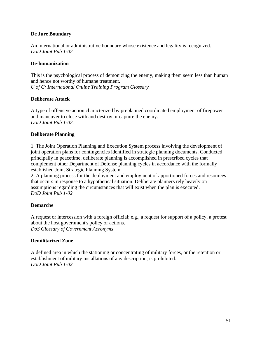# **De Jure Boundary**

An international or administrative boundary whose existence and legality is recognized. *DoD Joint Pub 1-02* 

### **De-humanization**

This is the psychological process of demonizing the enemy, making them seem less than human and hence not worthy of humane treatment. *U of C: International Online Training Program Glossary* 

## **Deliberate Attack**

A type of offensive action characterized by preplanned coordinated employment of firepower and maneuver to close with and destroy or capture the enemy. *DoD Joint Pub 1-02*.

## **Deliberate Planning**

1. The Joint Operation Planning and Execution System process involving the development of joint operation plans for contingencies identified in strategic planning documents. Conducted principally in peacetime, deliberate planning is accomplished in prescribed cycles that complement other Department of Defense planning cycles in accordance with the formally established Joint Strategic Planning System.

2. A planning process for the deployment and employment of apportioned forces and resources that occurs in response to a hypothetical situation. Deliberate planners rely heavily on assumptions regarding the circumstances that will exist when the plan is executed. *DoD Joint Pub 1-02* 

## **Demarche**

A request or intercession with a foreign official; e.g., a request for support of a policy, a protest about the host government's policy or actions. *DoS Glossary of Government Acronyms* 

## **Demilitarized Zone**

A defined area in which the stationing or concentrating of military forces, or the retention or establishment of military installations of any description, is prohibited. *DoD Joint Pub 1-02*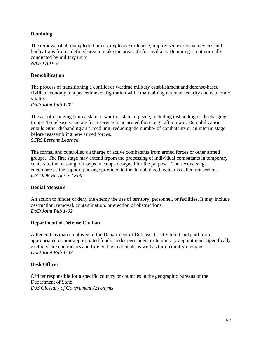# **Demining**

The removal of all unexploded mines, explosive ordnance, improvised explosive devices and booby traps from a defined area to make the area safe for civilians. Demining is not normally conducted by military units. *NATO AAP-6*

**Demobilization**

The process of transitioning a conflict or wartime military establishment and defense-based civilian economy to a peacetime configuration while maintaining national security and economic vitality.

*DoD Joint Pub 1-02* 

The act of changing from a state of war to a state of peace, including disbanding or discharging troops. To release someone from service in an armed force, e.g., after a war. Demobilization entails either disbanding an armed unit, reducing the number of combatants or an interim stage before reassembling new armed forces. *SCRS Lessons Learned* 

The formal and controlled discharge of active combatants from armed forces or other armed groups. The first stage may extend frpom the processing of individual combatants in temporary centers to the massing of troops in camps designed for the purpose. The second stage encompasses the support package provided to the demobolized, which is called reinsertion. *UN DDR Resource Center* 

### **Denial Measure**

An action to hinder or deny the enemy the use of territory, personnel, or facilities. It may include destruction, removal, contamination, or erection of obstructions. *DoD Joint Pub 1-02* 

### **Department of Defense Civilian**

A Federal civilian employee of the Department of Defense directly hired and paid from appropriated or non-appropriated funds, under permanent or temporary appointment. Specifically excluded are contractors and foreign host nationals as well as third country civilians. *DoD Joint Pub 1-02* 

### **Desk Officer**

Officer responsible for a specific country or countries in the geographic bureaus of the Department of State. *DoS Glossary of Government Acronyms*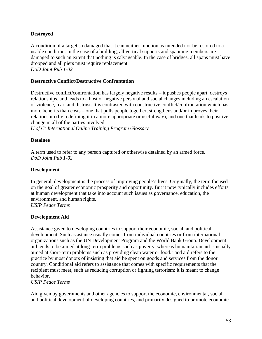# **Destroyed**

A condition of a target so damaged that it can neither function as intended nor be restored to a usable condition. In the case of a building, all vertical supports and spanning members are damaged to such an extent that nothing is salvageable. In the case of bridges, all spans must have dropped and all piers must require replacement. *DoD Joint Pub 1-02* 

### **Destructive Conflict/Destructive Confrontation**

Destructive conflict/confrontation has largely negative results – it pushes people apart, destroys relationships, and leads to a host of negative personal and social changes including an escalation of violence, fear, and distrust. It is contrasted with constructive conflict/confrontation which has more benefits than costs – one that pulls people together, strengthens and/or improves their relationship (by redefining it in a more appropriate or useful way), and one that leads to positive change in all of the parties involved.

*U of C: International Online Training Program Glossary* 

### **Detainee**

A term used to refer to any person captured or otherwise detained by an armed force. *DoD Joint Pub 1-02* 

### **Development**

In general, development is the process of improving people's lives. Originally, the term focused on the goal of greater economic prosperity and opportunity. But it now typically includes efforts at human development that take into account such issues as governance, education, the environment, and human rights. *USIP Peace Terms*

### **Development Aid**

Assistance given to developing countries to support their economic, social, and political development. Such assistance usually comes from individual countries or from international organizations such as the UN Development Program and the World Bank Group. Development aid tends to be aimed at long-term problems such as poverty, whereas humanitarian aid is usually aimed at short-term problems such as providing clean water or food. Tied aid refers to the practice by most donors of insisting that aid be spent on goods and services from the donor country. Conditional aid refers to assistance that comes with specific requirements that the recipient must meet, such as reducing corruption or fighting terrorism; it is meant to change behavior.

#### *USIP Peace Terms*

Aid given by governments and other agencies to support the economic, environmental, social and political development of developing countries, and primarily designed to promote economic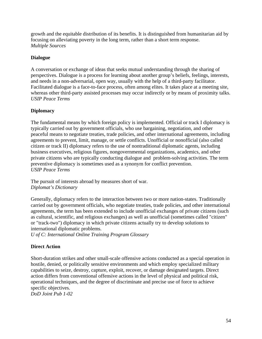growth and the equitable distribution of its benefits. It is distinguished from humanitarian aid by focusing on alleviating poverty in the long term, rather than a short term response. *Multiple Sources* 

# **Dialogue**

A conversation or exchange of ideas that seeks mutual understanding through the sharing of perspectives. Dialogue is a process for learning about another group's beliefs, feelings, interests, and needs in a non-adversarial, open way, usually with the help of a third-party facilitator. Facilitated dialogue is a face-to-face process, often among elites. It takes place at a meeting site, whereas other third-party assisted processes may occur indirectly or by means of proximity talks. *USIP Peace Terms* 

## **Diplomacy**

The fundamental means by which foreign policy is implemented. Official or track I diplomacy is typically carried out by government officials, who use bargaining, negotiation, and other peaceful means to negotiate treaties, trade policies, and other international agreements, including agreements to prevent, limit, manage, or settle conflicts. Unofficial or nonofficial (also called citizen or track II) diplomacy refers to the use of nontraditional diplomatic agents, including business executives, religious figures, nongovernmental organizations, academics, and other private citizens who are typically conducting dialogue and problem-solving activities. The term preventive diplomacy is sometimes used as a synonym for conflict prevention. *USIP Peace Terms* 

The pursuit of interests abroad by measures short of war. *Diplomat's Dictionary* 

Generally, diplomacy refers to the interaction between two or more nation-states. Traditionally carried out by government officials, who negotiate treaties, trade policies, and other international agreements, the term has been extended to include unofficial exchanges of private citizens (such as cultural, scientific, and religious exchanges) as well as unofficial (sometimes called "citizen" or "track-two") diplomacy in which private citizens actually try to develop solutions to international diplomatic problems.

*U of C: International Online Training Program Glossary* 

## **Direct Action**

Short-duration strikes and other small-scale offensive actions conducted as a special operation in hostile, denied, or politically sensitive environments and which employ specialized military capabilities to seize, destroy, capture, exploit, recover, or damage designated targets. Direct action differs from conventional offensive actions in the level of physical and political risk, operational techniques, and the degree of discriminate and precise use of force to achieve specific objectives. *DoD Joint Pub 1-02*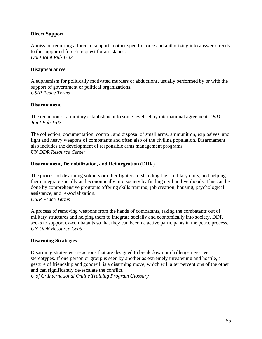# **Direct Support**

A mission requiring a force to support another specific force and authorizing it to answer directly to the supported force's request for assistance. *DoD Joint Pub 1-02* 

### **Disappearances**

A euphemism for politically motivated murders or abductions, usually performed by or with the support of government or political organizations. *USIP Peace Terms* 

### **Disarmament**

The reduction of a military establishment to some level set by international agreement. *DoD Joint Pub 1-02* 

The collection, documentation, control, and disposal of small arms, ammunition, explosives, and light and heavy weapons of combatants and often also of the civilina population. Disarmament also includes the development of responsible arms management programs. *UN DDR Resource Center* 

## **Disarmament, Demobilization, and Reintegration (DDR**)

The process of disarming soldiers or other fighters, disbanding their military units, and helping them integrate socially and economically into society by finding civilian livelihoods. This can be done by comprehensive programs offering skills training, job creation, housing, psychological assistance, and re-socialization. *USIP Peace Terms* 

A process of removing weapons from the hands of combatants, taking the combatants out of military structures and helping them to integrate socially and economically into society, DDR seeks to support ex-combatants so that they can become active participants in the peace process. *UN DDR Resource Center* 

## **Disarming Strategies**

Disarming strategies are actions that are designed to break down or challenge negative stereotypes. If one person or group is seen by another as extremely threatening and hostile, a gesture of friendship and goodwill is a disarming move, which will alter perceptions of the other and can significantly de-escalate the conflict.

*U of C: International Online Training Program Glossary*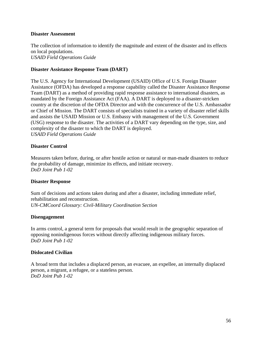### **Disaster Assessment**

The collection of information to identify the magnitude and extent of the disaster and its effects on local populations. *USAID Field Operations Guide*

### **Disaster Assistance Response Team (DART)**

The U.S. Agency for International Development (USAID) Office of U.S. Foreign Disaster Assistance (OFDA) has developed a response capability called the Disaster Assistance Response Team (DART) as a method of providing rapid response assistance to international disasters, as mandated by the Foreign Assistance Act (FAA). A DART is deployed to a disaster-stricken country at the discretion of the OFDA Director and with the concurrence of the U.S. Ambassador or Chief of Mission. The DART consists of specialists trained in a variety of disaster relief skills and assists the USAID Mission or U.S. Embassy with management of the U.S. Government (USG) response to the disaster. The activities of a DART vary depending on the type, size, and complexity of the disaster to which the DART is deployed. *USAID Field Operations Guide* 

### **Disaster Control**

Measures taken before, during, or after hostile action or natural or man-made disasters to reduce the probability of damage, minimize its effects, and initiate recovery. *DoD Joint Pub 1-02*

### **Disaster Response**

Sum of decisions and actions taken during and after a disaster, including immediate relief, rehabilitation and reconstruction. *UN-CMCoord Glossary: Civil-Military Coordination Section* 

### **Disengagement**

In arms control, a general term for proposals that would result in the geographic separation of opposing nonindigenous forces without directly affecting indigenous military forces. *DoD Joint Pub 1-02*

### **Dislocated Civilian**

A broad term that includes a displaced person, an evacuee, an expellee, an internally displaced person, a migrant, a refugee, or a stateless person. *DoD Joint Pub 1-02*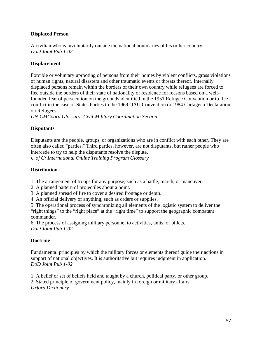### **Displaced Person**

A civilian who is involuntarily outside the national boundaries of his or her country. *DoD Joint Pub 1-02* 

### **Displacement**

Forcible or voluntary uprooting of persons from their homes by violent conflicts, gross violations of human rights, natural disasters and other traumatic events or threats thereof. Internally displaced persons remain within the borders of their own country while refugees are forced to flee outside the borders of their state of nationality or residence for reasons based on a wellfounded fear of persecution on the grounds identified in the 1951 Refugee Convention or to flee conflict in the case of States Parties to the 1969 OAU Convention or 1984 Cartagena Declaration on Refugees.

*UN-CMCoord Glossary: Civil-Military Coordination Section* 

## **Disputants**

Disputants are the people, groups, or organizations who are in conflict with each other. They are often also called "parties." Third parties, however, are not disputants, but rather people who intercede to try to help the disputants resolve the dispute. *U of C: International Online Training Program Glossary* 

### **Distribution**

1. The arrangement of troops for any purpose, such as a battle, march, or maneuver.

2. A planned pattern of projectiles about a point.

3. A planned spread of fire to cover a desired frontage or depth.

4. An official delivery of anything, such as orders or supplies.

5. The operational process of synchronizing all elements of the logistic system to deliver the "right things" to the "right place" at the "right time" to support the geographic combatant commander.

6. The process of assigning military personnel to activities, units, or billets. *DoD Joint Pub 1-02* 

## **Doctrine**

Fundamental principles by which the military forces or elements thereof guide their actions in support of national objectives. It is authoritative but requires judgment in application. *DoD Joint Pub 1-02* 

1. A belief or set of beliefs held and taught by a church, political party, or other group. 2. Stated principle of government policy, mainly in foreign or military affairs. *Oxford Dictionary*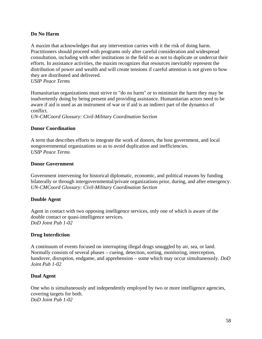### **Do No Harm**

A maxim that acknowledges that any intervention carries with it the risk of doing harm. Practitioners should proceed with programs only after careful consideration and widespread consultation, including with other institutions in the field so as not to duplicate or undercut their efforts. In assistance activities, the maxim recognizes that resources inevitably represent the distribution of power and wealth and will create tensions if careful attention is not given to how they are distributed and delivered.

*USIP Peace Terms* 

Humanitarian organizations must strive to "do no harm" or to minimize the harm they may be inadvertently doing by being present and providing assistance. Humanitarian actors need to be aware if aid is used as an instrument of war or if aid is an indirect part of the dynamics of conflict.

*UN-CMCoord Glossary: Civil-Military Coordination Section*

### **Donor Coordination**

A term that describes efforts to integrate the work of donors, the host government, and local nongovernmental organizations so as to avoid duplication and inefficiencies. *USIP Peace Terms*

### **Donor Government**

Government intervening for historical diplomatic, economic, and political reasons by funding bilaterally or through intergovernmental/private organizations prior, during, and after emergency. *UN-CMCoord Glossary: Civil-Military Coordination Section* 

### **Double Agent**

Agent in contact with two opposing intelligence services, only one of which is aware of the double contact or quasi-intelligence services. *DoD Joint Pub 1-02* 

### **Drug Interdiction**

A continuum of events focused on interrupting illegal drugs smuggled by air, sea, or land. Normally consists of several phases – cueing, detection, sorting, monitoring, interception, handover, disruption, endgame, and apprehension – some which may occur simultaneously. *DoD Joint Pub 1-02* 

### **Dual Agent**

One who is simultaneously and independently employed by two or more intelligence agencies, covering targets for both. *DoD Joint Pub 1-02*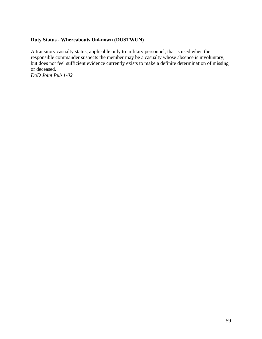# **Duty Status - Whereabouts Unknown (DUSTWUN)**

A transitory casualty status, applicable only to military personnel, that is used when the responsible commander suspects the member may be a casualty whose absence is involuntary, but does not feel sufficient evidence currently exists to make a definite determination of missing or deceased.

*DoD Joint Pub 1-02*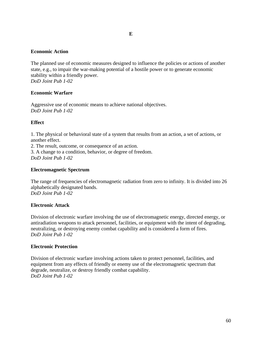### **Economic Action**

The planned use of economic measures designed to influence the policies or actions of another state, e.g., to impair the war-making potential of a hostile power or to generate economic stability within a friendly power. *DoD Joint Pub 1-02* 

#### **Economic Warfare**

Aggressive use of economic means to achieve national objectives. *DoD Joint Pub 1-02* 

#### **Effect**

1. The physical or behavioral state of a system that results from an action, a set of actions, or another effect.

2. The result, outcome, or consequence of an action.

3. A change to a condition, behavior, or degree of freedom. *DoD Joint Pub 1-02*

#### **Electromagnetic Spectrum**

The range of frequencies of electromagnetic radiation from zero to infinity. It is divided into 26 alphabetically designated bands. *DoD Joint Pub 1-02*

#### **Electronic Attack**

Division of electronic warfare involving the use of electromagnetic energy, directed energy, or antiradiation weapons to attack personnel, facilities, or equipment with the intent of degrading, neutralizing, or destroying enemy combat capability and is considered a form of fires. *DoD Joint Pub 1-02* 

#### **Electronic Protection**

Division of electronic warfare involving actions taken to protect personnel, facilities, and equipment from any effects of friendly or enemy use of the electromagnetic spectrum that degrade, neutralize, or destroy friendly combat capability. *DoD Joint Pub 1-02*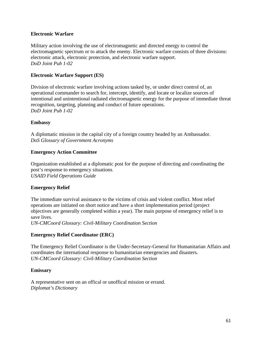### **Electronic Warfare**

Military action involving the use of electromagnetic and directed energy to control the electromagnetic spectrum or to attack the enemy. Electronic warfare consists of three divisions: electronic attack, electronic protection, and electronic warfare support. *DoD Joint Pub 1-02* 

### **Electronic Warfare Support (ES)**

Division of electronic warfare involving actions tasked by, or under direct control of, an operational commander to search for, intercept, identify, and locate or localize sources of intentional and unintentional radiated electromagnetic energy for the purpose of immediate threat recognition, targeting, planning and conduct of future operations. *DoD Joint Pub 1-02*

### **Embassy**

A diplomatic mission in the capital city of a foreign country headed by an Ambassador. *DoS Glossary of Government Acronyms* 

### **Emergency Action Committee**

Organization established at a diplomatic post for the purpose of directing and coordinating the post's response to emergency situations. *USAID Field Operations Guide* 

#### **Emergency Relief**

The immediate survival assistance to the victims of crisis and violent conflict. Most relief operations are initiated on short notice and have a short implementation period (project objectives are generally completed within a year). The main purpose of emergency relief is to save lives.

*UN-CMCoord Glossary: Civil-Military Coordination Section* 

### **Emergency Relief Coordinator (ERC)**

The Emergency Relief Coordinator is the Under-Secretary-General for Humanitarian Affairs and coordinates the international response to humanitarian emergencies and disasters. *UN-CMCoord Glossary: Civil-Military Coordination Section* 

#### **Emissary**

A representative sent on an offical or unoffical mission or errand. *Diplomat's Dictionary*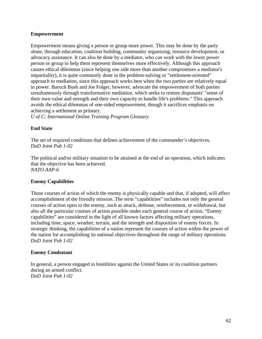### **Empowerment**

Empowerment means giving a person or group more power. This may be done by the party alone, through education, coalition building, community organizing, resource development, or advocacy assistance. It can also be done by a mediator, who can work with the lower power person or group to help them represent themselves more effectively. Although this approach causes ethical dilemmas (since helping one side more than another compromises a mediator's impartiality), it is quite commonly done in the problem-solving or "settlement-oriented" approach to mediation, since this approach works best when the two parties are relatively equal in power. Baruch Bush and Joe Folger, however, advocate the empowerment of both parties simultaneously through transformative mediation, which seeks to restore disputants' "sense of their own value and strength and their own capacity to handle life's problems." This approach avoids the ethical dilemmas of one-sided empowerment, though it sacrifices emphasis on achieving a settlement as primary.

*U of C: International Online Training Program Glossary* 

## **End State**

The set of required conditions that defines achievement of the commander's objectives. *DoD Joint Pub 1-02* 

The political and/or military situation to be attained at the end of an operation, which indicates that the objective has been achieved. *NATO AAP-6*

## **Enemy Capabilities**

Those courses of action of which the enemy is physically capable and that, if adopted, will affect accomplishment of the friendly mission. The term "capabilities" includes not only the general courses of action open to the enemy, such as attack, defense, reinforcement, or withdrawal, but also all the particular courses of action possible under each general course of action. "Enemy capabilities" are considered in the light of all known factors affecting military operations, including time, space, weather, terrain, and the strength and disposition of enemy forces. In strategic thinking, the capabilities of a nation represent the courses of action within the power of the nation for accomplishing its national objectives throughout the range of military operations. *DoD Joint Pub 1-02* 

### **Enemy Combatant**

In general, a person engaged in hostilities against the United States or its coalition partners during an armed conflict. *DoD Joint Pub 1-02*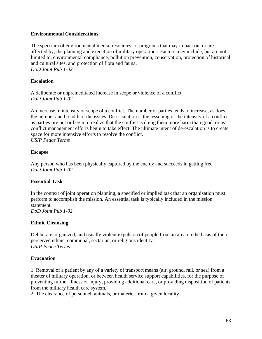### **Environmental Considerations**

The spectrum of environmental media, resources, or programs that may impact on, or are affected by, the planning and execution of military operations. Factors may include, but are not limited to, environmental compliance, pollution prevention, conservation, protection of historical and cultural sites, and protection of flora and fauna. *DoD Joint Pub 1-02* 

## **Escalation**

A deliberate or unpremeditated increase in scope or violence of a conflict. *DoD Joint Pub 1-02* 

An increase in intensity or scope of a conflict. The number of parties tends to increase, as does the number and breadth of the issues. De-escalation is the lessening of the intensity of a conflict as parties tire out or begin to realize that the conflict is doing them more harm than good, or as conflict management efforts begin to take effect. The ultimate intent of de-escalation is to create space for more intensive efforts to resolve the conflict. *USIP Peace Terms* 

## **Escapee**

Any person who has been physically captured by the enemy and succeeds in getting free. *DoD Joint Pub 1-02* 

## **Essential Task**

In the context of joint operation planning, a specified or implied task that an organization must perform to accomplish the mission. An essential task is typically included in the mission statement. *DoD Joint Pub 1-02* 

### **Ethnic Cleansing**

Deliberate, organized, and usually violent expulsion of people from an area on the basis of their perceived ethnic, communal, sectarian, or religious identity. *USIP Peace Terms* 

### **Evacuation**

1. Removal of a patient by any of a variety of transport means (air, ground, rail, or sea) from a theater of military operation, or between health service support capabilities, for the purpose of preventing further illness or injury, providing additional care, or providing disposition of patients from the military health care system.

2. The clearance of personnel, animals, or materiel from a given locality.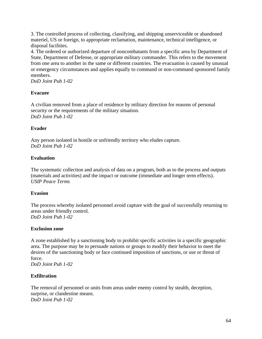3. The controlled process of collecting, classifying, and shipping unserviceable or abandoned materiel, US or foreign, to appropriate reclamation, maintenance, technical intelligence, or disposal facilities.

4. The ordered or authorized departure of noncombatants from a specific area by Department of State, Department of Defense, or appropriate military commander. This refers to the movement from one area to another in the same or different countries. The evacuation is caused by unusual or emergency circumstances and applies equally to command or non-command sponsored family members.

*DoD Joint Pub 1-02* 

## **Evacuee**

A civilian removed from a place of residence by military direction for reasons of personal security or the requirements of the military situation. *DoD Joint Pub 1-02* 

# **Evader**

Any person isolated in hostile or unfriendly territory who eludes capture. *DoD Joint Pub 1-02* 

# **Evaluation**

The systematic collection and analysis of data on a program, both as to the process and outputs (materials and activities) and the impact or outcome (immediate and longer term effects). *USIP Peace Terms*

## **Evasion**

The process whereby isolated personnel avoid capture with the goal of successfully returning to areas under friendly control. *DoD Joint Pub 1-02* 

## **Exclusion zone**

A zone established by a sanctioning body to prohibit specific activities in a specific geographic area. The purpose may be to persuade nations or groups to modify their behavior to meet the desires of the sanctioning body or face continued imposition of sanctions, or use or threat of force.

*DoD Joint Pub 1-02* 

# **Exfiltration**

The removal of personnel or units from areas under enemy control by stealth, deception, surprise, or clandestine means. *DoD Joint Pub 1-02*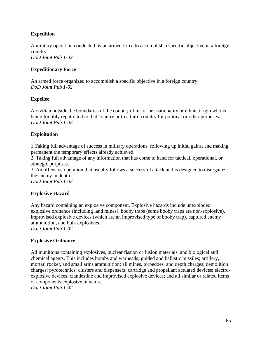# **Expedition**

A military operation conducted by an armed force to accomplish a specific objective in a foreign country. *DoD Joint Pub 1-02* 

# **Expeditionary Force**

An armed force organized to accomplish a specific objective in a foreign country. *DoD Joint Pub 1-02* 

# **Expellee**

A civilian outside the boundaries of the country of his or her nationality or ethnic origin who is being forcibly repatriated to that country or to a third country for political or other purposes. *DoD Joint Pub 1-02* 

# **Exploitation**

1.Taking full advantage of success in military operations, following up initial gains, and making permanent the temporary effects already achieved.

2. Taking full advantage of any information that has come to hand for tactical, operational, or strategic purposes.

3. An offensive operation that usually follows a successful attack and is designed to disorganize the enemy in depth.

*DoD Joint Pub 1-02* 

# **Explosive Hazard**

Any hazard containing an explosive component. Explosive hazards include unexploded explosive ordnance (including land mines), booby traps (some booby traps are non-explosive), improvised explosive devices (which are an improvised type of booby trap), captured enemy ammunition, and bulk explosives.

*DoD Joint Pub 1-02* 

## **Explosive Ordnance**

All munitions containing explosives, nuclear fission or fusion materials, and biological and chemical agents. This includes bombs and warheads; guided and ballistic missiles; artillery, mortar, rocket, and small arms ammunition; all mines, torpedoes, and depth charges; demolition charges; pyrotechnics; clusters and dispensers; cartridge and propellant actuated devices; electroexplosive devices; clandestine and improvised explosive devices; and all similar or related items or components explosive in nature.

*DoD Joint Pub 1-02*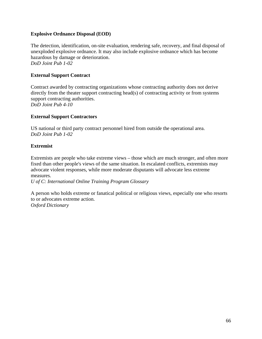# **Explosive Ordnance Disposal (EOD)**

The detection, identification, on-site evaluation, rendering safe, recovery, and final disposal of unexploded explosive ordnance. It may also include explosive ordnance which has become hazardous by damage or deterioration. *DoD Joint Pub 1-02* 

# **External Support Contract**

Contract awarded by contracting organizations whose contracting authority does not derive directly from the theater support contracting head(s) of contracting activity or from systems support contracting authorities. *DoD Joint Pub 4-10*

### **External Support Contractors**

US national or third party contract personnel hired from outside the operational area. *DoD Joint Pub 1-02* 

### **Extremist**

Extremists are people who take extreme views – those which are much stronger, and often more fixed than other people's views of the same situation. In escalated conflicts, extremists may advocate violent responses, while more moderate disputants will advocate less extreme measures.

*U of C: International Online Training Program Glossary* 

A person who holds extreme or fanatical political or religious views, especially one who resorts to or advocates extreme action. *Oxford Dictionary*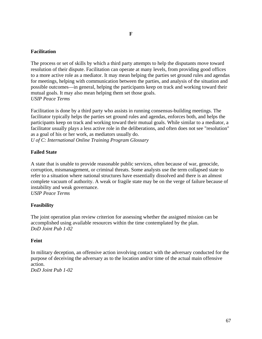#### **Facilitation**

The process or set of skills by which a third party attempts to help the disputants move toward resolution of their dispute. Facilitation can operate at many levels, from providing good offices to a more active role as a mediator. It may mean helping the parties set ground rules and agendas for meetings, helping with communication between the parties, and analysis of the situation and possible outcomes—in general, helping the participants keep on track and working toward their mutual goals. It may also mean helping them set those goals. *USIP Peace Terms* 

Facilitation is done by a third party who assists in running consensus-building meetings. The facilitator typically helps the parties set ground rules and agendas, enforces both, and helps the participants keep on track and working toward their mutual goals. While similar to a mediator, a facilitator usually plays a less active role in the deliberations, and often does not see "resolution" as a goal of his or her work, as mediators usually do. *U of C: International Online Training Program Glossary* 

### **Failed State**

A state that is unable to provide reasonable public services, often because of war, genocide, corruption, mismanagement, or criminal threats. Some analysts use the term collapsed state to refer to a situation where national structures have essentially dissolved and there is an almost complete vacuum of authority. A weak or fragile state may be on the verge of failure because of instability and weak governance.

*USIP Peace Terms*

#### **Feasibility**

The joint operation plan review criterion for assessing whether the assigned mission can be accomplished using available resources within the time contemplated by the plan. *DoD Joint Pub 1-02* 

#### **Feint**

In military deception, an offensive action involving contact with the adversary conducted for the purpose of deceiving the adversary as to the location and/or time of the actual main offensive action.

*DoD Joint Pub 1-02*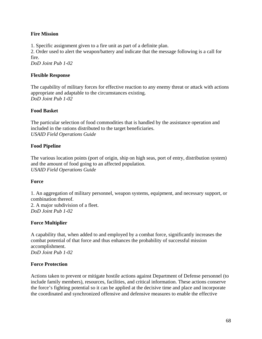### **Fire Mission**

1. Specific assignment given to a fire unit as part of a definite plan.

2. Order used to alert the weapon/battery and indicate that the message following is a call for fire.

*DoD Joint Pub 1-02* 

### **Flexible Response**

The capability of military forces for effective reaction to any enemy threat or attack with actions appropriate and adaptable to the circumstances existing. *DoD Joint Pub 1-02* 

# **Food Basket**

The particular selection of food commodities that is handled by the assistance operation and included in the rations distributed to the target beneficiaries. *USAID Field Operations Guide* 

# **Food Pipeline**

The various location points (port of origin, ship on high seas, port of entry, distribution system) and the amount of food going to an affected population. *USAID Field Operations Guide* 

### **Force**

1. An aggregation of military personnel, weapon systems, equipment, and necessary support, or combination thereof. 2. A major subdivision of a fleet. *DoD Joint Pub 1-02*

### **Force Multiplier**

A capability that, when added to and employed by a combat force, significantly increases the combat potential of that force and thus enhances the probability of successful mission accomplishment. *DoD Joint Pub 1-02* 

### **Force Protection**

Actions taken to prevent or mitigate hostile actions against Department of Defense personnel (to include family members), resources, facilities, and critical information. These actions conserve the force's fighting potential so it can be applied at the decisive time and place and incorporate the coordinated and synchronized offensive and defensive measures to enable the effective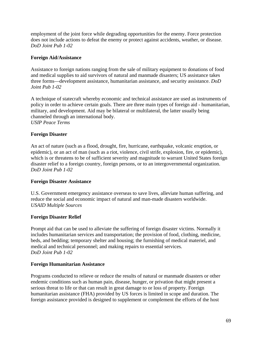employment of the joint force while degrading opportunities for the enemy. Force protection does not include actions to defeat the enemy or protect against accidents, weather, or disease. *DoD Joint Pub 1-02* 

### **Foreign Aid/Assistance**

Assistance to foreign nations ranging from the sale of military equipment to donations of food and medical supplies to aid survivors of natural and manmade disasters; US assistance takes three forms—development assistance, humanitarian assistance, and security assistance. *DoD Joint Pub 1-02* 

A technique of statecraft whereby economic and technical assistance are used as instruments of policy in order to achieve certain goals. There are three main types of foreign aid - humanitarian, military, and development. Aid may be bilateral or multilateral, the latter usually being channeled through an international body. *USIP Peace Terms* 

# **Foreign Disaster**

An act of nature (such as a flood, drought, fire, hurricane, earthquake, volcanic eruption, or epidemic), or an act of man (such as a riot, violence, civil strife, explosion, fire, or epidemic), which is or threatens to be of sufficient severity and magnitude to warrant United States foreign disaster relief to a foreign country, foreign persons, or to an intergovernmental organization. *DoD Joint Pub 1-02* 

### **Foreign Disaster Assistance**

U.S. Government emergency assistance overseas to save lives, alleviate human suffering, and reduce the social and economic impact of natural and man-made disasters worldwide. *USAID Multiple Sources*

# **Foreign Disaster Relief**

Prompt aid that can be used to alleviate the suffering of foreign disaster victims. Normally it includes humanitarian services and transportation; the provision of food, clothing, medicine, beds, and bedding; temporary shelter and housing; the furnishing of medical materiel, and medical and technical personnel; and making repairs to essential services. *DoD Joint Pub 1-02* 

# **Foreign Humanitarian Assistance**

Programs conducted to relieve or reduce the results of natural or manmade disasters or other endemic conditions such as human pain, disease, hunger, or privation that might present a serious threat to life or that can result in great damage to or loss of property. Foreign humanitarian assistance (FHA) provided by US forces is limited in scope and duration. The foreign assistance provided is designed to supplement or complement the efforts of the host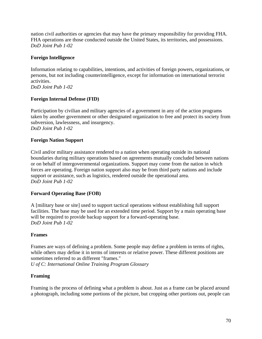nation civil authorities or agencies that may have the primary responsibility for providing FHA. FHA operations are those conducted outside the United States, its territories, and possessions. *DoD Joint Pub 1-02* 

### **Foreign Intelligence**

Information relating to capabilities, intentions, and activities of foreign powers, organizations, or persons, but not including counterintelligence, except for information on international terrorist activities.

*DoD Joint Pub 1-02* 

# **Foreign Internal Defense (FID)**

Participation by civilian and military agencies of a government in any of the action programs taken by another government or other designated organization to free and protect its society from subversion, lawlessness, and insurgency. *DoD Joint Pub 1-02* 

### **Foreign Nation Support**

Civil and/or military assistance rendered to a nation when operating outside its national boundaries during military operations based on agreements mutually concluded between nations or on behalf of intergovernmental organizations. Support may come from the nation in which forces are operating. Foreign nation support also may be from third party nations and include support or assistance, such as logistics, rendered outside the operational area. *DoD Joint Pub 1-02* 

### **Forward Operating Base (FOB)**

A [military base or site] used to support tactical operations without establishing full support facilities. The base may be used for an extended time period. Support by a main operating base will be required to provide backup support for a forward-operating base. *DoD Joint Pub 1-02* 

### **Frames**

Frames are ways of defining a problem. Some people may define a problem in terms of rights, while others may define it in terms of interests or relative power. These different positions are sometimes referred to as different "frames."

*U of C: International Online Training Program Glossary* 

### **Framing**

Framing is the process of defining what a problem is about. Just as a frame can be placed around a photograph, including some portions of the picture, but cropping other portions out, people can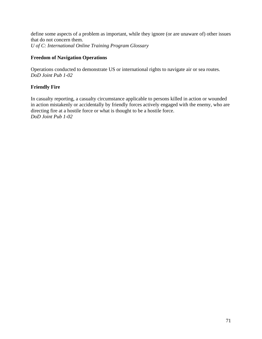define some aspects of a problem as important, while they ignore (or are unaware of) other issues that do not concern them. *U of C: International Online Training Program Glossary* 

### **Freedom of Navigation Operations**

Operations conducted to demonstrate US or international rights to navigate air or sea routes. *DoD Joint Pub 1-02* 

# **Friendly Fire**

In casualty reporting, a casualty circumstance applicable to persons killed in action or wounded in action mistakenly or accidentally by friendly forces actively engaged with the enemy, who are directing fire at a hostile force or what is thought to be a hostile force. *DoD Joint Pub 1-02*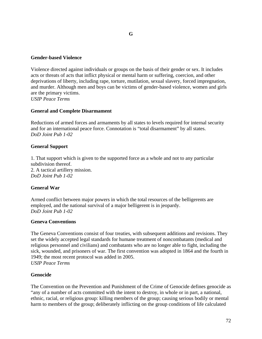#### **Gender-based Violence**

Violence directed against individuals or groups on the basis of their gender or sex. It includes acts or threats of acts that inflict physical or mental harm or suffering, coercion, and other deprivations of liberty, including rape, torture, mutilation, sexual slavery, forced impregnation, and murder. Although men and boys can be victims of gender-based violence, women and girls are the primary victims. *USIP Peace Terms*

#### **General and Complete Disarmament**

Reductions of armed forces and armaments by all states to levels required for internal security and for an international peace force. Connotation is "total disarmament" by all states. *DoD Joint Pub 1-02* 

#### **General Support**

1. That support which is given to the supported force as a whole and not to any particular subdivision thereof.

2. A tactical artillery mission. *DoD Joint Pub 1-02* 

#### **General War**

Armed conflict between major powers in which the total resources of the belligerents are employed, and the national survival of a major belligerent is in jeopardy. *DoD Joint Pub 1-02* 

#### **Geneva Conventions**

The Geneva Conventions consist of four treaties, with subsequent additions and revisions. They set the widely accepted legal standards for humane treatment of noncombatants (medical and religious personnel and civilians) and combatants who are no longer able to fight, including the sick, wounded, and prisoners of war. The first convention was adopted in 1864 and the fourth in 1949; the most recent protocol was added in 2005. *USIP Peace Terms*

#### **Genocide**

The Convention on the Prevention and Punishment of the Crime of Genocide defines genocide as "any of a number of acts committed with the intent to destroy, in whole or in part, a national, ethnic, racial, or religious group: killing members of the group; causing serious bodily or mental harm to members of the group; deliberately inflicting on the group conditions of life calculated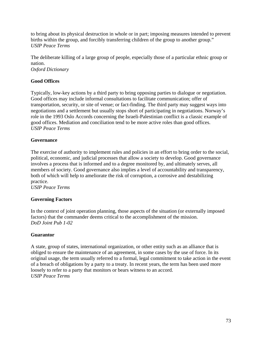to bring about its physical destruction in whole or in part; imposing measures intended to prevent births within the group, and forcibly transferring children of the group to another group." *USIP Peace Terms* 

The deliberate killing of a large group of people, especially those of a particular ethnic group or nation. *Oxford Dictionary* 

# **Good Offices**

Typically, low-key actions by a third party to bring opposing parties to dialogue or negotiation. Good offices may include informal consultations to facilitate communication; offer of transportation, security, or site of venue; or fact-finding. The third party may suggest ways into negotiations and a settlement but usually stops short of participating in negotiations. Norway's role in the 1993 Oslo Accords concerning the Israeli-Palestinian conflict is a classic example of good offices. Mediation and conciliation tend to be more active roles than good offices. *USIP Peace Terms* 

# **Governance**

The exercise of authority to implement rules and policies in an effort to bring order to the social, political, economic, and judicial processes that allow a society to develop. Good governance involves a process that is informed and to a degree monitored by, and ultimately serves, all members of society. Good governance also implies a level of accountability and transparency, both of which will help to ameliorate the risk of corruption, a corrosive and destabilizing practice.

*USIP Peace Terms*

### **Governing Factors**

In the context of joint operation planning, those aspects of the situation (or externally imposed factors) that the commander deems critical to the accomplishment of the mission. *DoD Joint Pub 1-02* 

### **Guarantor**

A state, group of states, international organization, or other entity such as an alliance that is obliged to ensure the maintenance of an agreement, in some cases by the use of force. In its original usage, the term usually referred to a formal, legal commitment to take action in the event of a breach of obligations by a party to a treaty. In recent years, the term has been used more loosely to refer to a party that monitors or bears witness to an accord. *USIP Peace Terms*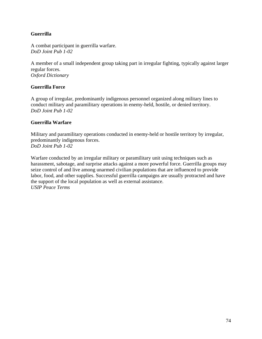### **Guerrilla**

A combat participant in guerrilla warfare. *DoD Joint Pub 1-02* 

A member of a small independent group taking part in irregular fighting, typically against larger regular forces. *Oxford Dictionary* 

### **Guerrilla Force**

A group of irregular, predominantly indigenous personnel organized along military lines to conduct military and paramilitary operations in enemy-held, hostile, or denied territory. *DoD Joint Pub 1-02* 

### **Guerrilla Warfare**

Military and paramilitary operations conducted in enemy-held or hostile territory by irregular, predominantly indigenous forces. *DoD Joint Pub 1-02* 

Warfare conducted by an irregular military or paramilitary unit using techniques such as harassment, sabotage, and surprise attacks against a more powerful force. Guerrilla groups may seize control of and live among unarmed civilian populations that are influenced to provide labor, food, and other supplies. Successful guerrilla campaigns are usually protracted and have the support of the local population as well as external assistance. *USIP Peace Terms*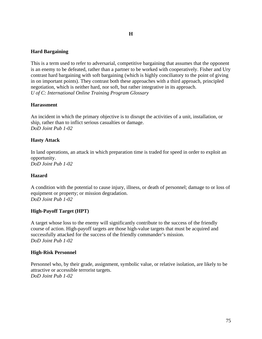### **Hard Bargaining**

This is a term used to refer to adversarial, competitive bargaining that assumes that the opponent is an enemy to be defeated, rather than a partner to be worked with cooperatively. Fisher and Ury contrast hard bargaining with soft bargaining (which is highly conciliatory to the point of giving in on important points). They contrast both these approaches with a third approach, principled negotiation, which is neither hard, nor soft, but rather integrative in its approach. *U of C: International Online Training Program Glossary* 

#### **Harassment**

An incident in which the primary objective is to disrupt the activities of a unit, installation, or ship, rather than to inflict serious casualties or damage. *DoD Joint Pub 1-02* 

#### **Hasty Attack**

In land operations, an attack in which preparation time is traded for speed in order to exploit an opportunity. *DoD Joint Pub 1-02* 

#### **Hazard**

A condition with the potential to cause injury, illness, or death of personnel; damage to or loss of equipment or property; or mission degradation. *DoD Joint Pub 1-02* 

#### **High-Payoff Target (HPT)**

A target whose loss to the enemy will significantly contribute to the success of the friendly course of action. High-payoff targets are those high-value targets that must be acquired and successfully attacked for the success of the friendly commander's mission. *DoD Joint Pub 1-02* 

#### **High-Risk Personnel**

Personnel who, by their grade, assignment, symbolic value, or relative isolation, are likely to be attractive or accessible terrorist targets. *DoD Joint Pub 1-02*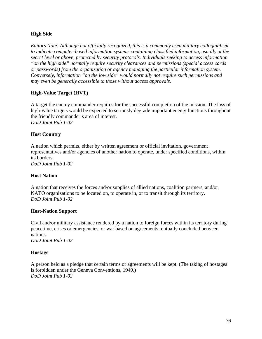### **High Side**

*Editors Note: Although not officially recognized, this is a commonly used military colloquialism to indicate computer-based information systems containing classified information, usually at the secret level or above, protected by security protocols. Individuals seeking to access information "on the high side" normally require security clearances and permissions (special access cards or passwords) from the organization or agency managing the particular information system. Conversely, information "on the low side" would normally not require such permissions and may even be generally accessible to those without access approvals.* 

### **High-Value Target (HVT)**

A target the enemy commander requires for the successful completion of the mission. The loss of high-value targets would be expected to seriously degrade important enemy functions throughout the friendly commander's area of interest. *DoD Joint Pub 1-02* 

#### **Host Country**

A nation which permits, either by written agreement or official invitation, government representatives and/or agencies of another nation to operate, under specified conditions, within its borders. *DoD Joint Pub 1-02* 

# **Host Nation**

A nation that receives the forces and/or supplies of allied nations, coalition partners, and/or NATO organizations to be located on, to operate in, or to transit through its territory. *DoD Joint Pub 1-02* 

#### **Host-Nation Support**

Civil and/or military assistance rendered by a nation to foreign forces within its territory during peacetime, crises or emergencies, or war based on agreements mutually concluded between nations.

*DoD Joint Pub 1-02* 

#### **Hostage**

A person held as a pledge that certain terms or agreements will be kept. (The taking of hostages is forbidden under the Geneva Conventions, 1949.) *DoD Joint Pub 1-02*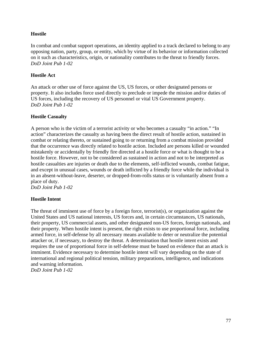# **Hostile**

In combat and combat support operations, an identity applied to a track declared to belong to any opposing nation, party, group, or entity, which by virtue of its behavior or information collected on it such as characteristics, origin, or nationality contributes to the threat to friendly forces. *DoD Joint Pub 1-02* 

### **Hostile Act**

An attack or other use of force against the US, US forces, or other designated persons or property. It also includes force used directly to preclude or impede the mission and/or duties of US forces, including the recovery of US personnel or vital US Government property. *DoD Joint Pub 1-02* 

### **Hostile Casualty**

A person who is the victim of a terrorist activity or who becomes a casualty "in action." "In action" characterizes the casualty as having been the direct result of hostile action, sustained in combat or relating thereto, or sustained going to or returning from a combat mission provided that the occurrence was directly related to hostile action. Included are persons killed or wounded mistakenly or accidentally by friendly fire directed at a hostile force or what is thought to be a hostile force. However, not to be considered as sustained in action and not to be interpreted as hostile casualties are injuries or death due to the elements, self-inflicted wounds, combat fatigue, and except in unusual cases, wounds or death inflicted by a friendly force while the individual is in an absent-without-leave, deserter, or dropped-from-rolls status or is voluntarily absent from a place of duty.

*DoD Joint Pub 1-02* 

### **Hostile Intent**

The threat of imminent use of force by a foreign force, terrorist(s), or organization against the United States and US national interests, US forces and, in certain circumstances, US nationals, their property, US commercial assets, and other designated non-US forces, foreign nationals, and their property. When hostile intent is present, the right exists to use proportional force, including armed force, in self-defense by all necessary means available to deter or neutralize the potential attacker or, if necessary, to destroy the threat. A determination that hostile intent exists and requires the use of proportional force in self-defense must be based on evidence that an attack is imminent. Evidence necessary to determine hostile intent will vary depending on the state of international and regional political tension, military preparations, intelligence, and indications and warning information.

*DoD Joint Pub 1-02*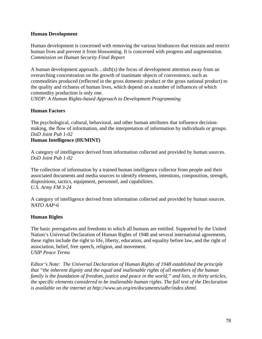### **Human Development**

Human development is concerned with removing the various hindrances that restrain and restrict human lives and prevent it from blossoming. It is concerned with progress and augmentation. *Commission on Human Security Final Report* 

A human development approach…shift(s) the focus of development attention away from an overarching concentration on the growth of inanimate objects of convenience, such as commodities produced (reflected in the gross domestic product or the gross national product) to the quality and richness of human lives, which depend on a number of influences of which commodity production is only one.

*UNDP: A Human Rights-based Approach to Development Programming* 

### **Human Factors**

The psychological, cultural, behavioral, and other human attributes that influence decisionmaking, the flow of information, and the interpretation of information by individuals or groups. *DoD Joint Pub 1-02* 

# **Human Intelligence (HUMINT)**

A category of intelligence derived from information collected and provided by human sources. *DoD Joint Pub 1-02* 

The collection of information by a trained human intelligence collector from people and their associated documents and media sources to identify elements, intentions, composition, strength, dispositions, tactics, equipment, personnel, and capabilities. *U.S. Army FM 3-24* 

A category of intelligence derived from information collected and provided by human sources. *NATO AAP-6* 

### **Human Rights**

The basic prerogatives and freedoms to which all humans are entitled. Supported by the United Nation's Universal Declaration of Human Rights of 1948 and several international agreements, these rights include the right to life, liberty, education, and equality before law, and the right of association, belief, free speech, religion, and movement. *USIP Peace Terms* 

*Editor's Note: The Universal Declaration of Human Rights of 1948 established the principle that "the inherent dignity and the equal and inalienable rights of all members of the human family is the foundation of freedom, justice and peace in the world," and lists, in thirty articles, the specific elements considered to be inalienable human rights. The full text of the Declaration is available on the internet at http://www.un.org/en/documents/udhr/index.shtml.*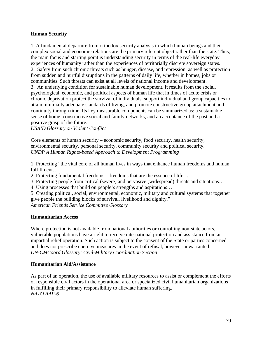### **Human Security**

1. A fundamental departure from orthodox security analysis in which human beings and their complex social and economic relations are the primary referent object rather than the state. Thus, the main focus and starting point is understanding security in terms of the real-life everyday experiences of humanity rather than the experiences of territorially discrete sovereign states. 2. Safety from such chronic threats such as hunger, disease, and repression, as well as protection from sudden and hurtful disruptions in the patterns of daily life, whether in homes, jobs or communities. Such threats can exist at all levels of national income and development. 3. An underlying condition for sustainable human development. It results from the social, psychological, economic, and political aspects of human life that in times of acute crisis or chronic deprivation protect the survival of individuals, support individual and group capacities to attain minimally adequate standards of living, and promote constructive group attachment and continuity through time. Its key measurable components can be summarized as: a sustainable sense of home; constructive social and family networks; and an acceptance of the past and a positive grasp of the future.

*USAID Glossary on Violent Conflict* 

Core elements of human security – economic security, food security, health security, environmental security, personal security, community security and political security. *UNDP A Human Rights-based Approach to Development Programming* 

1. Protecting "the vital core of all human lives in ways that enhance human freedoms and human fulfillment…

2. Protecting fundamental freedoms – freedoms that are the essence of life…

3. Protecting people from critical (severe) and pervasive (widespread) threats and situations…

4. Using processes that build on people's strengths and aspirations…

5. Creating political, social, environmental, economic, military and cultural systems that together give people the building blocks of survival, livelihood and dignity." *American Friends Service Committee Glossary* 

#### **Humanitarian Access**

Where protection is not available from national authorities or controlling non-state actors, vulnerable populations have a right to receive international protection and assistance from an impartial relief operation. Such action is subject to the consent of the State or parties concerned and does not prescribe coercive measures in the event of refusal, however unwarranted. *UN-CMCoord Glossary: Civil-Military Coordination Section* 

#### **Humanitarian Aid/Assistance**

As part of an operation, the use of available military resources to assist or complement the efforts of responsible civil actors in the operational area or specialized civil humanitarian organizations in fulfilling their primary responsibility to alleviate human suffering. *NATO AAP-6*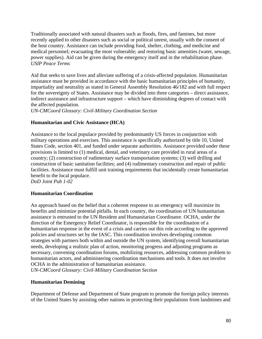Traditionally associated with natural disasters such as floods, fires, and famines, but more recently applied to other disasters such as social or political unrest, usually with the consent of the host country. Assistance can include providing food, shelter, clothing, and medicine and medical personnel; evacuating the most vulnerable; and restoring basic amenities (water, sewage, power supplies). Aid can be given during the emergency itself and in the rehabilitation phase. *USIP Peace Terms* 

Aid that seeks to save lives and alleviate suffering of a crisis-affected population. Humanitarian assistance must be provided in accordance with the basic humanitarian principles of humanity, impartiality and neutrality as stated in General Assembly Resolution 46/182 and with full respect for the sovereignty of States. Assistance may be divided into three categories – direct assistance, indirect assistance and infrastructure support – which have diminishing degrees of contact with the affected population.

*UN-CMCoord Glossary: Civil-Military Coordination Section* 

# **Humanitarian and Civic Assistance (HCA)**

Assistance to the local populace provided by predominantly US forces in conjunction with military operations and exercises. This assistance is specifically authorized by title 10, United States Code, section 401, and funded under separate authorities. Assistance provided under these provisions is limited to (1) medical, dental, and veterinary care provided in rural areas of a country; (2) construction of rudimentary surface transportation systems; (3) well drilling and construction of basic sanitation facilities; and (4) rudimentary construction and repair of public facilities. Assistance must fulfill unit training requirements that incidentally create humanitarian benefit to the local populace.

*DoD Joint Pub 1-02* 

# **Humanitarian Coordination**

An approach based on the belief that a coherent response to an emergency will maximize its benefits and minimize potential pitfalls. In each country, the coordination of UN humanitarian assistance is entrusted to the UN Resident and Humanitarian Coordinator. OCHA, under the direction of the Emergency Relief Coordinator, is responsible for the coordination of a humanitarian response in the event of a crisis and carries out this role according to the approved policies and structures set by the IASC. This coordination involves developing common strategies with partners both within and outside the UN system, identifying overall humanitarian needs, developing a realistic plan of action, monitoring progress and adjusting programs as necessary, convening coordination forums, mobilizing resources, addressing common problem to humanitarian actors, and administering coordination mechanisms and tools. It does not involve OCHA in the administration of humanitarian assistance. *UN-CMCoord Glossary: Civil-Military Coordination Section* 

**Humanitarian Demining** 

Department of Defense and Department of State program to promote the foreign policy interests of the United States by assisting other nations in protecting their populations from landmines and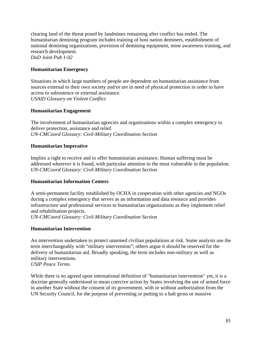clearing land of the threat posed by landmines remaining after conflict has ended. The humanitarian demining program includes training of host nation deminers, establishment of national demining organizations, provision of demining equipment, mine awareness training, and research development. *DoD Joint Pub 1-02* 

### **Humanitarian Emergency**

Situations in which large numbers of people are dependent on humanitarian assistance from sources external to their own society and/or are in need of physical protection in order to have access to subsistence or external assistance. *USAID Glossary on Violent Conflict*

### **Humanitarian Engagement**

The involvement of humanitarian agencies and organizations within a complex emergency to deliver protection, assistance and relief. *UN-CMCoord Glossary: Civil-Military Coordination Section*

# **Humanitarian Imperative**

Implies a right to receive and to offer humanitarian assistance. Human suffering must be addressed wherever it is found, with particular attention to the most vulnerable in the population. *UN-CMCoord Glossary: Civil-Military Coordination Section*

### **Humanitarian Information Centers**

A semi-permanent facility established by OCHA in cooperation with other agencies and NGOs during a complex emergency that serves as an information and data resource and provides infrastructure and professional services to humanitarian organizations as they implement relief and rehabilitation projects. *UN-CMCoord Glossary: Civil-Military Coordination Section* 

### **Humanitarian Intervention**

An intervention undertaken to protect unarmed civilian populations at risk. Some analysts use the term interchangeably with "military intervention"; others argue it should be reserved for the delivery of humanitarian aid. Broadly speaking, the term includes non-military as well as military interventions. *USIP Peace Terms* 

While there is no agreed upon international definition of "humanitarian intervention" yet, it is a doctrine generally understood to mean coercive action by States involving the use of armed force in another State without the consent of its government, with or without authorization from the UN Security Council, for the purpose of preventing or putting to a halt gross or massive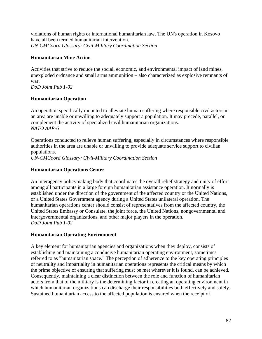violations of human rights or international humanitarian law. The UN's operation in Kosovo have all been termed humanitarian intervention. *UN-CMCoord Glossary: Civil-Military Coordination Section* 

# **Humanitarian Mine Action**

Activities that strive to reduce the social, economic, and environmental impact of land mines, unexploded ordnance and small arms ammunition – also characterized as explosive remnants of war.

*DoD Joint Pub 1-02* 

# **Humanitarian Operation**

An operation specifically mounted to alleviate human suffering where responsible civil actors in an area are unable or unwilling to adequately support a population. It may precede, parallel, or complement the activity of specialized civil humanitarian organizations. *NATO AAP-6* 

Operations conducted to relieve human suffering, especially in circumstances where responsible authorities in the area are unable or unwilling to provide adequate service support to civilian populations.

*UN-CMCoord Glossary: Civil-Military Coordination Section* 

# **Humanitarian Operations Center**

An interagency policymaking body that coordinates the overall relief strategy and unity of effort among all participants in a large foreign humanitarian assistance operation. It normally is established under the direction of the government of the affected country or the United Nations, or a United States Government agency during a United States unilateral operation. The humanitarian operations center should consist of representatives from the affected country, the United States Embassy or Consulate, the joint force, the United Nations, nongovernmental and intergovernmental organizations, and other major players in the operation. *DoD Joint Pub 1-02* 

# **Humanitarian Operating Environment**

A key element for humanitarian agencies and organizations when they deploy, consists of establishing and maintaining a conducive humanitarian operating environment, sometimes referred to as "humanitarian space." The perception of adherence to the key operating principles of neutrality and impartiality in humanitarian operations represents the critical means by which the prime objective of ensuring that suffering must be met wherever it is found, can be achieved. Consequently, maintaining a clear distinction between the role and function of humanitarian actors from that of the military is the determining factor in creating an operating environment in which humanitarian organizations can discharge their responsibilities both effectively and safely. Sustained humanitarian access to the affected population is ensured when the receipt of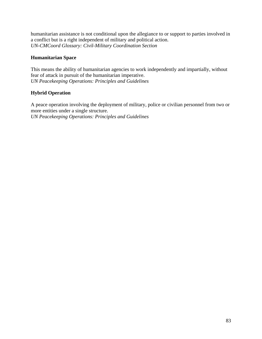humanitarian assistance is not conditional upon the allegiance to or support to parties involved in a conflict but is a right independent of military and political action. *UN-CMCoord Glossary: Civil-Military Coordination Section*

### **Humanitarian Space**

This means the ability of humanitarian agencies to work independently and impartially, without fear of attack in pursuit of the humanitarian imperative. *UN Peacekeeping Operations: Principles and Guidelines* 

# **Hybrid Operation**

A peace operation involving the deployment of military, police or civilian personnel from two or more entities under a single structure. *UN Peacekeeping Operations: Principles and Guidelines*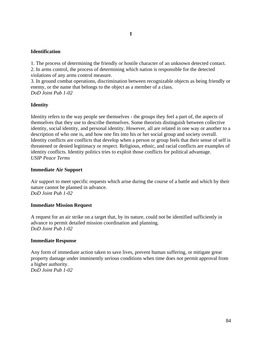#### **Identification**

1. The process of determining the friendly or hostile character of an unknown detected contact. 2. In arms control, the process of determining which nation is responsible for the detected violations of any arms control measure.

3. In ground combat operations, discrimination between recognizable objects as being friendly or enemy, or the name that belongs to the object as a member of a class. *DoD Joint Pub 1-02* 

### **Identity**

Identity refers to the way people see themselves - the groups they feel a part of, the aspects of themselves that they use to describe themselves. Some theorists distinguish between collective identity, social identity, and personal identity. However, all are related in one way or another to a description of who one is, and how one fits into his or her social group and society overall. Identity conflicts are conflicts that develop when a person or group feels that their sense of self is threatened or denied legitimacy or respect. Religious, ethnic, and racial conflicts are examples of identity conflicts. Identity politics tries to exploit those conflicts for political advantage. *USIP Peace Terms* 

#### **Immediate Air Support**

Air support to meet specific requests which arise during the course of a battle and which by their nature cannot be planned in advance. *DoD Joint Pub 1-02* 

#### **Immediate Mission Request**

A request for an air strike on a target that, by its nature, could not be identified sufficiently in advance to permit detailed mission coordination and planning. *DoD Joint Pub 1-02* 

#### **Immediate Response**

Any form of immediate action taken to save lives, prevent human suffering, or mitigate great property damage under imminently serious conditions when time does not permit approval from a higher authority.

*DoD Joint Pub 1-02*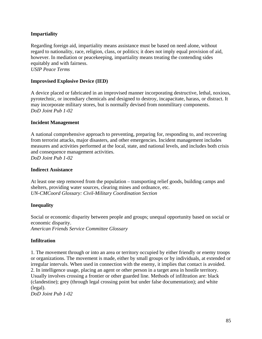### **Impartiality**

Regarding foreign aid, impartiality means assistance must be based on need alone, without regard to nationality, race, religion, class, or politics; it does not imply equal provision of aid, however. In mediation or peacekeeping, impartiality means treating the contending sides equitably and with fairness. *USIP Peace Terms*

### **Improvised Explosive Device (IED)**

A device placed or fabricated in an improvised manner incorporating destructive, lethal, noxious, pyrotechnic, or incendiary chemicals and designed to destroy, incapacitate, harass, or distract. It may incorporate military stores, but is normally devised from nonmilitary components. *DoD Joint Pub 1-02* 

#### **Incident Management**

A national comprehensive approach to preventing, preparing for, responding to, and recovering from terrorist attacks, major disasters, and other emergencies. Incident management includes measures and activities performed at the local, state, and national levels, and includes both crisis and consequence management activities. *DoD Joint Pub 1-02* 

#### **Indirect Assistance**

At least one step removed from the population – transporting relief goods, building camps and shelters, providing water sources, clearing mines and ordnance, etc. *UN-CMCoord Glossary: Civil-Military Coordination Section*

#### **Inequality**

Social or economic disparity between people and groups; unequal opportunity based on social or economic disparity. *American Friends Service Committee Glossary* 

#### **Infiltration**

1. The movement through or into an area or territory occupied by either friendly or enemy troops or organizations. The movement is made, either by small groups or by individuals, at extended or irregular intervals. When used in connection with the enemy, it implies that contact is avoided. 2. In intelligence usage, placing an agent or other person in a target area in hostile territory. Usually involves crossing a frontier or other guarded line. Methods of infiltration are: black (clandestine); grey (through legal crossing point but under false documentation); and white (legal). *DoD Joint Pub 1-02*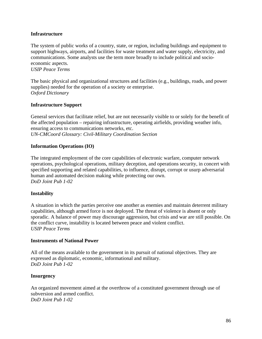### **Infrastructure**

The system of public works of a country, state, or region, including buildings and equipment to support highways, airports, and facilities for waste treatment and water supply, electricity, and communications. Some analysts use the term more broadly to include political and socioeconomic aspects. *USIP Peace Terms* 

The basic physical and organizational structures and facilities (e.g., buildings, roads, and power supplies) needed for the operation of a society or enterprise. *Oxford Dictionary* 

### **Infrastructure Support**

General services that facilitate relief, but are not necessarily visible to or solely for the benefit of the affected population – repairing infrastructure, operating airfields, providing weather info, ensuring access to communications networks, etc. *UN-CMCoord Glossary: Civil-Military Coordination Section*

### **Information Operations (IO)**

The integrated employment of the core capabilities of electronic warfare, computer network operations, psychological operations, military deception, and operations security, in concert with specified supporting and related capabilities, to influence, disrupt, corrupt or usurp adversarial human and automated decision making while protecting our own. *DoD Joint Pub 1-02* 

#### **Instability**

A situation in which the parties perceive one another as enemies and maintain deterrent military capabilities, although armed force is not deployed. The threat of violence is absent or only sporadic. A balance of power may discourage aggression, but crisis and war are still possible. On the conflict curve, instability is located between peace and violent conflict. *USIP Peace Terms*

#### **Instruments of National Power**

All of the means available to the government in its pursuit of national objectives. They are expressed as diplomatic, economic, informational and military. *DoD Joint Pub 1-02* 

#### **Insurgency**

An organized movement aimed at the overthrow of a constituted government through use of subversion and armed conflict. *DoD Joint Pub 1-02*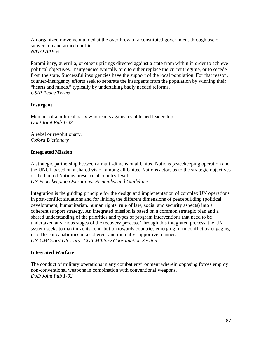An organized movement aimed at the overthrow of a constituted government through use of subversion and armed conflict. *NATO AAP-6* 

Paramilitary, guerrilla, or other uprisings directed against a state from within in order to achieve political objectives. Insurgencies typically aim to either replace the current regime, or to secede from the state. Successful insurgencies have the support of the local population. For that reason, counter-insurgency efforts seek to separate the insurgents from the population by winning their "hearts and minds," typically by undertaking badly needed reforms. *USIP Peace Terms*

#### **Insurgent**

Member of a political party who rebels against established leadership. *DoD Joint Pub 1-02* 

A rebel or revolutionary. *Oxford Dictionary*

### **Integrated Mission**

A strategic partnership between a multi-dimensional United Nations peacekeeping operation and the UNCT based on a shared vision among all United Nations actors as to the strategic objectives of the United Nations presence at country-level. *UN Peacekeeping Operations: Principles and Guidelines*

Integration is the guiding principle for the design and implementation of complex UN operations in post-conflict situations and for linking the different dimensions of peacebuilding (political, development, humanitarian, human rights, rule of law, social and security aspects) into a coherent support strategy. An integrated mission is based on a common strategic plan and a shared understanding of the priorities and types of program interventions that need to be undertaken at various stages of the recovery process. Through this integrated process, the UN system seeks to maximize its contribution towards countries emerging from conflict by engaging its different capabilities in a coherent and mutually supportive manner. *UN-CMCoord Glossary: Civil-Military Coordination Section* 

#### **Integrated Warfare**

The conduct of military operations in any combat environment wherein opposing forces employ non-conventional weapons in combination with conventional weapons. *DoD Joint Pub 1-02*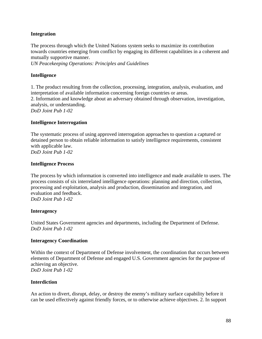### **Integration**

The process through which the United Nations system seeks to maximize its contribution towards countries emerging from conflict by engaging its different capabilities in a coherent and mutually supportive manner.

*UN Peacekeeping Operations: Principles and Guidelines*

#### **Intelligence**

1. The product resulting from the collection, processing, integration, analysis, evaluation, and interpretation of available information concerning foreign countries or areas. 2. Information and knowledge about an adversary obtained through observation, investigation, analysis, or understanding. *DoD Joint Pub 1-02* 

### **Intelligence Interrogation**

The systematic process of using approved interrogation approaches to question a captured or detained person to obtain reliable information to satisfy intelligence requirements, consistent with applicable law.

*DoD Joint Pub 1-02* 

### **Intelligence Process**

The process by which information is converted into intelligence and made available to users. The process consists of six interrelated intelligence operations: planning and direction, collection, processing and exploitation, analysis and production, dissemination and integration, and evaluation and feedback. *DoD Joint Pub 1-02* 

#### **Interagency**

United States Government agencies and departments, including the Department of Defense. *DoD Joint Pub 1-02* 

#### **Interagency Coordination**

Within the context of Department of Defense involvement, the coordination that occurs between elements of Department of Defense and engaged U.S. Government agencies for the purpose of achieving an objective. *DoD Joint Pub 1-02* 

#### **Interdiction**

An action to divert, disrupt, delay, or destroy the enemy's military surface capability before it can be used effectively against friendly forces, or to otherwise achieve objectives. 2. In support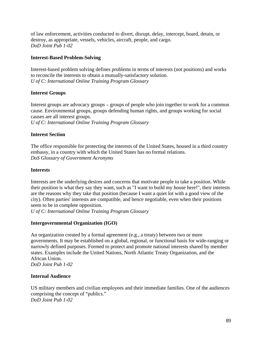of law enforcement, activities conducted to divert, disrupt, delay, intercept, board, detain, or destroy, as appropriate, vessels, vehicles, aircraft, people, and cargo. *DoD Joint Pub 1-02* 

### **Interest-Based Problem-Solving**

Interest-based problem solving defines problems in terms of interests (not positions) and works to reconcile the interests to obtain a mutually-satisfactory solution. *U of C: International Online Training Program Glossary* 

### **Interest Groups**

Interest groups are advocacy groups – groups of people who join together to work for a common cause. Environmental groups, groups defending human rights, and groups working for social causes are all interest groups.

*U of C: International Online Training Program Glossary* 

### **Interest Section**

The office responsible for protecting the interests of the United States, housed in a third country embassy, in a country with which the United States has no formal relations. *DoS Glossary of Government Acronyms* 

#### **Interests**

Interests are the underlying desires and concerns that motivate people to take a position. While their position is what they say they want, such as "I want to build my house here!", their interests are the reasons why they take that position (because I want a quiet lot with a good view of the city). Often parties' interests are compatible, and hence negotiable, even when their positions seem to be in complete opposition.

*U of C: International Online Training Program Glossary* 

#### **Intergovernmental Organization (IGO)**

An organization created by a formal agreement (e.g., a treaty) between two or more governments. It may be established on a global, regional, or functional basis for wide-ranging or narrowly defined purposes. Formed to protect and promote national interests shared by member states. Examples include the United Nations, North Atlantic Treaty Organization, and the African Union. *DoD Joint Pub 1-02* 

#### **Internal Audience**

US military members and civilian employees and their immediate families. One of the audiences comprising the concept of "publics." *DoD Joint Pub 1-02*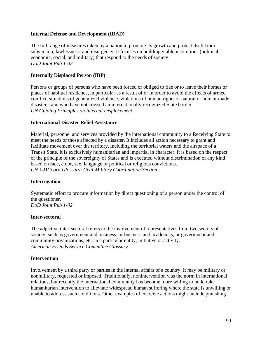### **Internal Defense and Development (IDAD)**

The full range of measures taken by a nation to promote its growth and protect itself from subversion, lawlessness, and insurgency. It focuses on building viable institutions (political, economic, social, and military) that respond to the needs of society. *DoD Joint Pub 1-02* 

### **Internally Displaced Person (IDP)**

Persons or groups of persons who have been forced or obliged to flee or to leave their homes or places of habitual residence, in particular as a result of or in order to avoid the effects of armed conflict, situations of generalized violence, violations of human rights or natural or human-made disasters, and who have not crossed an internationally recognized State border. *UN Guiding Principles on Internal Displacement* 

#### **International Disaster Relief Assistance**

Material, personnel and services provided by the international community to a Receiving State to meet the needs of those affected by a disaster. It includes all action necessary to grant and facilitate movement over the territory, including the territorial waters and the airspace of a Transit State. It is exclusively humanitarian and impartial in character. It is based on the respect of the principle of the sovereignty of States and is executed without discrimination of any kind based on race, color, sex, language or political or religious convictions. *UN-CMCoord Glossary: Civil-Military Coordination Section*

#### **Interrogation**

Systematic effort to procure information by direct questioning of a person under the control of the questioner. *DoD Joint Pub 1-02* 

#### **Inter-sectoral**

The adjective inter-sectoral refers to the involvement of representatives from two sectors of society, such as government and business, or business and academics, or government and community organizations, etc. in a particular entity, initiative or activity. *American Friends Service Committee Glossary* 

#### **Intervention**

Involvement by a third party or parties in the internal affairs of a country. It may be military or nonmilitary, requested or imposed. Traditionally, nonintervention was the norm in international relations, but recently the international community has become more willing to undertake humanitarian intervention to alleviate widespread human suffering where the state is unwilling or unable to address such conditions. Other examples of coercive actions might include punishing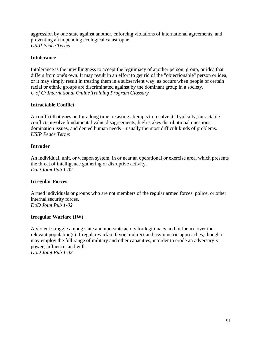aggression by one state against another, enforcing violations of international agreements, and preventing an impending ecological catastrophe. *USIP Peace Terms*

### **Intolerance**

Intolerance is the unwillingness to accept the legitimacy of another person, group, or idea that differs from one's own. It may result in an effort to get rid of the "objectionable" person or idea, or it may simply result in treating them in a subservient way, as occurs when people of certain racial or ethnic groups are discriminated against by the dominant group in a society. *U of C: International Online Training Program Glossary* 

### **Intractable Conflict**

A conflict that goes on for a long time, resisting attempts to resolve it. Typically, intractable conflicts involve fundamental value disagreements, high-stakes distributional questions, domination issues, and denied human needs—usually the most difficult kinds of problems. *USIP Peace Terms* 

# **Intruder**

An individual, unit, or weapon system, in or near an operational or exercise area, which presents the threat of intelligence gathering or disruptive activity. *DoD Joint Pub 1-02* 

### **Irregular Forces**

Armed individuals or groups who are not members of the regular armed forces, police, or other internal security forces. *DoD Joint Pub 1-02* 

# **Irregular Warfare (IW)**

A violent struggle among state and non-state actors for legitimacy and influence over the relevant population(s). Irregular warfare favors indirect and asymmetric approaches, though it may employ the full range of military and other capacities, in order to erode an adversary's power, influence, and will. *DoD Joint Pub 1-02*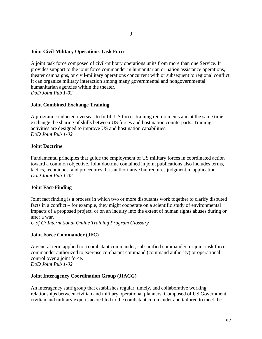### **Joint Civil-Military Operations Task Force**

A joint task force composed of civil-military operations units from more than one Service. It provides support to the joint force commander in humanitarian or nation assistance operations, theater campaigns, or civil-military operations concurrent with or subsequent to regional conflict. It can organize military interaction among many governmental and nongovernmental humanitarian agencies within the theater. *DoD Joint Pub 1-02* 

 $\mathbf{J}$ 

### **Joint Combined Exchange Training**

A program conducted overseas to fulfill US forces training requirements and at the same time exchange the sharing of skills between US forces and host nation counterparts. Training activities are designed to improve US and host nation capabilities. *DoD Joint Pub 1-02* 

### **Joint Doctrine**

Fundamental principles that guide the employment of US military forces in coordinated action toward a common objective. Joint doctrine contained in joint publications also includes terms, tactics, techniques, and procedures. It is authoritative but requires judgment in application. *DoD Joint Pub 1-02* 

#### **Joint Fact-Finding**

Joint fact finding is a process in which two or more disputants work together to clarify disputed facts in a conflict – for example, they might cooperate on a scientific study of environmental impacts of a proposed project, or on an inquiry into the extent of human rights abuses during or after a war.

*U of C: International Online Training Program Glossary* 

### **Joint Force Commander (JFC)**

A general term applied to a combatant commander, sub-unified commander, or joint task force commander authorized to exercise combatant command (command authority) or operational control over a joint force. *DoD Joint Pub 1-02* 

#### **Joint Interagency Coordination Group (JIACG)**

An interagency staff group that establishes regular, timely, and collaborative working relationships between civilian and military operational planners. Composed of US Government civilian and military experts accredited to the combatant commander and tailored to meet the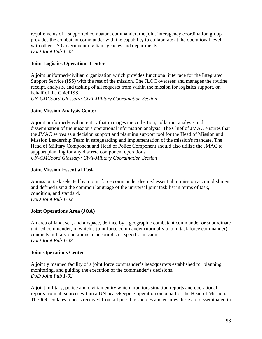requirements of a supported combatant commander, the joint interagency coordination group provides the combatant commander with the capability to collaborate at the operational level with other US Government civilian agencies and departments. *DoD Joint Pub 1-02* 

# **Joint Logistics Operations Center**

A joint uniformed/civilian organization which provides functional interface for the Integrated Support Service (ISS) with the rest of the mission. The JLOC oversees and manages the routine receipt, analysis, and tasking of all requests from within the mission for logistics support, on behalf of the Chief ISS.

*UN-CMCoord Glossary: Civil-Military Coordination Section* 

### **Joint Mission Analysis Center**

A joint uniformed/civilian entity that manages the collection, collation, analysis and dissemination of the mission's operational information analysis. The Chief of JMAC ensures that the JMAC serves as a decision support and planning support tool for the Head of Mission and Mission Leadership Team in safeguarding and implementation of the mission's mandate. The Head of Military Component and Head of Police Component should also utilize the JMAC to support planning for any discrete component operations. *UN-CMCoord Glossary: Civil-Military Coordination Section* 

### **Joint Mission-Essential Task**

A mission task selected by a joint force commander deemed essential to mission accomplishment and defined using the common language of the universal joint task list in terms of task, condition, and standard. *DoD Joint Pub 1-02* 

### **Joint Operations Area (JOA)**

An area of land, sea, and airspace, defined by a geographic combatant commander or subordinate unified commander, in which a joint force commander (normally a joint task force commander) conducts military operations to accomplish a specific mission. *DoD Joint Pub 1-02* 

### **Joint Operations Center**

A jointly manned facility of a joint force commander's headquarters established for planning, monitoring, and guiding the execution of the commander's decisions. *DoD Joint Pub 1-02*

A joint military, police and civilian entity which monitors situation reports and operational reports from all sources within a UN peacekeeping operation on behalf of the Head of Mission. The JOC collates reports received from all possible sources and ensures these are disseminated in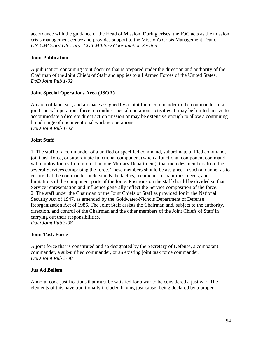accordance with the guidance of the Head of Mission. During crises, the JOC acts as the mission crisis management centre and provides support to the Mission's Crisis Management Team. *UN-CMCoord Glossary: Civil-Military Coordination Section* 

### **Joint Publication**

A publication containing joint doctrine that is prepared under the direction and authority of the Chairman of the Joint Chiefs of Staff and applies to all Armed Forces of the United States. *DoD Joint Pub 1-02* 

# **Joint Special Operations Area (JSOA)**

An area of land, sea, and airspace assigned by a joint force commander to the commander of a joint special operations force to conduct special operations activities. It may be limited in size to accommodate a discrete direct action mission or may be extensive enough to allow a continuing broad range of unconventional warfare operations. *DoD Joint Pub 1-02*

# **Joint Staff**

1. The staff of a commander of a unified or specified command, subordinate unified command, joint task force, or subordinate functional component (when a functional component command will employ forces from more than one Military Department), that includes members from the several Services comprising the force. These members should be assigned in such a manner as to ensure that the commander understands the tactics, techniques, capabilities, needs, and limitations of the component parts of the force. Positions on the staff should be divided so that Service representation and influence generally reflect the Service composition of the force. 2. The staff under the Chairman of the Joint Chiefs of Staff as provided for in the National Security Act of 1947, as amended by the Goldwater-Nichols Department of Defense Reorganization Act of 1986. The Joint Staff assists the Chairman and, subject to the authority, direction, and control of the Chairman and the other members of the Joint Chiefs of Staff in carrying out their responsibilities. *DoD Joint Pub 3-08* 

### **Joint Task Force**

A joint force that is constituted and so designated by the Secretary of Defense, a combatant commander, a sub-unified commander, or an existing joint task force commander. *DoD Joint Pub 3-08* 

### **Jus Ad Bellem**

A moral code justifications that must be satisfied for a war to be considered a just war. The elements of this have traditionally included having just cause; being declared by a proper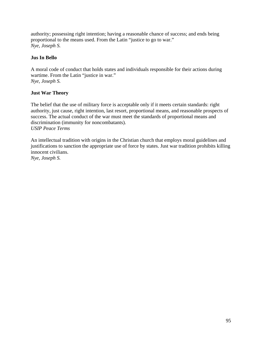authority; possessing right intention; having a reasonable chance of success; and ends being proportional to the means used. From the Latin "justice to go to war." *Nye, Joseph S.* 

# **Jus In Bello**

A moral code of conduct that holds states and individuals responsible for their actions during wartime. From the Latin "justice in war." *Nye, Joseph S.*

# **Just War Theory**

The belief that the use of military force is acceptable only if it meets certain standards: right authority, just cause, right intention, last resort, proportional means, and reasonable prospects of success. The actual conduct of the war must meet the standards of proportional means and discrimination (immunity for noncombatants). *USIP Peace Terms* 

An intellectual tradition with origins in the Christian church that employs moral guidelines and justifications to sanction the appropriate use of force by states. Just war tradition prohibits killing innocent civilians.

*Nye, Joseph S.*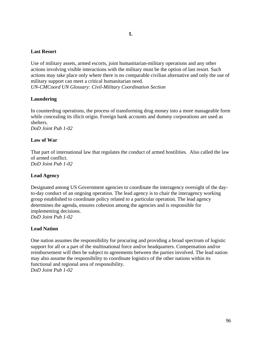#### **Last Resort**

Use of military assets, armed escorts, joint humanitarian-military operations and any other actions involving visible interactions with the military must be the option of last resort. Such actions may take place only where there is no comparable civilian alternative and only the use of military support can meet a critical humanitarian need. *UN-CMCoord UN Glossary: Civil-Military Coordination Section* 

#### **Laundering**

In counterdrug operations, the process of transforming drug money into a more manageable form while concealing its illicit origin. Foreign bank accounts and dummy corporations are used as shelters. *DoD Joint Pub 1-02* 

#### **Law of War**

That part of international law that regulates the conduct of armed hostilities. Also called the law of armed conflict. *DoD Joint Pub 1-02* 

#### **Lead Agency**

Designated among US Government agencies to coordinate the interagency oversight of the dayto-day conduct of an ongoing operation. The lead agency is to chair the interagency working group established to coordinate policy related to a particular operation. The lead agency determines the agenda, ensures cohesion among the agencies and is responsible for implementing decisions. *DoD Joint Pub 1-02* 

#### **Lead Nation**

One nation assumes the responsibility for procuring and providing a broad spectrum of logistic support for all or a part of the multinational force and/or headquarters. Compensation and/or reimbursement will then be subject to agreements between the parties involved. The lead nation may also assume the responsibility to coordinate logistics of the other nations within its functional and regional area of responsibility.

*DoD Joint Pub 1-02*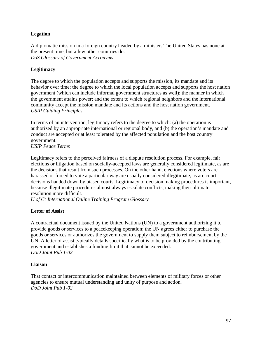# **Legation**

A diplomatic mission in a foreign country headed by a minister. The United States has none at the present time, but a few other countries do. *DoS Glossary of Government Acronyms*

### **Legitimacy**

The degree to which the population accepts and supports the mission, its mandate and its behavior over time; the degree to which the local population accepts and supports the host nation government (which can include informal government structures as well); the manner in which the government attains power; and the extent to which regional neighbors and the international community accept the mission mandate and its actions and the host nation government. *USIP Guiding Principles* 

In terms of an intervention, legitimacy refers to the degree to which: (a) the operation is authorized by an appropriate international or regional body, and (b) the operation's mandate and conduct are accepted or at least tolerated by the affected population and the host country government.

*USIP Peace Terms* 

Legitimacy refers to the perceived fairness of a dispute resolution process. For example, fair elections or litigation based on socially-accepted laws are generally considered legitimate, as are the decisions that result from such processes. On the other hand, elections where voters are harassed or forced to vote a particular way are usually considered illegitimate, as are court decisions handed down by biased courts. Legitimacy of decision making procedures is important, because illegitimate procedures almost always escalate conflicts, making their ultimate resolution more difficult.

*U of C: International Online Training Program Glossary* 

# **Letter of Assist**

A contractual document issued by the United Nations (UN) to a government authorizing it to provide goods or services to a peacekeeping operation; the UN agrees either to purchase the goods or services or authorizes the government to supply them subject to reimbursement by the UN. A letter of assist typically details specifically what is to be provided by the contributing government and establishes a funding limit that cannot be exceeded. *DoD Joint Pub 1-02* 

### **Liaison**

That contact or intercommunication maintained between elements of military forces or other agencies to ensure mutual understanding and unity of purpose and action. *DoD Joint Pub 1-02*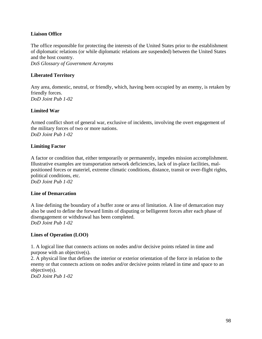### **Liaison Office**

The office responsible for protecting the interests of the United States prior to the establishment of diplomatic relations (or while diplomatic relations are suspended) between the United States and the host country.

*DoS Glossary of Government Acronyms*

### **Liberated Territory**

Any area, domestic, neutral, or friendly, which, having been occupied by an enemy, is retaken by friendly forces. *DoD Joint Pub 1-02* 

# **Limited War**

Armed conflict short of general war, exclusive of incidents, involving the overt engagement of the military forces of two or more nations. *DoD Joint Pub 1-02* 

### **Limiting Factor**

A factor or condition that, either temporarily or permanently, impedes mission accomplishment. Illustrative examples are transportation network deficiencies, lack of in-place facilities, malpositioned forces or materiel, extreme climatic conditions, distance, transit or over-flight rights, political conditions, etc. *DoD Joint Pub 1-02* 

### **Line of Demarcation**

A line defining the boundary of a buffer zone or area of limitation. A line of demarcation may also be used to define the forward limits of disputing or belligerent forces after each phase of disengagement or withdrawal has been completed. *DoD Joint Pub 1-02* 

### **Lines of Operation (LOO)**

1. A logical line that connects actions on nodes and/or decisive points related in time and purpose with an objective(s).

2. A physical line that defines the interior or exterior orientation of the force in relation to the enemy or that connects actions on nodes and/or decisive points related in time and space to an objective(s).

*DoD Joint Pub 1-02*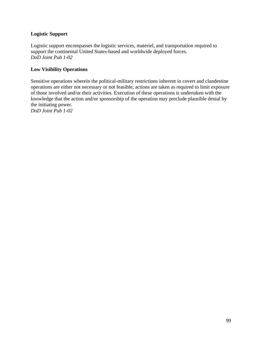### **Logistic Support**

Logistic support encompasses the logistic services, materiel, and transportation required to support the continental United States-based and worldwide deployed forces. *DoD Joint Pub 1-02*

### **Low Visibility Operations**

Sensitive operations wherein the political-military restrictions inherent in covert and clandestine operations are either not necessary or not feasible; actions are taken as required to limit exposure of those involved and/or their activities. Execution of these operations is undertaken with the knowledge that the action and/or sponsorship of the operation may preclude plausible denial by the initiating power.

*DoD Joint Pub 1-02*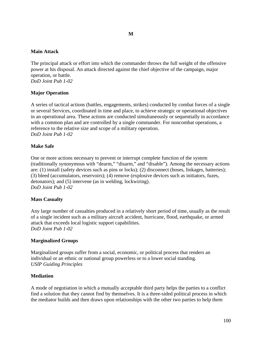#### **Main Attack**

The principal attack or effort into which the commander throws the full weight of the offensive power at his disposal. An attack directed against the chief objective of the campaign, major operation, or battle. *DoD Joint Pub 1-02* 

#### **Major Operation**

A series of tactical actions (battles, engagements, strikes) conducted by combat forces of a single or several Services, coordinated in time and place, to achieve strategic or operational objectives in an operational area. These actions are conducted simultaneously or sequentially in accordance with a common plan and are controlled by a single commander. For noncombat operations, a reference to the relative size and scope of a military operation. *DoD Joint Pub 1-02* 

#### **Make Safe**

One or more actions necessary to prevent or interrupt complete function of the system (traditionally synonymous with "dearm," "disarm," and "disable"). Among the necessary actions are: (1) install (safety devices such as pins or locks); (2) disconnect (hoses, linkages, batteries); (3) bleed (accumulators, reservoirs); (4) remove (explosive devices such as initiators, fuzes, detonators); and (5) intervene (as in welding, lockwiring). *DoD Joint Pub 1-02* 

#### **Mass Casualty**

Any large number of casualties produced in a relatively short period of time, usually as the result of a single incident such as a military aircraft accident, hurricane, flood, earthquake, or armed attack that exceeds local logistic support capabilities. *DoD Joint Pub 1-02* 

#### **Marginalized Groups**

Marginalized groups suffer from a social, economic, or political process that renders an individual or an ethnic or national group powerless or to a lower social standing. *USIP Guiding Principles*

#### **Mediation**

A mode of negotiation in which a mutually acceptable third party helps the parties to a conflict find a solution that they cannot find by themselves. It is a three-sided political process in which the mediator builds and then draws upon relationships with the other two parties to help them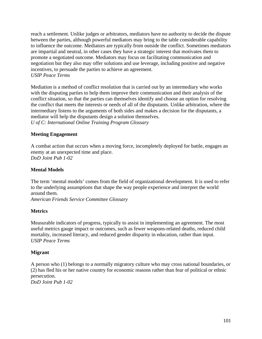reach a settlement. Unlike judges or arbitrators, mediators have no authority to decide the dispute between the parties, although powerful mediators may bring to the table considerable capability to influence the outcome. Mediators are typically from outside the conflict. Sometimes mediators are impartial and neutral, in other cases they have a strategic interest that motivates them to promote a negotiated outcome. Mediators may focus on facilitating communication and negotiation but they also may offer solutions and use leverage, including positive and negative incentives, to persuade the parties to achieve an agreement. *USIP Peace Terms* 

Mediation is a method of conflict resolution that is carried out by an intermediary who works with the disputing parties to help them improve their communication and their analysis of the conflict situation, so that the parties can themselves identify and choose an option for resolving the conflict that meets the interests or needs of all of the disputants. Unlike arbitration, where the intermediary listens to the arguments of both sides and makes a decision for the disputants, a mediator will help the disputants design a solution themselves. *U of C: International Online Training Program Glossary* 

### **Meeting Engagement**

A combat action that occurs when a moving force, incompletely deployed for battle, engages an enemy at an unexpected time and place. *DoD Joint Pub 1-02* 

#### **Mental Models**

The term 'mental models' comes from the field of organizational development. It is used to refer to the underlying assumptions that shape the way people experience and interpret the world around them.

*American Friends Service Committee Glossary* 

#### **Metrics**

Measurable indicators of progress, typically to assist in implementing an agreement. The most useful metrics gauge impact or outcomes, such as fewer weapons-related deaths, reduced child mortality, increased literacy, and reduced gender disparity in education, rather than input. *USIP Peace Terms*

#### **Migrant**

A person who (1) belongs to a normally migratory culture who may cross national boundaries, or (2) has fled his or her native country for economic reasons rather than fear of political or ethnic persecution.

*DoD Joint Pub 1-02*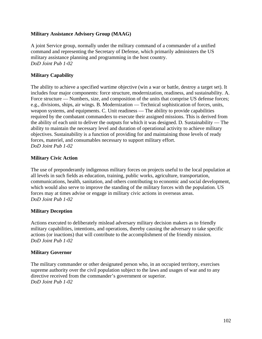# **Military Assistance Advisory Group (MAAG)**

A joint Service group, normally under the military command of a commander of a unified command and representing the Secretary of Defense, which primarily administers the US military assistance planning and programming in the host country. *DoD Joint Pub 1-02* 

# **Military Capability**

The ability to achieve a specified wartime objective (win a war or battle, destroy a target set). It includes four major components: force structure, modernization, readiness, and sustainability. A. Force structure — Numbers, size, and composition of the units that comprise US defense forces; e.g., divisions, ships, air wings. B. Modernization — Technical sophistication of forces, units, weapon systems, and equipments. C. Unit readiness — The ability to provide capabilities required by the combatant commanders to execute their assigned missions. This is derived from the ability of each unit to deliver the outputs for which it was designed. D. Sustainability — The ability to maintain the necessary level and duration of operational activity to achieve military objectives. Sustainability is a function of providing for and maintaining those levels of ready forces, materiel, and consumables necessary to support military effort. *DoD Joint Pub 1-02* 

# **Military Civic Action**

The use of preponderantly indigenous military forces on projects useful to the local population at all levels in such fields as education, training, public works, agriculture, transportation, communications, health, sanitation, and others contributing to economic and social development, which would also serve to improve the standing of the military forces with the population. US forces may at times advise or engage in military civic actions in overseas areas. *DoD Joint Pub 1-02* 

# **Military Deception**

Actions executed to deliberately mislead adversary military decision makers as to friendly military capabilities, intentions, and operations, thereby causing the adversary to take specific actions (or inactions) that will contribute to the accomplishment of the friendly mission. *DoD Joint Pub 1-02* 

# **Military Governor**

The military commander or other designated person who, in an occupied territory, exercises supreme authority over the civil population subject to the laws and usages of war and to any directive received from the commander's government or superior. *DoD Joint Pub 1-02*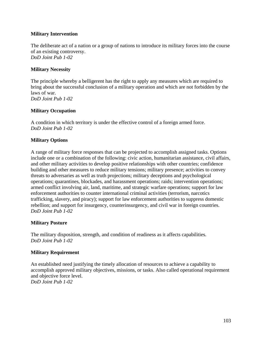# **Military Intervention**

The deliberate act of a nation or a group of nations to introduce its military forces into the course of an existing controversy. *DoD Joint Pub 1-02* 

## **Military Necessity**

The principle whereby a belligerent has the right to apply any measures which are required to bring about the successful conclusion of a military operation and which are not forbidden by the laws of war. *DoD Joint Pub 1-02* 

## **Military Occupation**

A condition in which territory is under the effective control of a foreign armed force. *DoD Joint Pub 1-02* 

## **Military Options**

A range of military force responses that can be projected to accomplish assigned tasks. Options include one or a combination of the following: civic action, humanitarian assistance, civil affairs, and other military activities to develop positive relationships with other countries; confidence building and other measures to reduce military tensions; military presence; activities to convey threats to adversaries as well as truth projections; military deceptions and psychological operations; quarantines, blockades, and harassment operations; raids; intervention operations; armed conflict involving air, land, maritime, and strategic warfare operations; support for law enforcement authorities to counter international criminal activities (terrorism, narcotics trafficking, slavery, and piracy); support for law enforcement authorities to suppress domestic rebellion; and support for insurgency, counterinsurgency, and civil war in foreign countries. *DoD Joint Pub 1-02* 

## **Military Posture**

The military disposition, strength, and condition of readiness as it affects capabilities. *DoD Joint Pub 1-02* 

## **Military Requirement**

An established need justifying the timely allocation of resources to achieve a capability to accomplish approved military objectives, missions, or tasks. Also called operational requirement and objective force level.

*DoD Joint Pub 1-02*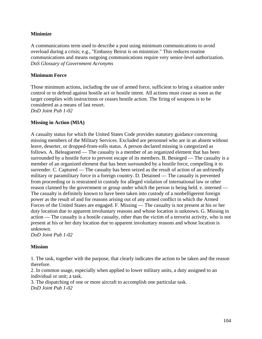## **Minimize**

A communications term used to describe a post using minimum communications to avoid overload during a crisis; e.g., "Embassy Beirut is on minimize." This reduces routine communications and means outgoing communications require very senior-level authorization. *DoS Glossary of Government Acronyms* 

## **Minimum Force**

Those minimum actions, including the use of armed force, sufficient to bring a situation under control or to defend against hostile act or hostile intent. All actions must cease as soon as the target complies with instructions or ceases hostile action. The firing of weapons is to be considered as a means of last resort. *DoD Joint Pub 1-02* 

## **Missing in Action (MIA)**

A casualty status for which the United States Code provides statutory guidance concerning missing members of the Military Services. Excluded are personnel who are in an absent without leave, deserter, or dropped-from-rolls status. A person declared missing is categorized as follows. A. Beleaguered — The casualty is a member of an organized element that has been surrounded by a hostile force to prevent escape of its members. B. Besieged — The casualty is a member of an organized element that has been surrounded by a hostile force, compelling it to surrender. C. Captured — The casualty has been seized as the result of action of an unfriendly military or paramilitary force in a foreign country. D. Detained — The casualty is prevented from proceeding or is restrained in custody for alleged violation of international law or other reason claimed by the government or group under which the person is being held. e. interned — The casualty is definitely known to have been taken into custody of a nonbelligerent foreign power as the result of and for reasons arising out of any armed conflict in which the Armed Forces of the United States are engaged. F. Missing — The casualty is not present at his or her duty location due to apparent involuntary reasons and whose location is unknown. G. Missing in action — The casualty is a hostile casualty, other than the victim of a terrorist activity, who is not present at his or her duty location due to apparent involuntary reasons and whose location is unknown.

*DoD Joint Pub 1-02* 

## **Mission**

1. The task, together with the purpose, that clearly indicates the action to be taken and the reason therefore.

2. In common usage, especially when applied to lower military units, a duty assigned to an individual or unit; a task.

3. The dispatching of one or more aircraft to accomplish one particular task. *DoD Joint Pub 1-02*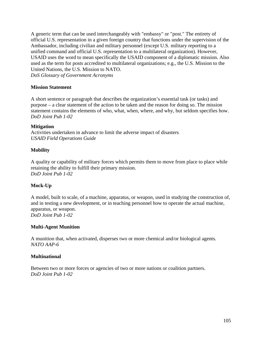A generic term that can be used interchangeably with "embassy" or "post." The entirety of official U.S. representation in a given foreign country that functions under the supervision of the Ambassador, including civilian and military personnel (except U.S. military reporting to a unified command and official U.S. representation to a multilateral organization). However, USAID uses the word to mean specifically the USAID component of a diplomatic mission. Also used as the term for posts accredited to multilateral organizations; e.g., the U.S. Mission to the United Nations, the U.S. Mission to NATO.

*DoS Glossary of Government Acronyms*

# **Mission Statement**

A short sentence or paragraph that describes the organization's essential task (or tasks) and purpose – a clear statement of the action to be taken and the reason for doing so. The mission statement contains the elements of who, what, when, where, and why, but seldom specifies how. *DoD Joint Pub 1-02* 

# **Mitigation**

Activities undertaken in advance to limit the adverse impact of disasters. *USAID Field Operations Guide*

# **Mobility**

A quality or capability of military forces which permits them to move from place to place while retaining the ability to fulfill their primary mission. *DoD Joint Pub 1-02* 

# **Mock-Up**

A model, built to scale, of a machine, apparatus, or weapon, used in studying the construction of, and in testing a new development, or in teaching personnel how to operate the actual machine, apparatus, or weapon. *DoD Joint Pub 1-02* 

# **Multi-Agent Munition**

A munition that, when activated, disperses two or more chemical and/or biological agents. *NATO AAP-6*

# **Multinational**

Between two or more forces or agencies of two or more nations or coalition partners. *DoD Joint Pub 1-02*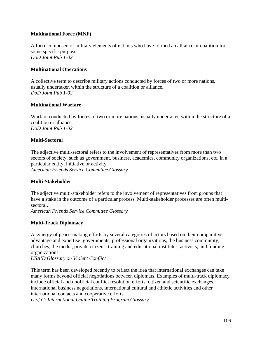# **Multinational Force (MNF)**

A force composed of military elements of nations who have formed an alliance or coalition for some specific purpose. *DoD Joint Pub 1-02* 

# **Multinational Operations**

A collective term to describe military actions conducted by forces of two or more nations, usually undertaken within the structure of a coalition or alliance. *DoD Joint Pub 1-02* 

# **Multinational Warfare**

Warfare conducted by forces of two or more nations, usually undertaken within the structure of a coalition or alliance. *DoD Joint Pub 1-02* 

# **Multi-Sectoral**

The adjective multi-sectoral refers to the involvement of representatives from more than two sectors of society, such as government, business, academics, community organizations, etc. in a particular entity, initiative or activity. *American Friends Service Committee Glossary* 

# **Multi-Stakeholder**

The adjective multi-stakeholder refers to the involvement of representatives from groups that have a stake in the outcome of a particular process. Multi-stakeholder processes are often multisectoral.

*American Friends Service Committee Glossary* 

# **Multi-Track Diplomacy**

A synergy of peace-making efforts by several categories of actors based on their comparative advantage and expertise: governments, professional organizations, the business community, churches, the media, private citizens, training and educational institutes, activists; and funding organizations.

*USAID Glossary on Violent Conflict* 

This term has been developed recently to reflect the idea that international exchanges can take many forms beyond official negotiations between diplomats. Examples of multi-track diplomacy include official and unofficial conflict resolution efforts, citizen and scientific exchanges, international business negotiations, international cultural and athletic activities and other international contacts and cooperative efforts.

*U of C: International Online Training Program Glossary*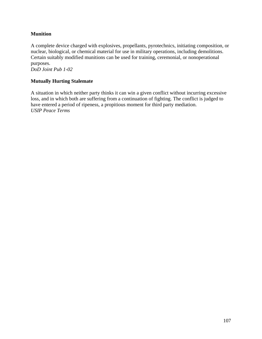# **Munition**

A complete device charged with explosives, propellants, pyrotechnics, initiating composition, or nuclear, biological, or chemical material for use in military operations, including demolitions. Certain suitably modified munitions can be used for training, ceremonial, or nonoperational purposes.

*DoD Joint Pub 1-02* 

# **Mutually Hurting Stalemate**

A situation in which neither party thinks it can win a given conflict without incurring excessive loss, and in which both are suffering from a continuation of fighting. The conflict is judged to have entered a period of ripeness, a propitious moment for third party mediation. *USIP Peace Terms*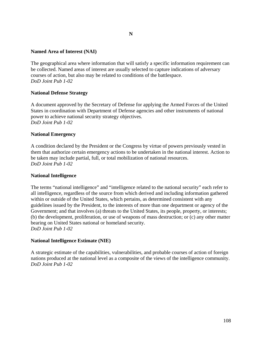## **Named Area of Interest (NAI)**

The geographical area where information that will satisfy a specific information requirement can be collected. Named areas of interest are usually selected to capture indications of adversary courses of action, but also may be related to conditions of the battlespace. *DoD Joint Pub 1-02* 

## **National Defense Strategy**

A document approved by the Secretary of Defense for applying the Armed Forces of the United States in coordination with Department of Defense agencies and other instruments of national power to achieve national security strategy objectives. *DoD Joint Pub 1-02* 

## **National Emergency**

A condition declared by the President or the Congress by virtue of powers previously vested in them that authorize certain emergency actions to be undertaken in the national interest. Action to be taken may include partial, full, or total mobilization of national resources. *DoD Joint Pub 1-02* 

## **National Intelligence**

The terms "national intelligence" and "intelligence related to the national security" each refer to all intelligence, regardless of the source from which derived and including information gathered within or outside of the United States, which pertains, as determined consistent with any guidelines issued by the President, to the interests of more than one department or agency of the Government; and that involves (a) threats to the United States, its people, property, or interests; (b) the development, proliferation, or use of weapons of mass destruction; or (c) any other matter bearing on United States national or homeland security. *DoD Joint Pub 1-02* 

## **National Intelligence Estimate (NIE)**

A strategic estimate of the capabilities, vulnerabilities, and probable courses of action of foreign nations produced at the national level as a composite of the views of the intelligence community. *DoD Joint Pub 1-02*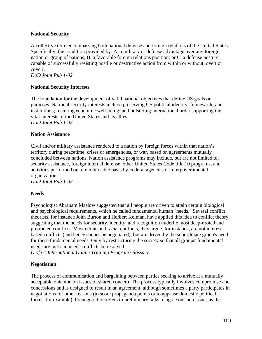# **National Security**

A collective term encompassing both national defense and foreign relations of the United States. Specifically, the condition provided by: A. a military or defense advantage over any foreign nation or group of nations; B. a favorable foreign relations position; or C. a defense posture capable of successfully resisting hostile or destructive action from within or without, overt or covert.

*DoD Joint Pub 1-02* 

# **National Security Interests**

The foundation for the development of valid national objectives that define US goals or purposes. National security interests include preserving US political identity, framework, and institutions; fostering economic well-being; and bolstering international order supporting the vital interests of the United States and its allies. *DoD Joint Pub 1-02* 

## **Nation Assistance**

Civil and/or military assistance rendered to a nation by foreign forces within that nation's territory during peacetime, crises or emergencies, or war, based on agreements mutually concluded between nations. Nation assistance programs may include, but are not limited to, security assistance, foreign internal defense, other United States Code title 10 programs, and activities performed on a reimbursable basis by Federal agencies or intergovernmental organizations.

*DoD Joint Pub 1-02* 

# **Needs**

Psychologist Abraham Maslow suggested that all people are driven to attain certain biological and psychological requirements, which he called fundamental human "needs." Several conflict theorists, for instance John Burton and Herbert Kelman, have applied this idea to conflict theory, suggesting that the needs for security, identity, and recognition underlie most deep-rooted and protracted conflicts. Most ethnic and racial conflicts, they argue, for instance, are not interestbased conflicts (and hence cannot be negotiated), but are driven by the subordinate group's need for these fundamental needs. Only by restructuring the society so that all groups' fundamental needs are met can needs conflicts be resolved.

*U of C: International Online Training Program Glossary* 

# **Negotiation**

The process of communication and bargaining between parties seeking to arrive at a mutually acceptable outcome on issues of shared concern. The process typically involves compromise and concessions and is designed to result in an agreement, although sometimes a party participates in negotiations for other reasons (to score propaganda points or to appease domestic political forces, for example). Prenegotiation refers to preliminary talks to agree on such issues as the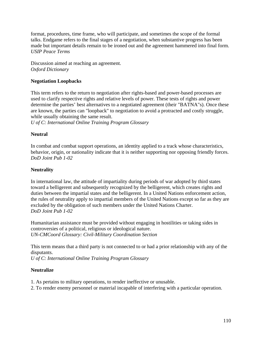format, procedures, time frame, who will participate, and sometimes the scope of the formal talks. Endgame refers to the final stages of a negotiation, when substantive progress has been made but important details remain to be ironed out and the agreement hammered into final form. *USIP Peace Terms* 

Discussion aimed at reaching an agreement. *Oxford Dictionary* 

# **Negotiation Loopbacks**

This term refers to the return to negotiation after rights-based and power-based processes are used to clarify respective rights and relative levels of power. These tests of rights and power determine the parties' best alternatives to a negotiated agreement (their "BATNA"s). Once these are known, the parties can "loopback" to negotiation to avoid a protracted and costly struggle, while usually obtaining the same result.

*U of C: International Online Training Program Glossary* 

# **Neutral**

In combat and combat support operations, an identity applied to a track whose characteristics, behavior, origin, or nationality indicate that it is neither supporting nor opposing friendly forces. *DoD Joint Pub 1-02* 

# **Neutrality**

In international law, the attitude of impartiality during periods of war adopted by third states toward a belligerent and subsequently recognized by the belligerent, which creates rights and duties between the impartial states and the belligerent. In a United Nations enforcement action, the rules of neutrality apply to impartial members of the United Nations except so far as they are excluded by the obligation of such members under the United Nations Charter. *DoD Joint Pub 1-02* 

Humanitarian assistance must be provided without engaging in hostilities or taking sides in controversies of a political, religious or ideological nature. *UN-CMCoord Glossary: Civil-Military Coordination Section* 

This term means that a third party is not connected to or had a prior relationship with any of the disputants.

*U of C: International Online Training Program Glossary* 

# **Neutralize**

1. As pertains to military operations, to render ineffective or unusable.

2. To render enemy personnel or material incapable of interfering with a particular operation.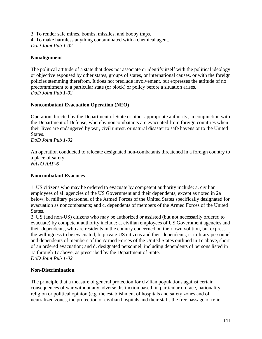3. To render safe mines, bombs, missiles, and booby traps. 4. To make harmless anything contaminated with a chemical agent. *DoD Joint Pub 1-02* 

# **Nonalignment**

The political attitude of a state that does not associate or identify itself with the political ideology or objective espoused by other states, groups of states, or international causes, or with the foreign policies stemming therefrom. It does not preclude involvement, but expresses the attitude of no precommitment to a particular state (or block) or policy before a situation arises. *DoD Joint Pub 1-02* 

# **Noncombatant Evacuation Operation (NEO)**

Operation directed by the Department of State or other appropriate authority, in conjunction with the Department of Defense, whereby noncombatants are evacuated from foreign countries when their lives are endangered by war, civil unrest, or natural disaster to safe havens or to the United States.

*DoD Joint Pub 1-02* 

An operation conducted to relocate designated non-combatants threatened in a foreign country to a place of safety. *NATO AAP-6* 

# **Noncombatant Evacuees**

1. US citizens who may be ordered to evacuate by competent authority include: a. civilian employees of all agencies of the US Government and their dependents, except as noted in 2a below; b. military personnel of the Armed Forces of the United States specifically designated for evacuation as noncombatants; and c. dependents of members of the Armed Forces of the United States.

2. US (and non-US) citizens who may be authorized or assisted (but not necessarily ordered to evacuate) by competent authority include: a. civilian employees of US Government agencies and their dependents, who are residents in the country concerned on their own volition, but express the willingness to be evacuated; b. private US citizens and their dependents; c. military personnel and dependents of members of the Armed Forces of the United States outlined in 1c above, short of an ordered evacuation; and d. designated personnel, including dependents of persons listed in 1a through 1c above, as prescribed by the Department of State.

*DoD Joint Pub 1-02*

# **Non-Discrimination**

The principle that a measure of general protection for civilian populations against certain consequences of war without any adverse distinction based, in particular on race, nationality, religion or political opinion (e.g. the establishment of hospitals and safety zones and of neutralized zones, the protection of civilian hospitals and their staff, the free passage of relief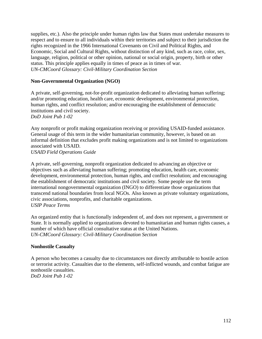supplies, etc.). Also the principle under human rights law that States must undertake measures to respect and to ensure to all individuals within their territories and subject to their jurisdiction the rights recognized in the 1966 International Covenants on Civil and Political Rights, and Economic, Social and Cultural Rights, without distinction of any kind, such as race, color, sex, language, religion, political or other opinion, national or social origin, property, birth or other status. This principle applies equally in times of peace as in times of war. *UN-CMCoord Glossary: Civil-Military Coordination Section* 

## **Non-Governmental Organization (NGO)**

A private, self-governing, not-for-profit organization dedicated to alleviating human suffering; and/or promoting education, health care, economic development, environmental protection, human rights, and conflict resolution; and/or encouraging the establishment of democratic institutions and civil society. *DoD Joint Pub 1-02* 

Any nonprofit or profit making organization receiving or providing USAID-funded assistance. General usage of this term in the wider humanitarian community, however, is based on an informal definition that excludes profit making organizations and is not limited to organizations associated with USAID.

*USAID Field Operations Guide* 

A private, self-governing, nonprofit organization dedicated to advancing an objective or objectives such as alleviating human suffering; promoting education, health care, economic development, environmental protection, human rights, and conflict resolution; and encouraging the establishment of democratic institutions and civil society. Some people use the term international nongovernmental organization (INGO) to differentiate those organizations that transcend national boundaries from local NGOs. Also known as private voluntary organizations, civic associations, nonprofits, and charitable organizations. *USIP Peace Terms* 

An organized entity that is functionally independent of, and does not represent, a government or State. It is normally applied to organizations devoted to humanitarian and human rights causes, a number of which have official consultative status at the United Nations. *UN-CMCoord Glossary: Civil-Military Coordination Section* 

## **Nonhostile Casualty**

A person who becomes a casualty due to circumstances not directly attributable to hostile action or terrorist activity. Casualties due to the elements, self-inflicted wounds, and combat fatigue are nonhostile casualties.

*DoD Joint Pub 1-02*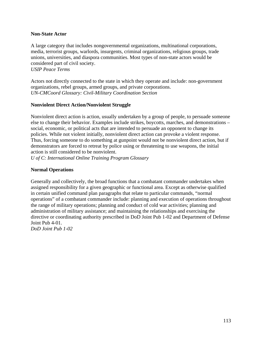## **Non-State Actor**

A large category that includes nongovernmental organizations, multinational corporations, media, terrorist groups, warlords, insurgents, criminal organizations, religious groups, trade unions, universities, and diaspora communities. Most types of non-state actors would be considered part of civil society. *USIP Peace Terms* 

Actors not directly connected to the state in which they operate and include: non-government organizations, rebel groups, armed groups, and private corporations. *UN-CMCoord Glossary: Civil-Military Coordination Section* 

## **Nonviolent Direct Action/Nonviolent Struggle**

Nonviolent direct action is action, usually undertaken by a group of people, to persuade someone else to change their behavior. Examples include strikes, boycotts, marches, and demonstrations – social, economic, or political acts that are intended to persuade an opponent to change its policies. While not violent initially, nonviolent direct action can provoke a violent response. Thus, forcing someone to do something at gunpoint would not be nonviolent direct action, but if demonstrators are forced to retreat by police using or threatening to use weapons, the initial action is still considered to be nonviolent.

*U of C: International Online Training Program Glossary* 

## **Normal Operations**

Generally and collectively, the broad functions that a combatant commander undertakes when assigned responsibility for a given geographic or functional area. Except as otherwise qualified in certain unified command plan paragraphs that relate to particular commands, "normal operations" of a combatant commander include: planning and execution of operations throughout the range of military operations; planning and conduct of cold war activities; planning and administration of military assistance; and maintaining the relationships and exercising the directive or coordinating authority prescribed in DoD Joint Pub 1-02 and Department of Defense Joint Pub 4-01.

*DoD Joint Pub 1-02*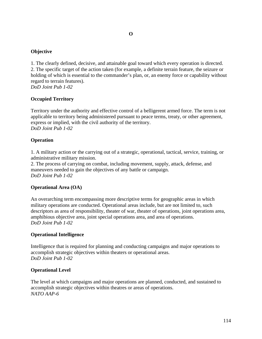## **Objective**

1. The clearly defined, decisive, and attainable goal toward which every operation is directed. 2. The specific target of the action taken (for example, a definite terrain feature, the seizure or holding of which is essential to the commander's plan, or, an enemy force or capability without regard to terrain features).

*DoD Joint Pub 1-02* 

## **Occupied Territory**

Territory under the authority and effective control of a belligerent armed force. The term is not applicable to territory being administered pursuant to peace terms, treaty, or other agreement, express or implied, with the civil authority of the territory. *DoD Joint Pub 1-02* 

## **Operation**

1. A military action or the carrying out of a strategic, operational, tactical, service, training, or administrative military mission.

2. The process of carrying on combat, including movement, supply, attack, defense, and maneuvers needed to gain the objectives of any battle or campaign. *DoD Joint Pub 1-02* 

## **Operational Area (OA)**

An overarching term encompassing more descriptive terms for geographic areas in which military operations are conducted. Operational areas include, but are not limited to, such descriptors as area of responsibility, theater of war, theater of operations, joint operations area, amphibious objective area, joint special operations area, and area of operations. *DoD Joint Pub 1-02* 

## **Operational Intelligence**

Intelligence that is required for planning and conducting campaigns and major operations to accomplish strategic objectives within theaters or operational areas. *DoD Joint Pub 1-02* 

## **Operational Level**

The level at which campaigns and major operations are planned, conducted, and sustained to accomplish strategic objectives within theatres or areas of operations. *NATO AAP-6*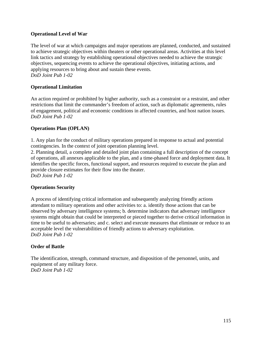# **Operational Level of War**

The level of war at which campaigns and major operations are planned, conducted, and sustained to achieve strategic objectives within theaters or other operational areas. Activities at this level link tactics and strategy by establishing operational objectives needed to achieve the strategic objectives, sequencing events to achieve the operational objectives, initiating actions, and applying resources to bring about and sustain these events. *DoD Joint Pub 1-02* 

# **Operational Limitation**

An action required or prohibited by higher authority, such as a constraint or a restraint, and other restrictions that limit the commander's freedom of action, such as diplomatic agreements, rules of engagement, political and economic conditions in affected countries, and host nation issues. *DoD Joint Pub 1-02* 

# **Operations Plan (OPLAN)**

1. Any plan for the conduct of military operations prepared in response to actual and potential contingencies. In the context of joint operation planning level.

2. Planning detail, a complete and detailed joint plan containing a full description of the concept of operations, all annexes applicable to the plan, and a time-phased force and deployment data. It identifies the specific forces, functional support, and resources required to execute the plan and provide closure estimates for their flow into the theater. *DoD Joint Pub 1-02* 

# **Operations Security**

A process of identifying critical information and subsequently analyzing friendly actions attendant to military operations and other activities to: a. identify those actions that can be observed by adversary intelligence systems; b. determine indicators that adversary intelligence systems might obtain that could be interpreted or pieced together to derive critical information in time to be useful to adversaries; and c. select and execute measures that eliminate or reduce to an acceptable level the vulnerabilities of friendly actions to adversary exploitation. *DoD Joint Pub 1-02*

# **Order of Battle**

The identification, strength, command structure, and disposition of the personnel, units, and equipment of any military force. *DoD Joint Pub 1-02*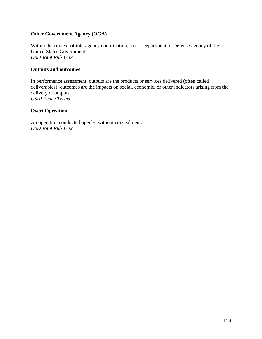# **Other Government Agency (OGA)**

Within the context of interagency coordination, a non Department of Defense agency of the United States Government. *DoD Joint Pub 1-02* 

## **Outputs and outcomes**

In performance assessment, outputs are the products or services delivered (often called deliverables); outcomes are the impacts on social, economic, or other indicators arising from the delivery of outputs. *USIP Peace Terms*

## **Overt Operation**

An operation conducted openly, without concealment. *DoD Joint Pub 1-02*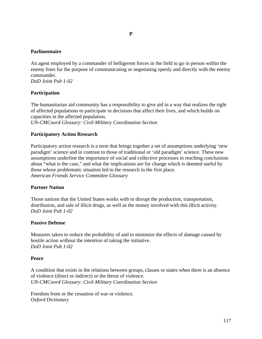## **Parlimentaire**

An agent employed by a commander of belligerent forces in the field to go in person within the enemy lines for the purpose of communicating or negotiating openly and directly with the enemy commander.

*DoD Joint Pub 1-02* 

## **Participation**

The humanitarian aid community has a responsibility to give aid in a way that realizes the right of affected populations to participate in decisions that affect their lives, and which builds on capacities in the affected population.

*UN-CMCoord Glossary: Civil-Military Coordination Section* 

#### **Participatory Action Research**

Participatory action research is a term that brings together a set of assumptions underlying 'new paradigm' science and in contrast to those of traditional or 'old paradigm' science. These new assumptions underline the importance of social and collective processes in reaching conclusions about "what is the case," and what the implications are for change which is deemed useful by those whose problematic situation led to the research in the first place. *American Friends Service Committee Glossary* 

#### **Partner Nation**

Those nations that the United States works with to disrupt the production, transportation, distribution, and sale of illicit drugs, as well as the money involved with this illicit activity. *DoD Joint Pub 1-02* 

#### **Passive Defense**

Measures taken to reduce the probability of and to minimize the effects of damage caused by hostile action without the intention of taking the initiative. *DoD Joint Pub 1-02* 

#### **Peace**

A condition that exists in the relations between groups, classes or states when there is an absence of violence (direct or indirect) or the threat of violence. *UN-CMCoord Glossary: Civil-Military Coordination Section* 

Freedom from or the cessation of war or violence. *Oxford Dictionary*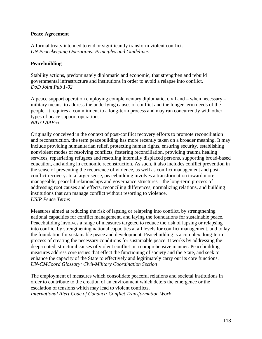## **Peace Agreement**

A formal treaty intended to end or significantly transform violent conflict. *UN Peacekeeping Operations: Principles and Guidelines* 

## **Peacebuilding**

Stability actions, predominately diplomatic and economic, that strengthen and rebuild governmental infrastructure and institutions in order to avoid a relapse into conflict. *DoD Joint Pub 1-02* 

A peace support operation employing complementary diplomatic, civil and – when necessary – military means, to address the underlying causes of conflict and the longer-term needs of the people. It requires a commitment to a long-term process and may run concurrently with other types of peace support operations. *NATO AAP-6*

Originally conceived in the context of post-conflict recovery efforts to promote reconciliation and reconstruction, the term peacebuilding has more recently taken on a broader meaning. It may include providing humanitarian relief, protecting human rights, ensuring security, establishing nonviolent modes of resolving conflicts, fostering reconciliation, providing trauma healing services, repatriating refugees and resettling internally displaced persons, supporting broad-based education, and aiding in economic reconstruction. As such, it also includes conflict prevention in the sense of preventing the recurrence of violence, as well as conflict management and postconflict recovery. In a larger sense, peacebuilding involves a transformation toward more manageable, peaceful relationships and governance structures—the long-term process of addressing root causes and effects, reconciling differences, normalizing relations, and building institutions that can manage conflict without resorting to violence. *USIP Peace Terms* 

Measures aimed at reducing the risk of lapsing or relapsing into conflict, by strengthening national capacities for conflict management, and laying the foundations for sustainable peace. Peacebuilding involves a range of measures targeted to reduce the risk of lapsing or relapsing into conflict by strengthening national capacities at all levels for conflict management, and to lay the foundation for sustainable peace and development. Peacebuilding is a complex, long-term process of creating the necessary conditions for sustainable peace. It works by addressing the deep-rooted, structural causes of violent conflict in a comprehensive manner. Peacebuilding measures address core issues that effect the functioning of society and the State, and seek to enhance the capacity of the State to effectively and legitimately carry out its core functions. *UN-CMCoord Glossary: Civil-Military Coordination Section*

The employment of measures which consolidate peaceful relations and societal institutions in order to contribute to the creation of an environment which deters the emergence or the escalation of tensions which may lead to violent conflicts. *International Alert Code of Conduct: Conflict Transformation Work*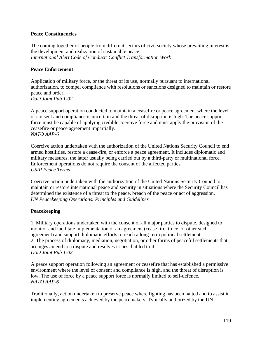## **Peace Constituencies**

The coming together of people from different sectors of civil society whose prevailing interest is the development and realization of sustainable peace. *International Alert Code of Conduct: Conflict Transformation Work* 

## **Peace Enforcement**

Application of military force, or the threat of its use, normally pursuant to international authorization, to compel compliance with resolutions or sanctions designed to maintain or restore peace and order. *DoD Joint Pub 1-02* 

A peace support operation conducted to maintain a ceasefire or peace agreement where the level of consent and compliance is uncertain and the threat of disruption is high. The peace support force must be capable of applying credible coercive force and must apply the provision of the ceasefire or peace agreement impartially. *NATO AAP-6*

Coercive action undertaken with the authorization of the United Nations Security Council to end armed hostilities, restore a cease-fire, or enforce a peace agreement. It includes diplomatic and military measures, the latter usually being carried out by a third-party or multinational force. Enforcement operations do not require the consent of the affected parties. *USIP Peace Terms* 

Coercive action undertaken with the authorization of the United Nations Security Council to maintain or restore international peace and security in situations where the Security Council has determined the existence of a threat to the peace, breach of the peace or act of aggression. *UN Peacekeeping Operations: Principles and Guidelines* 

## **Peacekeeping**

1. Military operations undertaken with the consent of all major parties to dispute, designed to monitor and facilitate implementation of an agreement (cease fire, truce, or other such agreement) and support diplomatic efforts to reach a long-term political settlement. 2. The process of diplomacy, mediation, negotiation, or other forms of peaceful settlements that arranges an end to a dispute and resolves issues that led to it. *DoD Joint Pub 1-02* 

A peace support operation following an agreement or ceasefire that has established a permissive environment where the level of consent and compliance is high, and the threat of disruption is low. The use of force by a peace support force is normally limited to self-defence. *NATO AAP-6* 

Traditionally, action undertaken to preserve peace where fighting has been halted and to assist in implementing agreements achieved by the peacemakers. Typically authorized by the UN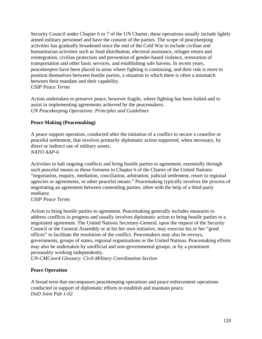Security Council under Chapter 6 or 7 of the UN Charter, these operations usually include lightly armed military personnel and have the consent of the parties. The scope of peacekeeping activities has gradually broadened since the end of the Cold War to include civilian and humanitarian activities such as food distribution, electoral assistance, refugee return and reintegration, civilian protection and prevention of gender-based violence, restoration of transportation and other basic services, and establishing safe havens. In recent years, peacekeepers have been placed in areas where fighting is continuing, and their role is more to position themselves between hostile parties, a situation in which there is often a mismatch between their mandate and their capability. *USIP Peace Terms* 

Action undertaken to preserve peace, however fragile, where fighting has been halted and to assist in implementing agreements achieved by the peacemakers. *UN Peacekeeping Operations: Principles and Guidelines* 

# **Peace Making (Peacemaking)**

A peace support operation, conducted after the initiation of a conflict to secure a ceasefire or peaceful settlement, that involves primarily diplomatic action supported, when necessary, by direct or indirect use of military assets. *NATO AAP-6* 

Activities to halt ongoing conflicts and bring hostile parties to agreement, essentially through such peaceful means as those foreseen in Chapter 6 of the Charter of the United Nations: "negotiation, enquiry, mediation, conciliation, arbitration, judicial settlement, resort to regional agencies or agreements, or other peaceful means." Peacemaking typically involves the process of negotiating an agreement between contending parties, often with the help of a third-party mediator.

## *USIP Peace Terms*

Action to bring hostile parties to agreement. Peacemaking generally includes measures to address conflicts in progress and usually involves diplomatic action to bring hostile parties to a negotiated agreement. The United Nations Secretary-General, upon the request of the Security Council or the General Assembly or at his her own initiative, may exercise his or her "good offices" to facilitate the resolution of the conflict. Peacemakers may also be envoys, governments, groups of states, regional organizations or the United Nations. Peacemaking efforts may also be undertaken by unofficial and non-governmental groups, or by a prominent personality working independently.

*UN-CMCoord Glossary: Civil-Military Coordination Section* 

# **Peace Operation**

A broad term that encompasses peacekeeping operations and peace enforcement operations conducted in support of diplomatic efforts to establish and maintain peace. *DoD Joint Pub 1-02*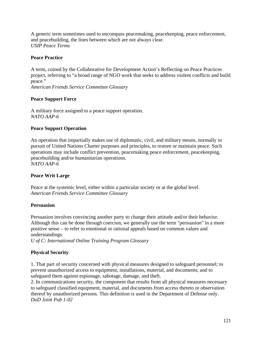A generic term sometimes used to encompass peacemaking, peacekeeping, peace enforcement, and peacebuilding, the lines between which are not always clear. *USIP Peace Terms* 

# **Peace Practice**

A term, coined by the Collaborative for Development Action's Reflecting on Peace Practices project, referring to "a broad range of NGO work that seeks to address violent conflicts and build peace."

*American Friends Service Committee Glossary* 

# **Peace Support Force**

A military force assigned to a peace support operation. *NATO AAP-6*

# **Peace Support Operation**

An operation that impartially makes use of diplomatic, civil, and military means, normally in pursuit of United Nations Charter purposes and principles, to restore or maintain peace. Such operations may include conflict prevention, peacemaking peace enforcement, peacekeeping, peacebuilding and/or humanitarian operations. *NATO AAP-6*

# **Peace Writ Large**

Peace at the systemic level, either within a particular society or at the global level. *American Friends Service Committee Glossary* 

# **Persuasion**

Persuasion involves convincing another party to change their attitude and/or their behavior. Although this can be done through coercion, we generally use the term "persuasion" in a more positive sense – to refer to emotional or rational appeals based on common values and understandings.

*U of C: International Online Training Program Glossary* 

# **Physical Security**

1. That part of security concerned with physical measures designed to safeguard personnel; to prevent unauthorized access to equipment, installations, material, and documents; and to safeguard them against espionage, sabotage, damage, and theft.

2. In communications security, the component that results from all physical measures necessary to safeguard classified equipment, material, and documents from access thereto or observation thereof by unauthorized persons. This definition is used in the Department of Defense only. *DoD Joint Pub 1-02*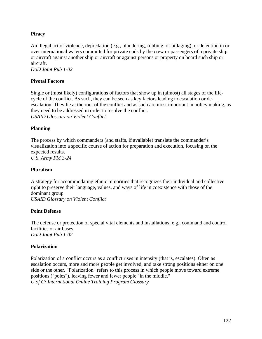# **Piracy**

An illegal act of violence, depredation (e.g., plundering, robbing, or pillaging), or detention in or over international waters committed for private ends by the crew or passengers of a private ship or aircraft against another ship or aircraft or against persons or property on board such ship or aircraft.

*DoD Joint Pub 1-02* 

## **Pivotal Factors**

Single or (most likely) configurations of factors that show up in (almost) all stages of the lifecycle of the conflict. As such, they can be seen as key factors leading to escalation or deescalation. They lie at the root of the conflict and as such are most important in policy making, as they need to be addressed in order to resolve the conflict. *USAID Glossary on Violent Conflict*

## **Planning**

The process by which commanders (and staffs, if available) translate the commander's visualization into a specific course of action for preparation and execution, focusing on the expected results.

*U.S. Army FM 3-24* 

## **Pluralism**

A strategy for accommodating ethnic minorities that recognizes their individual and collective right to preserve their language, values, and ways of life in coexistence with those of the dominant group. *USAID Glossary on Violent Conflict*

## **Point Defense**

The defense or protection of special vital elements and installations; e.g., command and control facilities or air bases. *DoD Joint Pub 1-02* 

## **Polarization**

Polarization of a conflict occurs as a conflict rises in intensity (that is, escalates). Often as escalation occurs, more and more people get involved, and take strong positions either on one side or the other. "Polarization" refers to this process in which people move toward extreme positions ("poles"), leaving fewer and fewer people "in the middle." *U of C: International Online Training Program Glossary*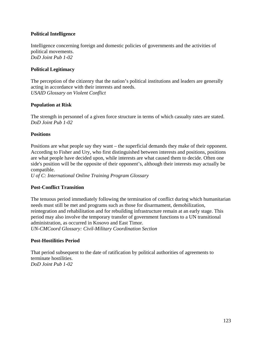# **Political Intelligence**

Intelligence concerning foreign and domestic policies of governments and the activities of political movements. *DoD Joint Pub 1-02* 

# **Political Legitimacy**

The perception of the citizenry that the nation's political institutions and leaders are generally acting in accordance with their interests and needs. *USAID Glossary on Violent Conflict*

# **Population at Risk**

The strength in personnel of a given force structure in terms of which casualty rates are stated. *DoD Joint Pub 1-02* 

# **Positions**

Positions are what people say they want – the superficial demands they make of their opponent. According to Fisher and Ury, who first distinguished between interests and positions, positions are what people have decided upon, while interests are what caused them to decide. Often one side's position will be the opposite of their opponent's, although their interests may actually be compatible.

*U of C: International Online Training Program Glossary* 

# **Post-Conflict Transition**

The tenuous period immediately following the termination of conflict during which humanitarian needs must still be met and programs such as those for disarmament, demobilization, reintegration and rehabilitation and for rebuilding infrastructure remain at an early stage. This period may also involve the temporary transfer of government functions to a UN transitional administration, as occurred in Kosovo and East Timor. *UN-CMCoord Glossary: Civil-Military Coordination Section* 

# **Post-Hostilities Period**

That period subsequent to the date of ratification by political authorities of agreements to terminate hostilities. *DoD Joint Pub 1-02*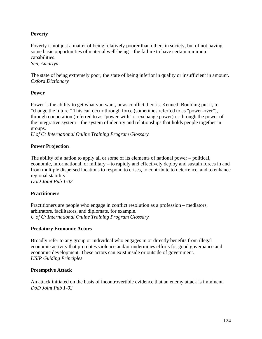# **Poverty**

Poverty is not just a matter of being relatively poorer than others in society, but of not having some basic opportunities of material well-being – the failure to have certain minimum capabilities.

*Sen, Amartya* 

The state of being extremely poor; the state of being inferior in quality or insufficient in amount. *Oxford Dictionary*

## **Power**

Power is the ability to get what you want, or as conflict theorist Kenneth Boulding put it, to "change the future." This can occur through force (sometimes referred to as "power-over"), through cooperation (referred to as "power-with" or exchange power) or through the power of the integrative system – the system of identity and relationships that holds people together in groups.

*U of C: International Online Training Program Glossary*

# **Power Projection**

The ability of a nation to apply all or some of its elements of national power – political, economic, informational, or military – to rapidly and effectively deploy and sustain forces in and from multiple dispersed locations to respond to crises, to contribute to deterrence, and to enhance regional stability.

*DoD Joint Pub 1-02* 

# **Practitioners**

Practitioners are people who engage in conflict resolution as a profession – mediators, arbitrators, facilitators, and diplomats, for example. *U of C: International Online Training Program Glossary* 

## **Predatory Economic Actors**

Broadly refer to any group or individual who engages in or directly benefits from illegal economic activity that promotes violence and/or undermines efforts for good governance and economic development. These actors can exist inside or outside of government. *USIP Guiding Principles*

## **Preemptive Attack**

An attack initiated on the basis of incontrovertible evidence that an enemy attack is imminent. *DoD Joint Pub 1-02*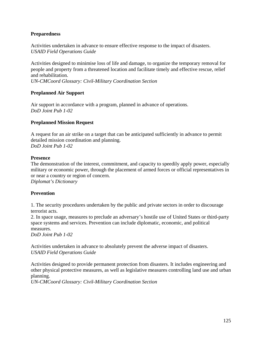## **Preparedness**

Activities undertaken in advance to ensure effective response to the impact of disasters. *USAID Field Operations Guide* 

Activities designed to minimise loss of life and damage, to organize the temporary removal for people and property from a threatened location and facilitate timely and effective rescue, relief and rehabilitation.

*UN-CMCoord Glossary: Civil-Military Coordination Section* 

## **Preplanned Air Support**

Air support in accordance with a program, planned in advance of operations. *DoD Joint Pub 1-02* 

## **Preplanned Mission Request**

A request for an air strike on a target that can be anticipated sufficiently in advance to permit detailed mission coordination and planning. *DoD Joint Pub 1-02* 

## **Presence**

The demonstration of the interest, commitment, and capacity to speedily apply power, especially military or economic power, through the placement of armed forces or official representatives in or near a country or region of concern. *Diplomat's Dictionary* 

## **Prevention**

1. The security procedures undertaken by the public and private sectors in order to discourage terrorist acts.

2. In space usage, measures to preclude an adversary's hostile use of United States or third-party space systems and services. Prevention can include diplomatic, economic, and political measures.

*DoD Joint Pub 1-02* 

Activities undertaken in advance to absolutely prevent the adverse impact of disasters. *USAID Field Operations Guide* 

Activities designed to provide permanent protection from disasters. It includes engineering and other physical protective measures, as well as legislative measures controlling land use and urban planning.

*UN-CMCoord Glossary: Civil-Military Coordination Section*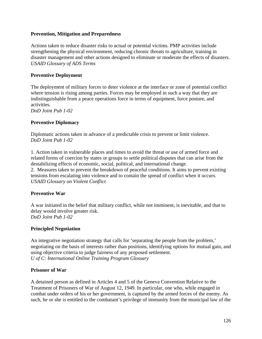## **Prevention, Mitigation and Preparedness**

Actions taken to reduce disaster risks to actual or potential victims. PMP activities include strengthening the physical environment, reducing chronic threats to agriculture, training in disaster management and other actions designed to eliminate or moderate the effects of disasters. *USAID Glossary of ADS Terms* 

# **Preventive Deployment**

The deployment of military forces to deter violence at the interface or zone of potential conflict where tension is rising among parties. Forces may be employed in such a way that they are indistinguishable from a peace operations force in terms of equipment, force posture, and activities.

*DoD Joint Pub 1-02* 

## **Preventive Diplomacy**

Diplomatic actions taken in advance of a predictable crisis to prevent or limit violence. *DoD Joint Pub 1-02* 

1. Action taken in vulnerable places and times to avoid the threat or use of armed force and related forms of coercion by states or groups to settle political disputes that can arise from the destabilizing effects of economic, social, political, and international change. 2. Measures taken to prevent the breakdown of peaceful conditions. It aims to prevent existing tensions from escalating into violence and to contain the spread of conflict when it occurs.

*USAID Glossary on Violent Conflict*

# **Preventive War**

A war initiated in the belief that military conflict, while not imminent, is inevitable, and that to delay would involve greater risk. *DoD Joint Pub 1-02* 

## **Principled Negotiation**

An integrative negotiation strategy that calls for 'separating the people from the problem,' negotiating on the basis of interests rather than positions, identifying options for mutual gain, and using objective criteria to judge fairness of any proposed settlement. *U of C: International Online Training Program Glossary* 

## **Prisoner of War**

A detained person as defined in Articles 4 and 5 of the Geneva Convention Relative to the Treatment of Prisoners of War of August 12, 1949. In particular, one who, while engaged in combat under orders of his or her government, is captured by the armed forces of the enemy. As such, he or she is entitled to the combatant's privilege of immunity from the municipal law of the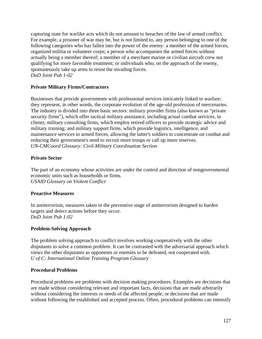capturing state for warlike acts which do not amount to breaches of the law of armed conflict. For example, a prisoner of war may be, but is not limited to, any person belonging to one of the following categories who has fallen into the power of the enemy: a member of the armed forces, organized militia or volunteer corps; a person who accompanies the armed forces without actually being a member thereof; a member of a merchant marine or civilian aircraft crew not qualifying for more favorable treatment; or individuals who, on the approach of the enemy, spontaneously take up arms to resist the invading forces. *DoD Joint Pub 1-02* 

## **Private Military Firms/Contractors**

Businesses that provide governments with professional services intricately linked to warfare; they represent, in other words, the corporate evolution of the age-old profession of mercenaries. The industry is divided into three basic sectors: military provider firms (also known as "private security firms"), which offer tactical military assistance, including actual combat services, to clients; military consulting firms, which employ retired officers to provide strategic advice and military training; and military support firms, which provide logistics, intelligence, and maintenance services to armed forces, allowing the latter's soldiers to concentrate on combat and reducing their government's need to recruit more troops or call up more reserves. *UN-CMCoord Glossary: Civil-Military Coordination Section* 

## **Private Sector**

The part of an economy whose activities are under the control and direction of nongovernmental economic units such as households or firms. *USAID Glossary on Violent Conflict* 

## **Proactive Measures**

In antiterrorism, measures taken in the preventive stage of antiterrorism designed to harden targets and detect actions before they occur. *DoD Joint Pub 1-02*

## **Problem-Solving Approach**

The problem solving approach to conflict involves working cooperatively with the other disputants to solve a common problem. It can be contrasted with the adversarial approach which views the other disputants as opponents or enemies to be defeated, not cooperated with. *U of C: International Online Training Program Glossary* 

## **Procedural Problems**

Procedural problems are problems with decision making procedures. Examples are decisions that are made without considering relevant and important facts, decisions that are made arbitrarily without considering the interests or needs of the affected people, or decisions that are made without following the established and accepted process. Often, procedural problems can intensify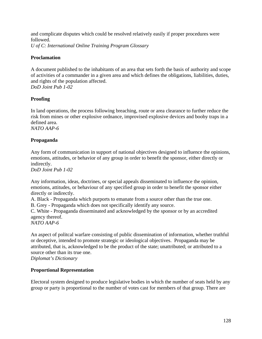and complicate disputes which could be resolved relatively easily if proper procedures were followed.

*U of C: International Online Training Program Glossary* 

# **Proclamation**

A document published to the inhabitants of an area that sets forth the basis of authority and scope of activities of a commander in a given area and which defines the obligations, liabilities, duties, and rights of the population affected. *DoD Joint Pub 1-02* 

# **Proofing**

In land operations, the process following breaching, route or area clearance to further reduce the risk from mines or other explosive ordnance, improvised explosive devices and booby traps in a defined area. *NATO AAP-6*

# **Propaganda**

Any form of communication in support of national objectives designed to influence the opinions, emotions, attitudes, or behavior of any group in order to benefit the sponsor, either directly or indirectly.

*DoD Joint Pub 1-02* 

Any information, ideas, doctrines, or special appeals disseminated to influence the opinion, emotions, attitudes, or behaviour of any specified group in order to benefit the sponsor either directly or indirectly.

A. Black - Propaganda which purports to emanate from a source other than the true one.

B. Grey - Propaganda which does not specifically identify any source.

C. White - Propaganda disseminated and acknowledged by the sponsor or by an accredited agency thereof.

*NATO AAP-6* 

An aspect of politcal warfare consisting of public dissemination of information, whether truthful or deceptive, intended to promote strategic or ideological objectives. Propaganda may be attributed, that is, acknowledged to be the product of the state; unattributed; or attributed to a source other than its true one.

*Diplomat's Dictionary* 

# **Proportional Representation**

Electoral system designed to produce legislative bodies in which the number of seats held by any group or party is proportional to the number of votes cast for members of that group. There are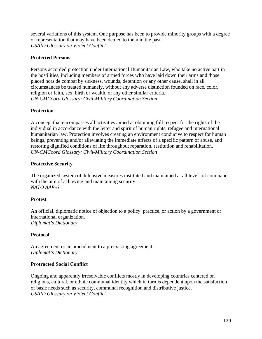several variations of this system. One purpose has been to provide minority groups with a degree of representation that may have been denied to them in the past. *USAID Glossary on Violent Conflict* 

# **Protected Persons**

Persons accorded protection under International Humanitarian Law, who take no active part in the hostilities, including members of armed forces who have laid down their arms and those placed hors de combat by sickness, wounds, detention or any other cause, shall in all circumstances be treated humanely, without any adverse distinction founded on race, color, religion or faith, sex, birth or wealth, or any other similar criteria. *UN-CMCoord Glossary: Civil-Military Coordination Section*

# **Protection**

A concept that encompasses all activities aimed at obtaining full respect for the rights of the individual in accordance with the letter and spirit of human rights, refugee and international humanitarian law. Protection involves creating an environment conducive to respect for human beings, preventing and/or alleviating the immediate effects of a specific pattern of abuse, and restoring dignified conditions of life throughout reparation, restitution and rehabilitation. *UN-CMCoord Glossary: Civil-Military Coordination Section* 

# **Protective Security**

The organized system of defensive measures instituted and maintained at all levels of command with the aim of achieving and maintaining security. *NATO AAP-6*

# **Protest**

An official, diplomatic notice of objection to a policy, practice, or action by a government or international organization. *Diplomat's Dictionary* 

# **Protocol**

An agreement or an amendment to a preexisting agreement. *Diplomat's Dictionary* 

# **Protracted Social Conflict**

Ongoing and apparently irresolvable conflicts mostly in developing countries centered on religious, cultural, or ethnic communal identity which in turn is dependent upon the satisfaction of basic needs such as security, communal recognition and distributive justice. *USAID Glossary on Violent Conflict*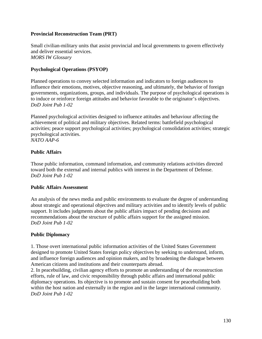## **Provincial Reconstruction Team (PRT)**

Small civilian-military units that assist provincial and local governments to govern effectively and deliver essential services. *MORS IW Glossary*

## **Psychological Operations (PSYOP)**

Planned operations to convey selected information and indicators to foreign audiences to influence their emotions, motives, objective reasoning, and ultimately, the behavior of foreign governments, organizations, groups, and individuals. The purpose of psychological operations is to induce or reinforce foreign attitudes and behavior favorable to the originator's objectives. *DoD Joint Pub 1-02* 

Planned psychological activities designed to influence attitudes and behaviour affecting the achievement of political and military objectives. Related terms: battlefield psychological activities; peace support psychological activities; psychological consolidation activities; strategic psychological activities. *NATO AAP-6* 

# **Public Affairs**

Those public information, command information, and community relations activities directed toward both the external and internal publics with interest in the Department of Defense. *DoD Joint Pub 1-02* 

## **Public Affairs Assessment**

An analysis of the news media and public environments to evaluate the degree of understanding about strategic and operational objectives and military activities and to identify levels of public support. It includes judgments about the public affairs impact of pending decisions and recommendations about the structure of public affairs support for the assigned mission. *DoD Joint Pub 1-02* 

## **Public Diplomacy**

1. Those overt international public information activities of the United States Government designed to promote United States foreign policy objectives by seeking to understand, inform, and influence foreign audiences and opinion makers, and by broadening the dialogue between American citizens and institutions and their counterparts abroad.

2. In peacebuilding, civilian agency efforts to promote an understanding of the reconstruction efforts, rule of law, and civic responsibility through public affairs and international public diplomacy operations. Its objective is to promote and sustain consent for peacebuilding both within the host nation and externally in the region and in the larger international community. *DoD Joint Pub 1-02*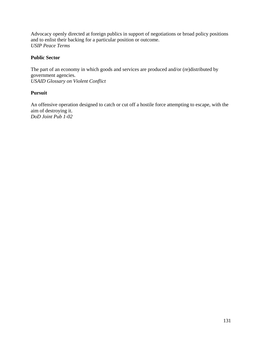Advocacy openly directed at foreign publics in support of negotiations or broad policy positions and to enlist their backing for a particular position or outcome. *USIP Peace Terms* 

# **Public Sector**

The part of an economy in which goods and services are produced and/or (re)distributed by government agencies. *USAID Glossary on Violent Conflict*

# **Pursuit**

An offensive operation designed to catch or cut off a hostile force attempting to escape, with the aim of destroying it. *DoD Joint Pub 1-02*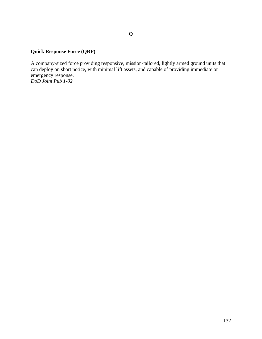# **Quick Response Force (QRF)**

A company-sized force providing responsive, mission-tailored, lightly armed ground units that can deploy on short notice, with minimal lift assets, and capable of providing immediate or emergency response. *DoD Joint Pub 1-02*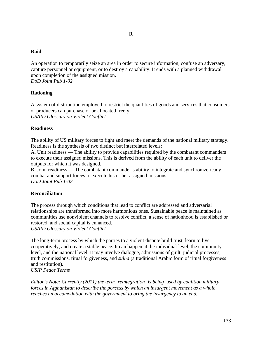## **Raid**

An operation to temporarily seize an area in order to secure information, confuse an adversary, capture personnel or equipment, or to destroy a capability. It ends with a planned withdrawal upon completion of the assigned mission. *DoD Joint Pub 1-02* 

#### **Rationing**

A system of distribution employed to restrict the quantities of goods and services that consumers or producers can purchase or be allocated freely. *USAID Glossary on Violent Conflict* 

#### **Readiness**

The ability of US military forces to fight and meet the demands of the national military strategy. Readiness is the synthesis of two distinct but interrelated levels:

A. Unit readiness — The ability to provide capabilities required by the combatant commanders to execute their assigned missions. This is derived from the ability of each unit to deliver the outputs for which it was designed.

B. Joint readiness — The combatant commander's ability to integrate and synchronize ready combat and support forces to execute his or her assigned missions. *DoD Joint Pub 1-02* 

#### **Reconciliation**

The process through which conditions that lead to conflict are addressed and adversarial relationships are transformed into more harmonious ones. Sustainable peace is maintained as communities use nonviolent channels to resolve conflict, a sense of nationhood is established or restored, and social capital is enhanced.

*USAID Glossary on Violent Conflict* 

The long-term process by which the parties to a violent dispute build trust, learn to live cooperatively, and create a stable peace. It can happen at the individual level, the community level, and the national level. It may involve dialogue, admissions of guilt, judicial processes, truth commissions, ritual forgiveness, and *sulha* (a traditional Arabic form of ritual forgiveness and restitution).

#### *USIP Peace Terms*

*Editor's Note: Currently (2011) the term 'reintegration' is being used by coalition military forces in Afghanistan to describe the porcess by which an insurgent movement as a whole reaches an accomodation with the government to bring the insurgency to an end.*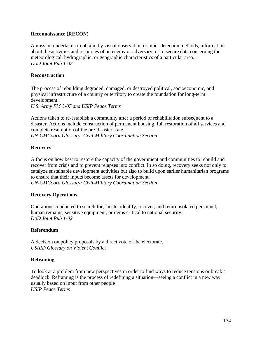## **Reconnaissance (RECON)**

A mission undertaken to obtain, by visual observation or other detection methods, information about the activities and resources of an enemy or adversary, or to secure data concerning the meteorological, hydrographic, or geographic characteristics of a particular area. *DoD Joint Pub 1-02* 

## **Reconstruction**

The process of rebuilding degraded, damaged, or destroyed political, socioeconomic, and physical infrastructure of a country or territory to create the foundation for long-term development.

*U.S. Army FM 3-07 and USIP Peace Terms* 

Actions taken to re-establish a community after a period of rehabilitation subsequent to a disaster. Actions include construction of permanent housing, full restoration of all services and complete resumption of the pre-disaster state.

*UN-CMCoord Glossary: Civil-Military Coordination Section*

## **Recovery**

A focus on how best to restore the capacity of the government and communities to rebuild and recover from crisis and to prevent relapses into conflict. In so doing, recovery seeks not only to catalyze sustainable development activities but also to build upon earlier humanitarian programs to ensure that their inputs become assets for development. *UN-CMCoord Glossary: Civil-Military Coordination Section* 

## **Recovery Operations**

Operations conducted to search for, locate, identify, recover, and return isolated personnel, human remains, sensitive equipment, or items critical to national security. *DoD Joint Pub 1-02* 

## **Referendum**

A decision on policy proposals by a direct vote of the electorate. *USAID Glossary on Violent Conflict*

## **Reframing**

To look at a problem from new perspectives in order to find ways to reduce tensions or break a deadlock. Reframing is the process of redefining a situation—seeing a conflict in a new way, usually based on input from other people *USIP Peace Terms*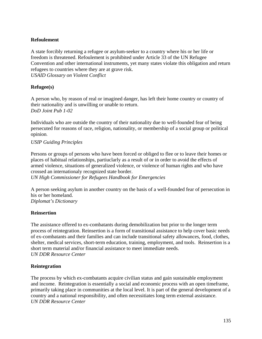# **Refoulement**

A state forcibly returning a refugee or asylum-seeker to a country where his or her life or freedom is threatened. Refoulement is prohibited under Article 33 of the UN Refugee Convention and other international instruments, yet many states violate this obligation and return refugees to countries where they are at grave risk. *USAID Glossary on Violent Conflict*

## **Refugee(s)**

A person who, by reason of real or imagined danger, has left their home country or country of their nationality and is unwilling or unable to return. *DoD Joint Pub 1-02* 

Individuals who are outside the country of their nationality due to well-founded fear of being persecuted for reasons of race, religion, nationality, or membership of a social group or political opinion.

## *USIP Guiding Principles*

Persons or groups of persons who have been forced or obliged to flee or to leave their homes or places of habitual relationships, partiuclarly as a result of or in order to avoid the effects of armed violence, situations of generalized violence, or violence of human rights and who have crossed an internationaly recognized state border.

*UN High Commissioner for Refugees Handbook for Emergencies* 

A person seeking asylum in another country on the basis of a well-founded fear of persecution in his or her homeland.

*Diplomat's Dictionary* 

# **Reinsertion**

The assistance offered to ex-combatants during demobilization but prior to the longer term process of reintegration. Reinsertion is a form of transitional assistance to help cover basic needs of ex-combatants and their families and can include transitional safety allowances, food, clothes, shelter, medical services, short-term education, training, employment, and tools. Reinsertion is a short term material and/or financial assistance to meet immediate needs. *UN DDR Resource Center* 

# **Reintegration**

The process by which ex-combatants acquire civilian status and gain sustainable employment and income. Reintegration is essentially a social and economic process with an open timeframe, primarily taking place in communities at the local level. It is part of the general development of a country and a national responsibility, and often necessitiates long term external assistance. *UN DDR Resource Center*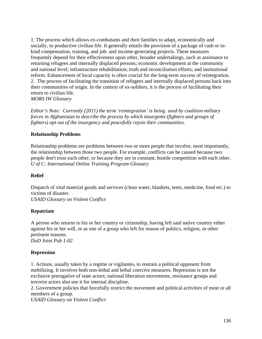1. The process which allows ex-combatants and their families to adapt, economically and socially, to productive civilian life. It generally entails the provision of a package of cash or inkind compensation, training, and job- and income-generating projects. These measures frequently depend for their effectiveness upon other, broader undertakings, such as assistance to returning refugees and internally displaced persons; economic development at the community and national level; infrastructure rehabilitation; truth and reconciliation efforts; and institutional reform. Enhancement of local capacity is often crucial for the long-term success of reintegration. 2. The process of facilitating the transition of refugees and internally displaced persons back into their communities of origin. In the context of ex-soldiers, it is the process of facilitating their return to civilian life. *MORS IW Glossary* 

*Editor's Note: Currently (2011) the term 'reintegration' is being used by coalition military forces in Afghanistan to describe the process by which insurgents (fighters and groups of fighters) opt out of the insurgency and peacefully rejoin their communities.* 

# **Relationship Problems**

Relationship problems are problems between two or more people that involve, most importantly, the relationship between those two people. For example, conflicts can be caused because two people don't trust each other, or because they are in constant, hostile competition with each other. *U of C: International Online Training Program Glossary* 

## **Relief**

Dispatch of vital material goods and services (clean water, blankets, tents, medicine, food etc.) to victims of disaster. *USAID Glossary on Violent Conflict*

## **Repatriate**

A person who returns to his or her country or citizenship, having left said native country either against his or her will, or as one of a group who left for reason of politics, religion, or other pertinent reasons.

*DoD Joint Pub 1-02* 

## **Repression**

1. Actions, usually taken by a regime or vigilantes, to restrain a political opponent from mobilizing. It involves both non-lethal and lethal coercive measures. Repression is not the exclusive prerogative of state actors; national liberation movements, resistance groups and terrorist actors also use it for internal discipline.

2. Government policies that forcefully restrict the movement and political activities of most or all members of a group.

*USAID Glossary on Violent Conflict*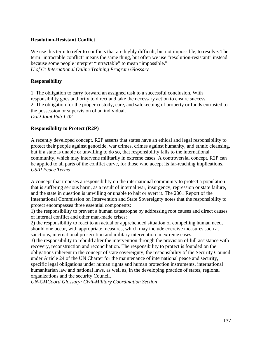# **Resolution-Resistant Conflict**

We use this term to refer to conflicts that are highly difficult, but not impossible, to resolve. The term "intractable conflict" means the same thing, but often we use "resolution-resistant" instead because some people interpret "intractable" to mean "impossible." *U of C: International Online Training Program Glossary* 

# **Responsibility**

1. The obligation to carry forward an assigned task to a successful conclusion. With responsibility goes authority to direct and take the necessary action to ensure success. 2. The obligation for the proper custody, care, and safekeeping of property or funds entrusted to the possession or supervision of an individual. *DoD Joint Pub 1-02* 

# **Responsibility to Protect (R2P)**

A recently developed concept, R2P asserts that states have an ethical and legal responsibility to protect their people against genocide, war crimes, crimes against humanity, and ethnic cleansing, but if a state is unable or unwilling to do so, that responsibility falls to the international community, which may intervene militarily in extreme cases. A controversial concept, R2P can be applied to all parts of the conflict curve, for those who accept its far-reaching implications. *USIP Peace Terms*

A concept that imposes a responsibility on the international community to protect a population that is suffering serious harm, as a result of internal war, insurgency, repression or state failure, and the state in question is unwilling or unable to halt or avert it. The 2001 Report of the International Commission on Intervention and State Sovereignty notes that the responsibility to protect encompasses three essential components:

1) the responsibility to prevent a human catastrophe by addressing root causes and direct causes of internal conflict and other man-made crises;

2) the responsibility to react to an actual or apprehended situation of compelling human need, should one occur, with appropriate measures, which may include coercive measures such as sanctions, international prosecution and military intervention in extreme cases;

3) the responsibility to rebuild after the intervention through the provision of full assistance with recovery, reconstruction and reconciliation. The responsibility to protect is founded on the obligations inherent in the concept of state sovereignty, the responsibility of the Security Council under Article 24 of the UN Charter for the maintenance of international peace and security, specific legal obligations under human rights and human protection instruments, international humanitarian law and national laws, as well as, in the developing practice of states, regional organizations and the security Council.

*UN-CMCoord Glossary: Civil-Military Coordination Section*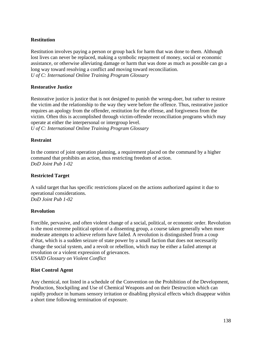## **Restitution**

Restitution involves paying a person or group back for harm that was done to them. Although lost lives can never be replaced, making a symbolic repayment of money, social or economic assistance, or otherwise alleviating damage or harm that was done as much as possible can go a long way toward resolving a conflict and moving toward reconciliation. *U of C: International Online Training Program Glossary* 

## **Restorative Justice**

Restorative justice is justice that is not designed to punish the wrong-doer, but rather to restore the victim and the relationship to the way they were before the offence. Thus, restorative justice requires an apology from the offender, restitution for the offense, and forgiveness from the victim. Often this is accomplished through victim-offender reconciliation programs which may operate at either the interpersonal or intergroup level. *U of C: International Online Training Program Glossary* 

#### **Restraint**

In the context of joint operation planning, a requirement placed on the command by a higher command that prohibits an action, thus restricting freedom of action. *DoD Joint Pub 1-02* 

## **Restricted Target**

A valid target that has specific restrictions placed on the actions authorized against it due to operational considerations. *DoD Joint Pub 1-02* 

#### **Revolution**

Forcible, pervasive, and often violent change of a social, political, or economic order. Revolution is the most extreme political option of a dissenting group, a course taken generally when more moderate attempts to achieve reform have failed. A revolution is distinguished from a coup d'état, which is a sudden seizure of state power by a small faction that does not necessarily change the social system, and a revolt or rebellion, which may be either a failed attempt at revolution or a violent expression of grievances. *USAID Glossary on Violent Conflict*

#### **Riot Control Agent**

Any chemical, not listed in a schedule of the Convention on the Prohibition of the Development, Production, Stockpiling and Use of Chemical Weapons and on their Destruction which can rapidly produce in humans sensory irritation or disabling physical effects which disappear within a short time following termination of exposure.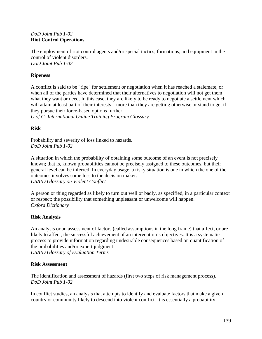## *DoD Joint Pub 1-02* **Riot Control Operations**

The employment of riot control agents and/or special tactics, formations, and equipment in the control of violent disorders. *DoD Joint Pub 1-02* 

## **Ripeness**

A conflict is said to be "ripe" for settlement or negotiation when it has reached a stalemate, or when all of the parties have determined that their alternatives to negotiation will not get them what they want or need. In this case, they are likely to be ready to negotiate a settlement which will attain at least part of their interests – more than they are getting otherwise or stand to get if they pursue their force-based options further.

*U of C: International Online Training Program Glossary* 

#### **Risk**

Probability and severity of loss linked to hazards. *DoD Joint Pub 1-02* 

A situation in which the probability of obtaining some outcome of an event is not precisely known; that is, known probabilities cannot be precisely assigned to these outcomes, but their general level can be inferred. In everyday usage, a risky situation is one in which the one of the outcomes involves some loss to the decision maker. *USAID Glossary on Violent Conflict* 

A person or thing regarded as likely to turn out well or badly, as specified, in a particular context or respect; the possibility that something unpleasant or unwelcome will happen. *Oxford Dictionary* 

#### **Risk Analysis**

An analysis or an assessment of factors (called assumptions in the long frame) that affect, or are likely to affect, the successful achievement of an intervention's objectives. It is a systematic process to provide information regarding undesirable consequences based on quantification of the probabilities and/or expert judgment. *USAID Glossary of Evaluation Terms* 

#### **Risk Assessment**

The identification and assessment of hazards (first two steps of risk management process). *DoD Joint Pub 1-02* 

In conflict studies, an analysis that attempts to identify and evaluate factors that make a given country or community likely to descend into violent conflict. It is essentially a probability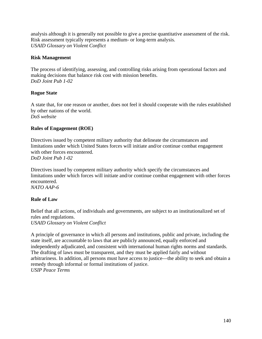analysis although it is generally not possible to give a precise quantitative assessment of the risk. Risk assessment typically represents a medium- or long-term analysis. *USAID Glossary on Violent Conflict* 

#### **Risk Management**

The process of identifying, assessing, and controlling risks arising from operational factors and making decisions that balance risk cost with mission benefits. *DoD Joint Pub 1-02* 

#### **Rogue State**

A state that, for one reason or another, does not feel it should cooperate with the rules established by other nations of the world. *DoS website*

#### **Rules of Engagement (ROE)**

Directives issued by competent military authority that delineate the circumstances and limitations under which United States forces will initiate and/or continue combat engagement with other forces encountered.

*DoD Joint Pub 1-02* 

Directives issued by competent military authority which specify the circumstances and limitations under which forces will initiate and/or continue combat engagement with other forces encountered.

*NATO AAP-6* 

## **Rule of Law**

Belief that all actions, of individuals and governments, are subject to an institutionalized set of rules and regulations.

*USAID Glossary on Violent Conflict* 

A principle of governance in which all persons and institutions, public and private, including the state itself, are accountable to laws that are publicly announced, equally enforced and independently adjudicated, and consistent with international human rights norms and standards. The drafting of laws must be transparent, and they must be applied fairly and without arbitrariness. In addition, all persons must have access to justice—the ability to seek and obtain a remedy through informal or formal institutions of justice. *USIP Peace Terms*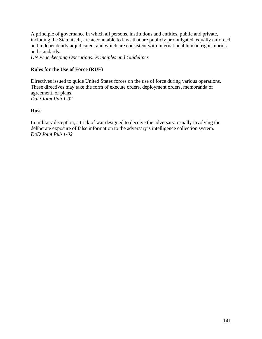A principle of governance in which all persons, institutions and entities, public and private, including the State itself, are accountable to laws that are publicly promulgated, equally enforced and independently adjudicated, and which are consistent with international human rights norms and standards.

*UN Peacekeeping Operations: Principles and Guidelines* 

## **Rules for the Use of Force (RUF)**

Directives issued to guide United States forces on the use of force during various operations. These directives may take the form of execute orders, deployment orders, memoranda of agreement, or plans. *DoD Joint Pub 1-02* 

#### **Ruse**

In military deception, a trick of war designed to deceive the adversary, usually involving the deliberate exposure of false information to the adversary's intelligence collection system. *DoD Joint Pub 1-02*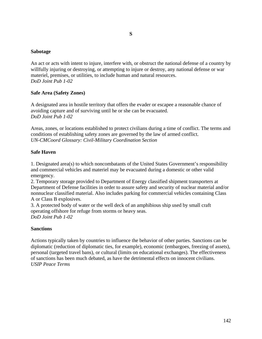#### **Sabotage**

An act or acts with intent to injure, interfere with, or obstruct the national defense of a country by willfully injuring or destroying, or attempting to injure or destroy, any national defense or war materiel, premises, or utilities, to include human and natural resources. *DoD Joint Pub 1-02* 

#### **Safe Area (Safety Zones)**

A designated area in hostile territory that offers the evader or escapee a reasonable chance of avoiding capture and of surviving until he or she can be evacuated. *DoD Joint Pub 1-02*

Areas, zones, or locations established to protect civilians during a time of conflict. The terms and conditions of establishing safety zones are governed by the law of armed conflict. *UN-CMCoord Glossary: Civil-Military Coordination Section* 

#### **Safe Haven**

1. Designated area(s) to which noncombatants of the United States Government's responsibility and commercial vehicles and materiel may be evacuated during a domestic or other valid emergency.

2. Temporary storage provided to Department of Energy classified shipment transporters at Department of Defense facilities in order to assure safety and security of nuclear material and/or nonnuclear classified material. Also includes parking for commercial vehicles containing Class A or Class B explosives.

3. A protected body of water or the well deck of an amphibious ship used by small craft operating offshore for refuge from storms or heavy seas. *DoD Joint Pub 1-02* 

#### **Sanctions**

Actions typically taken by countries to influence the behavior of other parties. Sanctions can be diplomatic (reduction of diplomatic ties, for example), economic (embargoes, freezing of assets), personal (targeted travel bans), or cultural (limits on educational exchanges). The effectiveness of sanctions has been much debated, as have the detrimental effects on innocent civilians. *USIP Peace Terms*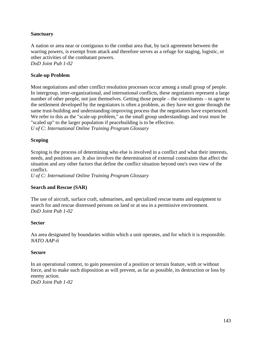## **Sanctuary**

A nation or area near or contiguous to the combat area that, by tacit agreement between the warring powers, is exempt from attack and therefore serves as a refuge for staging, logistic, or other activities of the combatant powers. *DoD Joint Pub 1-02* 

#### **Scale-up Problem**

Most negotiations and other conflict resolution processes occur among a small group of people. In intergroup, inter-organizational, and international conflicts, these negotiators represent a large number of other people, not just themselves. Getting those people – the constituents – to agree to the settlement developed by the negotiators is often a problem, as they have not gone through the same trust-building and understanding-improving process that the negotiators have experienced. We refer to this as the "scale-up problem," as the small group understandings and trust must be "scaled up" to the larger population if peacebuilding is to be effective. *U of C: International Online Training Program Glossary* 

#### **Scoping**

Scoping is the process of determining who else is involved in a conflict and what their interests, needs, and positions are. It also involves the determination of external constraints that affect the situation and any other factors that define the conflict situation beyond one's own view of the conflict.

*U of C: International Online Training Program Glossary* 

#### **Search and Rescue (SAR)**

The use of aircraft, surface craft, submarines, and specialized rescue teams and equipment to search for and rescue distressed persons on land or at sea in a permissive environment. *DoD Joint Pub 1-02* 

#### **Sector**

An area designated by boundaries within which a unit operates, and for which it is responsible. *NATO AAP-6*

#### **Secure**

In an operational context, to gain possession of a position or terrain feature, with or without force, and to make such disposition as will prevent, as far as possible, its destruction or loss by enemy action.

*DoD Joint Pub 1-02*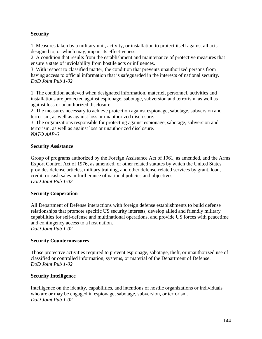## **Security**

1. Measures taken by a military unit, activity, or installation to protect itself against all acts designed to, or which may, impair its effectiveness.

2. A condition that results from the establishment and maintenance of protective measures that ensure a state of inviolability from hostile acts or influences.

3. With respect to classified matter, the condition that prevents unauthorized persons from having access to official information that is safeguarded in the interests of national security. *DoD Joint Pub 1-02* 

1. The condition achieved when designated information, materiel, personnel, activities and installations are protected against espionage, sabotage, subversion and terrorism, as well as against loss or unauthorized disclosure.

2. The measures necessary to achieve protection against espionage, sabotage, subversion and terrorism, as well as against loss or unauthorized disclosure.

3. The organizations responsible for protecting against espionage, sabotage, subversion and terrorism, as well as against loss or unauthorized disclosure. *NATO AAP-6* 

## **Security Assistance**

Group of programs authorized by the Foreign Assistance Act of 1961, as amended, and the Arms Export Control Act of 1976, as amended, or other related statutes by which the United States provides defense articles, military training, and other defense-related services by grant, loan, credit, or cash sales in furtherance of national policies and objectives. *DoD Joint Pub 1-02* 

## **Security Cooperation**

All Department of Defense interactions with foreign defense establishments to build defense relationships that promote specific US security interests, develop allied and friendly military capabilities for self-defense and multinational operations, and provide US forces with peacetime and contingency access to a host nation. *DoD Joint Pub 1-02* 

## **Security Countermeasures**

Those protective activities required to prevent espionage, sabotage, theft, or unauthorized use of classified or controlled information, systems, or material of the Department of Defense. *DoD Joint Pub 1-02* 

## **Security Intelligence**

Intelligence on the identity, capabilities, and intentions of hostile organizations or individuals who are or may be engaged in espionage, sabotage, subversion, or terrorism. *DoD Joint Pub 1-02*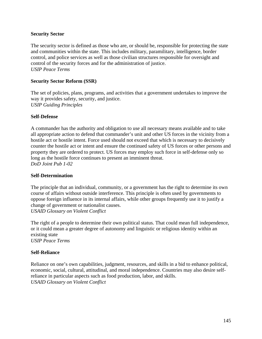#### **Security Sector**

The security sector is defined as those who are, or should be, responsible for protecting the state and communities within the state. This includes military, paramilitary, intelligence, border control, and police services as well as those civilian structures responsible for oversight and control of the security forces and for the administration of justice. *USIP Peace Terms*

#### **Security Sector Reform (SSR)**

The set of policies, plans, programs, and activities that a government undertakes to improve the way it provides safety, security, and justice. *USIP Guiding Principles*

#### **Self-Defense**

A commander has the authority and obligation to use all necessary means available and to take all appropriate action to defend that commander's unit and other US forces in the vicinity from a hostile act or hostile intent. Force used should not exceed that which is necessary to decisively counter the hostile act or intent and ensure the continued safety of US forces or other persons and property they are ordered to protect. US forces may employ such force in self-defense only so long as the hostile force continues to present an imminent threat. *DoD Joint Pub 1-02* 

#### **Self-Determination**

The principle that an individual, community, or a government has the right to determine its own course of affairs without outside interference. This principle is often used by governments to oppose foreign influence in its internal affairs, while other groups frequently use it to justify a change of government or nationalist causes. *USAID Glossary on Violent Conflict*

The right of a people to determine their own political status. That could mean full independence, or it could mean a greater degree of autonomy and linguistic or religious identity within an existing state *USIP Peace Terms*

## **Self-Reliance**

Reliance on one's own capabilities, judgment, resources, and skills in a bid to enhance political, economic, social, cultural, attitudinal, and moral independence. Countries may also desire selfreliance in particular aspects such as food production, labor, and skills. *USAID Glossary on Violent Conflict*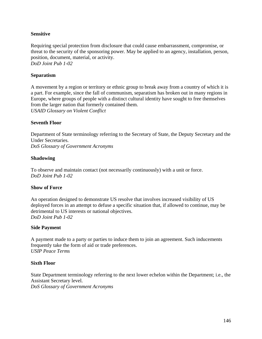## **Sensitive**

Requiring special protection from disclosure that could cause embarrassment, compromise, or threat to the security of the sponsoring power. May be applied to an agency, installation, person, position, document, material, or activity. *DoD Joint Pub 1-02*

#### **Separatism**

A movement by a region or territory or ethnic group to break away from a country of which it is a part. For example, since the fall of communism, separatism has broken out in many regions in Europe, where groups of people with a distinct cultural identity have sought to free themselves from the larger nation that formerly contained them. *USAID Glossary on Violent Conflict* 

#### **Seventh Floor**

Department of State terminology referring to the Secretary of State, the Deputy Secretary and the Under Secretaries. *DoS Glossary of Government Acronyms* 

#### **Shadowing**

To observe and maintain contact (not necessarily continuously) with a unit or force. *DoD Joint Pub 1-02* 

#### **Show of Force**

An operation designed to demonstrate US resolve that involves increased visibility of US deployed forces in an attempt to defuse a specific situation that, if allowed to continue, may be detrimental to US interests or national objectives. *DoD Joint Pub 1-02* 

#### **Side Payment**

A payment made to a party or parties to induce them to join an agreement. Such inducements frequently take the form of aid or trade preferences. *USIP Peace Terms*

#### **Sixth Floor**

State Department terminology referring to the next lower echelon within the Department; i.e., the Assistant Secretary level. *DoS Glossary of Government Acronyms*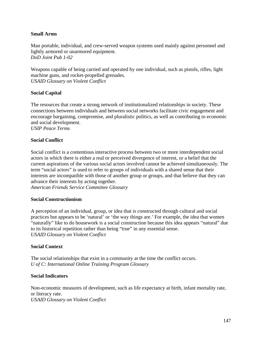#### **Small Arms**

Man portable, individual, and crew-served weapon systems used mainly against personnel and lightly armored or unarmored equipment. *DoD Joint Pub 1-02* 

Weapons capable of being carried and operated by one individual, such as pistols, rifles, light machine guns, and rocket-propelled grenades. *USAID Glossary on Violent Conflict* 

#### **Social Capital**

The resources that create a strong network of institutionalized relationships in society. These connections between individuals and between social networks facilitate civic engagement and encourage bargaining, compromise, and pluralistic politics, as well as contributing to economic and social development.

*USIP Peace Terms*

#### **Social Conflict**

Social conflict is a contentious interactive process between two or more interdependent social actors in which there is either a real or perceived divergence of interest, or a belief that the current aspirations of the various social actors involved cannot be achieved simultaneously. The term "social actors" is used to refer to groups of individuals with a shared sense that their interests are incompatible with those of another group or groups, and that believe that they can advance their interests by acting together.

*American Friends Service Committee Glossary* 

#### **Social Constructionism**

A perception of an individual, group, or idea that is constructed through cultural and social practices but appears to be 'natural' or 'the way things are.' For example, the idea that women "naturally" like to do housework is a social construction because this idea appears "natural" due to its historical repetition rather than being "true" in any essential sense. *USAID Glossary on Violent Conflict* 

#### **Social Context**

The social relationships that exist in a community at the time the conflict occurs. *U of C: International Online Training Program Glossary* 

#### **Social Indicators**

Non-economic measures of development, such as life expectancy at birth, infant mortality rate, or literacy rate. *USAID Glossary on Violent Conflict*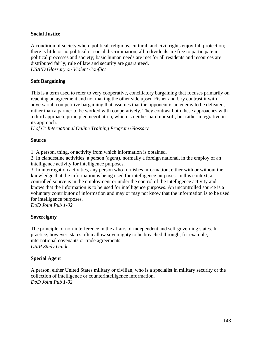## **Social Justice**

A condition of society where political, religious, cultural, and civil rights enjoy full protection; there is little or no political or social discrimination; all individuals are free to participate in political processes and society; basic human needs are met for all residents and resources are distributed fairly; rule of law and security are guaranteed. *USAID Glossary on Violent Conflict*

#### **Soft Bargaining**

This is a term used to refer to very cooperative, conciliatory bargaining that focuses primarily on reaching an agreement and not making the other side upset. Fisher and Ury contrast it with adversarial, competitive bargaining that assumes that the opponent is an enemy to be defeated, rather than a partner to be worked with cooperatively. They contrast both these approaches with a third approach, principled negotiation, which is neither hard nor soft, but rather integrative in its approach.

*U of C: International Online Training Program Glossary* 

#### **Source**

1. A person, thing, or activity from which information is obtained.

2. In clandestine activities, a person (agent), normally a foreign national, in the employ of an intelligence activity for intelligence purposes.

3. In interrogation activities, any person who furnishes information, either with or without the knowledge that the information is being used for intelligence purposes. In this context, a controlled source is in the employment or under the control of the intelligence activity and knows that the information is to be used for intelligence purposes. An uncontrolled source is a voluntary contributor of information and may or may not know that the information is to be used for intelligence purposes.

*DoD Joint Pub 1-02* 

#### **Sovereignty**

The principle of non-interference in the affairs of independent and self-governing states. In practice, however, states often allow sovereignty to be breached through, for example, international covenants or trade agreements. *USIP Study Guide* 

#### **Special Agent**

A person, either United States military or civilian, who is a specialist in military security or the collection of intelligence or counterintelligence information. *DoD Joint Pub 1-02*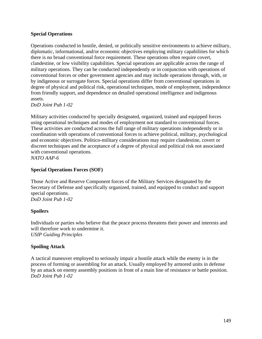#### **Special Operations**

Operations conducted in hostile, denied, or politically sensitive environments to achieve military, diplomatic, informational, and/or economic objectives employing military capabilities for which there is no broad conventional force requirement. These operations often require covert, clandestine, or low visibility capabilities. Special operations are applicable across the range of military operations. They can be conducted independently or in conjunction with operations of conventional forces or other government agencies and may include operations through, with, or by indigenous or surrogate forces. Special operations differ from conventional operations in degree of physical and political risk, operational techniques, mode of employment, independence from friendly support, and dependence on detailed operational intelligence and indigenous assets.

*DoD Joint Pub 1-02*

Military activities conducted by specially designated, organized, trained and equipped forces using operational techniques and modes of employment not standard to conventional forces. These activities are conducted across the full range of military operations independently or in coordination with operations of conventional forces to achieve political, military, psychological and economic objectives. Politico-military considerations may require clandestine, covert or discreet techniques and the acceptance of a degree of physical and political risk not associated with conventional operations.

*NATO AAP-6*

## **Special Operations Forces (SOF)**

Those Active and Reserve Component forces of the Military Services designated by the Secretary of Defense and specifically organized, trained, and equipped to conduct and support special operations. *DoD Joint Pub 1-02* 

#### **Spoilers**

Individuals or parties who believe that the peace process threatens their power and interests and will therefore work to undermine it. *USIP Guiding Principles*

#### **Spoiling Attack**

A tactical maneuver employed to seriously impair a hostile attack while the enemy is in the process of forming or assembling for an attack. Usually employed by armored units in defense by an attack on enemy assembly positions in front of a main line of resistance or battle position. *DoD Joint Pub 1-02*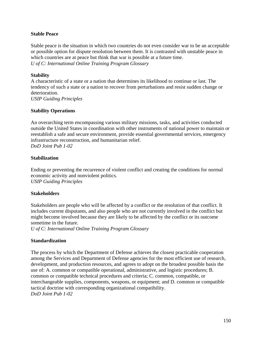#### **Stable Peace**

Stable peace is the situation in which two countries do not even consider war to be an acceptable or possible option for dispute resolution between them. It is contrasted with unstable peace in which countries are at peace but think that war is possible at a future time. *U of C: International Online Training Program Glossary* 

#### **Stability**

A characteristic of a state or a nation that determines its likelihood to continue or last. The tendency of such a state or a nation to recover from perturbations and resist sudden change or deterioration. *USIP Guiding Principles*

## **Stability Operations**

An overarching term encompassing various military missions, tasks, and activities conducted outside the United States in coordination with other instruments of national power to maintain or reestablish a safe and secure environment, provide essential governmental services, emergency infrastructure reconstruction, and humanitarian relief. *DoD Joint Pub 1-02* 

## **Stabilization**

Ending or preventing the recurrence of violent conflict and creating the conditions for normal economic activity and nonviolent politics. *USIP Guiding Principles*

## **Stakeholders**

Stakeholders are people who will be affected by a conflict or the resolution of that conflict. It includes current disputants, and also people who are not currently involved in the conflict but might become involved because they are likely to be affected by the conflict or its outcome sometime in the future.

*U of C: International Online Training Program Glossary* 

#### **Standardization**

The process by which the Department of Defense achieves the closest practicable cooperation among the Services and Department of Defense agencies for the most efficient use of research, development, and production resources, and agrees to adopt on the broadest possible basis the use of: A. common or compatible operational, administrative, and logistic procedures; B. common or compatible technical procedures and criteria; C. common, compatible, or interchangeable supplies, components, weapons, or equipment; and D. common or compatible tactical doctrine with corresponding organizational compatibility. *DoD Joint Pub 1-02*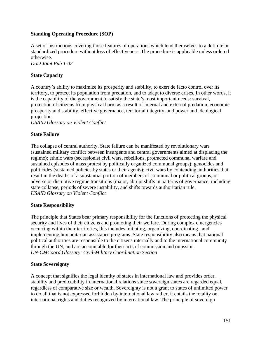## **Standing Operating Procedure (SOP)**

A set of instructions covering those features of operations which lend themselves to a definite or standardized procedure without loss of effectiveness. The procedure is applicable unless ordered otherwise.

*DoD Joint Pub 1-02* 

## **State Capacity**

A country's ability to maximize its prosperity and stability, to exert de facto control over its territory, to protect its population from predation, and to adapt to diverse crises. In other words, it is the capability of the government to satisfy the state's most important needs: survival, protection of citizens from physical harm as a result of internal and external predation, economic prosperity and stability, effective governance, territorial integrity, and power and ideological projection.

*USAID Glossary on Violent Conflict*

## **State Failure**

The collapse of central authority. State failure can be manifested by revolutionary wars (sustained military conflict between insurgents and central governments aimed at displacing the regime); ethnic wars (secessionist civil wars, rebellions, protracted communal warfare and sustained episodes of mass protest by politically organized communal groups); genocides and politicides (sustained policies by states or their agents); civil wars by contending authorities that result in the deaths of a substantial portion of members of communal or political groups; or adverse or disruptive regime transitions (major, abrupt shifts in patterns of governance, including state collapse, periods of severe instability, and shifts towards authoritarian rule. *USAID Glossary on Violent Conflict*

## **State Responsibility**

The principle that States bear primary responsibility for the functions of protecting the physical security and lives of their citizens and promoting their welfare. During complex emergencies occurring within their territories, this includes initiating, organizing, coordinating , and implementing humanitarian assistance programs. State responsibility also means that national political authorities are responsible to the citizens internally and to the international community through the UN, and are accountable for their acts of commission and omission. *UN-CMCoord Glossary: Civil-Military Coordination Section*

## **State Sovereignty**

A concept that signifies the legal identity of states in international law and provides order, stability and predictability in international relations since sovereign states are regarded equal, regardless of comparative size or wealth. Sovereignty is not a grant to states of unlimited power to do all that is not expressed forbidden by international law rather, it entails the totality on international rights and duties recognized by international law. The principle of sovereign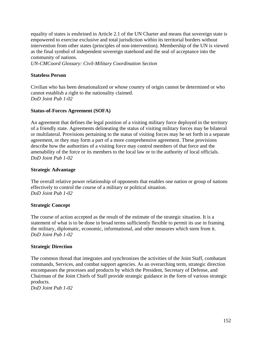equality of states is enshrined in Article 2.1 of the UN Charter and means that sovereign state is empowered to exercise exclusive and total jurisdiction within its territorial borders without intervention from other states (principles of non-intervention). Membership of the UN is viewed as the final symbol of independent sovereign statehood and the seal of acceptance into the community of nations.

*UN-CMCoord Glossary: Civil-Military Coordination Section* 

## **Stateless Person**

Civilian who has been denationalized or whose country of origin cannot be determined or who cannot establish a right to the nationality claimed. *DoD Joint Pub 1-02* 

## **Status-of-Forces Agreement (SOFA)**

An agreement that defines the legal position of a visiting military force deployed in the territory of a friendly state. Agreements delineating the status of visiting military forces may be bilateral or multilateral. Provisions pertaining to the status of visiting forces may be set forth in a separate agreement, or they may form a part of a more comprehensive agreement. These provisions describe how the authorities of a visiting force may control members of that force and the amenability of the force or its members to the local law or to the authority of local officials. *DoD Joint Pub 1-02*

## **Strategic Advantage**

The overall relative power relationship of opponents that enables one nation or group of nations effectively to control the course of a military or political situation. *DoD Joint Pub 1-02* 

## **Strategic Concept**

The course of action accepted as the result of the estimate of the strategic situation. It is a statement of what is to be done in broad terms sufficiently flexible to permit its use in framing the military, diplomatic, economic, informational, and other measures which stem from it. *DoD Joint Pub 1-02* 

## **Strategic Direction**

The common thread that integrates and synchronizes the activities of the Joint Staff, combatant commands, Services, and combat support agencies. As an overarching term, strategic direction encompasses the processes and products by which the President, Secretary of Defense, and Chairman of the Joint Chiefs of Staff provide strategic guidance in the form of various strategic products.

*DoD Joint Pub 1-02*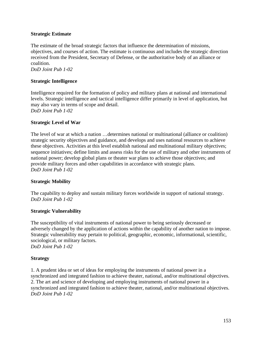## **Strategic Estimate**

The estimate of the broad strategic factors that influence the determination of missions, objectives, and courses of action. The estimate is continuous and includes the strategic direction received from the President, Secretary of Defense, or the authoritative body of an alliance or coalition.

*DoD Joint Pub 1-02* 

## **Strategic Intelligence**

Intelligence required for the formation of policy and military plans at national and international levels. Strategic intelligence and tactical intelligence differ primarily in level of application, but may also vary in terms of scope and detail. *DoD Joint Pub 1-02* 

## **Strategic Level of War**

The level of war at which a nation …determines national or multinational (alliance or coalition) strategic security objectives and guidance, and develops and uses national resources to achieve these objectives. Activities at this level establish national and multinational military objectives; sequence initiatives; define limits and assess risks for the use of military and other instruments of national power; develop global plans or theater war plans to achieve those objectives; and provide military forces and other capabilities in accordance with strategic plans. *DoD Joint Pub 1-02* 

## **Strategic Mobility**

The capability to deploy and sustain military forces worldwide in support of national strategy. *DoD Joint Pub 1-02* 

## **Strategic Vulnerability**

The susceptibility of vital instruments of national power to being seriously decreased or adversely changed by the application of actions within the capability of another nation to impose. Strategic vulnerability may pertain to political, geographic, economic, informational, scientific, sociological, or military factors. *DoD Joint Pub 1-02* 

## **Strategy**

1. A prudent idea or set of ideas for employing the instruments of national power in a synchronized and integrated fashion to achieve theater, national, and/or multinational objectives. 2. The art and science of developing and employing instruments of national power in a synchronized and integrated fashion to achieve theater, national, and/or multinational objectives. *DoD Joint Pub 1-02*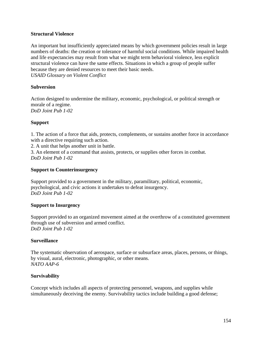## **Structural Violence**

An important but insufficiently appreciated means by which government policies result in large numbers of deaths: the creation or tolerance of harmful social conditions. While impaired health and life expectancies may result from what we might term behavioral violence, less explicit structural violence can have the same effects. Situations in which a group of people suffer because they are denied resources to meet their basic needs. *USAID Glossary on Violent Conflict*

#### **Subversion**

Action designed to undermine the military, economic, psychological, or political strength or morale of a regime. *DoD Joint Pub 1-02*

#### **Support**

1. The action of a force that aids, protects, complements, or sustains another force in accordance with a directive requiring such action.

2. A unit that helps another unit in battle.

3. An element of a command that assists, protects, or supplies other forces in combat. *DoD Joint Pub 1-02*

#### **Support to Counterinsurgency**

Support provided to a government in the military, paramilitary, political, economic, psychological, and civic actions it undertakes to defeat insurgency. *DoD Joint Pub 1-02* 

#### **Support to Insurgency**

Support provided to an organized movement aimed at the overthrow of a constituted government through use of subversion and armed conflict. *DoD Joint Pub 1-02* 

#### **Surveillance**

The systematic observation of aerospace, surface or subsurface areas, places, persons, or things, by visual, aural, electronic, photographic, or other means. *NATO AAP-6*

#### **Survivability**

Concept which includes all aspects of protecting personnel, weapons, and supplies while simultaneously deceiving the enemy. Survivability tactics include building a good defense;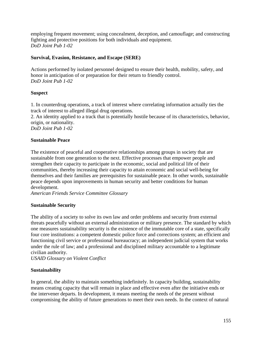employing frequent movement; using concealment, deception, and camouflage; and constructing fighting and protective positions for both individuals and equipment. *DoD Joint Pub 1-02* 

## **Survival, Evasion, Resistance, and Escape (SERE)**

Actions performed by isolated personnel designed to ensure their health, mobility, safety, and honor in anticipation of or preparation for their return to friendly control. *DoD Joint Pub 1-02* 

## **Suspect**

1. In counterdrug operations, a track of interest where correlating information actually ties the track of interest to alleged illegal drug operations.

2. An identity applied to a track that is potentially hostile because of its characteristics, behavior, origin, or nationality.

*DoD Joint Pub 1-02* 

## **Sustainable Peace**

The existence of peaceful and cooperative relationships among groups in society that are sustainable from one generation to the next. Effective processes that empower people and strengthen their capacity to participate in the economic, social and political life of their communities, thereby increasing their capacity to attain economic and social well-being for themselves and their families are prerequisites for sustainable peace. In other words, sustainable peace depends upon improvements in human security and better conditions for human development.

*American Friends Service Committee Glossary* 

## **Sustainable Security**

The ability of a society to solve its own law and order problems and security from external threats peacefully without an external administration or military presence. The standard by which one measures sustainability security is the existence of the immutable core of a state, specifically four core institutions: a competent domestic police force and corrections system; an efficient and functioning civil service or professional bureaucracy; an independent judicial system that works under the rule of law; and a professional and disciplined military accountable to a legitimate civilian authority.

*USAID Glossary on Violent Conflict* 

## **Sustainability**

In general, the ability to maintain something indefinitely. In capacity building, sustainability means creating capacity that will remain in place and effective even after the initiative ends or the intervener departs. In development, it means meeting the needs of the present without compromising the ability of future generations to meet their own needs. In the context of natural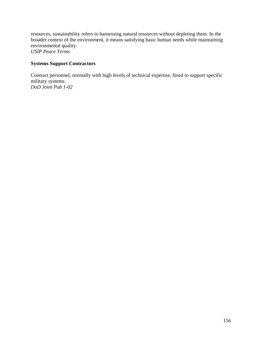resources, sustainability refers to harnessing natural resources without depleting them. In the broader context of the environment, it means satisfying basic human needs while maintaining environmental quality. *USIP Peace Terms*

#### **Systems Support Contractors**

Contract personnel, normally with high levels of technical expertise, hired to support specific military systems. *DoD Joint Pub 1-02*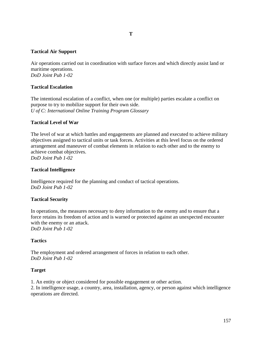#### **Tactical Air Support**

Air operations carried out in coordination with surface forces and which directly assist land or maritime operations. *DoD Joint Pub 1-02* 

#### **Tactical Escalation**

The intentional escalation of a conflict, when one (or multiple) parties escalate a conflict on purpose to try to mobilize support for their own side. *U of C: International Online Training Program Glossary*

#### **Tactical Level of War**

The level of war at which battles and engagements are planned and executed to achieve military objectives assigned to tactical units or task forces. Activities at this level focus on the ordered arrangement and maneuver of combat elements in relation to each other and to the enemy to achieve combat objectives. *DoD Joint Pub 1-02* 

#### **Tactical Intelligence**

Intelligence required for the planning and conduct of tactical operations. *DoD Joint Pub 1-02* 

#### **Tactical Security**

In operations, the measures necessary to deny information to the enemy and to ensure that a force retains its freedom of action and is warned or protected against an unexpected encounter with the enemy or an attack. *DoD Joint Pub 1-02* 

#### **Tactics**

The employment and ordered arrangement of forces in relation to each other. *DoD Joint Pub 1-02* 

#### **Target**

1. An entity or object considered for possible engagement or other action.

2. In intelligence usage, a country, area, installation, agency, or person against which intelligence operations are directed.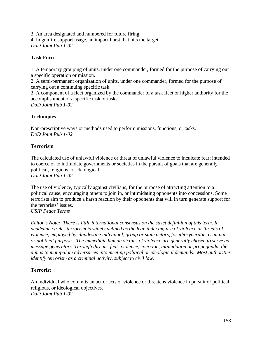3. An area designated and numbered for future firing. 4. In gunfire support usage, an impact burst that hits the target. *DoD Joint Pub 1-02* 

## **Task Force**

1. A temporary grouping of units, under one commander, formed for the purpose of carrying out a specific operation or mission.

2. A semi-permanent organization of units, under one commander, formed for the purpose of carrying out a continuing specific task.

3. A component of a fleet organized by the commander of a task fleet or higher authority for the accomplishment of a specific task or tasks.

*DoD Joint Pub 1-02* 

## **Techniques**

Non-prescriptive ways or methods used to perform missions, functions, or tasks. *DoD Joint Pub 1-02*

## **Terrorism**

The calculated use of unlawful violence or threat of unlawful violence to inculcate fear; intended to coerce or to intimidate governments or societies in the pursuit of goals that are generally political, religious, or ideological. *DoD Joint Pub 1-02* 

The use of violence, typically against civilians, for the purpose of attracting attention to a political cause, encouraging others to join in, or intimidating opponents into concessions. Some terrorists aim to produce a harsh reaction by their opponents that will in turn generate support for the terrorists' issues. *USIP Peace Terms* 

*Editor's Note: There is little international consensus on the strict definition of this term. In academic circles terrorism is widely defined as the fear-inducing use of violence or threats of violence, employed by clandestine individual, group or state actors, for idiosyncratic, criminal or political purposes. The immediate human victims of violence are generally chosen to serve as message generators. Through threats, fear, violence, coercion, intimidation or propaganda, the aim is to manipulate adversaries into meeting political or ideological demands. Most authorities identify terrorism as a criminal activity, subject to civil law.* 

## **Terrorist**

An individual who commits an act or acts of violence or threatens violence in pursuit of political, religious, or ideological objectives. *DoD Joint Pub 1-02*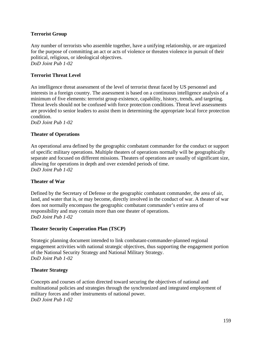## **Terrorist Group**

Any number of terrorists who assemble together, have a unifying relationship, or are organized for the purpose of committing an act or acts of violence or threaten violence in pursuit of their political, religious, or ideological objectives. *DoD Joint Pub 1-02* 

## **Terrorist Threat Level**

An intelligence threat assessment of the level of terrorist threat faced by US personnel and interests in a foreign country. The assessment is based on a continuous intelligence analysis of a minimum of five elements: terrorist group existence, capability, history, trends, and targeting. Threat levels should not be confused with force protection conditions. Threat level assessments are provided to senior leaders to assist them in determining the appropriate local force protection condition.

*DoD Joint Pub 1-02* 

## **Theater of Operations**

An operational area defined by the geographic combatant commander for the conduct or support of specific military operations. Multiple theaters of operations normally will be geographically separate and focused on different missions. Theaters of operations are usually of significant size, allowing for operations in depth and over extended periods of time. *DoD Joint Pub 1-02*

## **Theater of War**

Defined by the Secretary of Defense or the geographic combatant commander, the area of air, land, and water that is, or may become, directly involved in the conduct of war. A theater of war does not normally encompass the geographic combatant commander's entire area of responsibility and may contain more than one theater of operations. *DoD Joint Pub 1-02*

## **Theater Security Cooperation Plan (TSCP)**

Strategic planning document intended to link combatant-commander-planned regional engagement activities with national strategic objectives, thus supporting the engagement portion of the National Security Strategy and National Military Strategy. *DoD Joint Pub 1-02* 

## **Theater Strategy**

Concepts and courses of action directed toward securing the objectives of national and multinational policies and strategies through the synchronized and integrated employment of military forces and other instruments of national power. *DoD Joint Pub 1-02*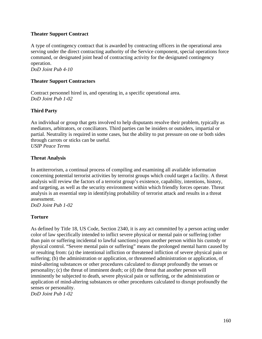## **Theater Support Contract**

A type of contingency contract that is awarded by contracting officers in the operational area serving under the direct contracting authority of the Service component, special operations force command, or designated joint head of contracting activity for the designated contingency operation.

*DoD Joint Pub 4-10* 

#### **Theater Support Contractors**

Contract personnel hired in, and operating in, a specific operational area. *DoD Joint Pub 1-02*

#### **Third Party**

An individual or group that gets involved to help disputants resolve their problem, typically as mediators, arbitrators, or conciliators. Third parties can be insiders or outsiders, impartial or partial. Neutrality is required in some cases, but the ability to put pressure on one or both sides through carrots or sticks can be useful. *USIP Peace Terms* 

#### **Threat Analysis**

In antiterrorism, a continual process of compiling and examining all available information concerning potential terrorist activities by terrorist groups which could target a facility. A threat analysis will review the factors of a terrorist group's existence, capability, intentions, history, and targeting, as well as the security environment within which friendly forces operate. Threat analysis is an essential step in identifying probability of terrorist attack and results in a threat assessment.

*DoD Joint Pub 1-02* 

#### **Torture**

As defined by Title 18, US Code, Section 2340, it is any act committed by a person acting under color of law specifically intended to inflict severe physical or mental pain or suffering (other than pain or suffering incidental to lawful sanctions) upon another person within his custody or physical control. "Severe mental pain or suffering" means the prolonged mental harm caused by or resulting from: (a) the intentional infliction or threatened infliction of severe physical pain or suffering; (b) the administration or application, or threatened administration or application, of mind-altering substances or other procedures calculated to disrupt profoundly the senses or personality; (c) the threat of imminent death; or (d) the threat that another person will imminently be subjected to death, severe physical pain or suffering, or the administration or application of mind-altering substances or other procedures calculated to disrupt profoundly the senses or personality.

*DoD Joint Pub 1-02*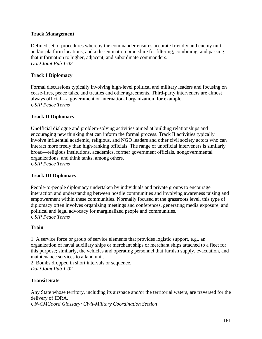## **Track Management**

Defined set of procedures whereby the commander ensures accurate friendly and enemy unit and/or platform locations, and a dissemination procedure for filtering, combining, and passing that information to higher, adjacent, and subordinate commanders. *DoD Joint Pub 1-02* 

## **Track I Diplomacy**

Formal discussions typically involving high-level political and military leaders and focusing on cease-fires, peace talks, and treaties and other agreements. Third-party interveners are almost always official—a government or international organization, for example. *USIP Peace Terms* 

## **Track II Diplomacy**

Unofficial dialogue and problem-solving activities aimed at building relationships and encouraging new thinking that can inform the formal process. Track II activities typically involve influential academic, religious, and NGO leaders and other civil society actors who can interact more freely than high-ranking officials. The range of unofficial interveners is similarly broad—religious institutions, academics, former government officials, nongovernmental organizations, and think tanks, among others. *USIP Peace Terms* 

## **Track III Diplomacy**

People-to-people diplomacy undertaken by individuals and private groups to encourage interaction and understanding between hostile communities and involving awareness raising and empowerment within these communities. Normally focused at the grassroots level, this type of diplomacy often involves organizing meetings and conferences, generating media exposure, and political and legal advocacy for marginalized people and communities. *USIP Peace Terms* 

## **Train**

1. A service force or group of service elements that provides logistic support, e.g., an organization of naval auxiliary ships or merchant ships or merchant ships attached to a fleet for this purpose; similarly, the vehicles and operating personnel that furnish supply, evacuation, and maintenance services to a land unit.

2. Bombs dropped in short intervals or sequence. *DoD Joint Pub 1-02* 

## **Transit State**

Any State whose territory, including its airspace and/or the territorial waters, are traversed for the delivery of IDRA. *UN-CMCoord Glossary: Civil-Military Coordination Section*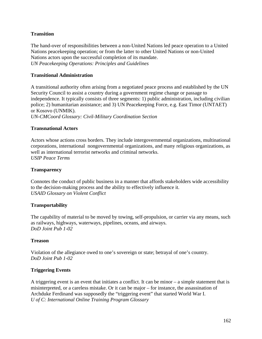## **Transition**

The hand-over of responsibilities between a non-United Nations led peace operation to a United Nations peacekeeping operation; or from the latter to other United Nations or non-United Nations actors upon the successful completion of its mandate. *UN Peacekeeping Operations: Principles and Guidelines* 

## **Transitional Administration**

A transitional authority often arising from a negotiated peace process and established by the UN Security Council to assist a country during a government regime change or passage to independence. It typically consists of three segments: 1) public administration, including civilian police; 2) humanitarian assistance; and 3) UN Peacekeeping Force, e.g. East Timor (UNTAET) or Kosovo (UNMIK). *UN-CMCoord Glossary: Civil-Military Coordination Section* 

#### **Transnational Actors**

Actors whose actions cross borders. They include intergovernmental organizations, multinational corporations, international nongovernmental organizations, and many religious organizations, as well as international terrorist networks and criminal networks. *USIP Peace Terms*

#### **Transparency**

Connotes the conduct of public business in a manner that affords stakeholders wide accessibility to the decision-making process and the ability to effectively influence it. *USAID Glossary on Violent Conflict*

#### **Transportability**

The capability of material to be moved by towing, self-propulsion, or carrier via any means, such as railways, highways, waterways, pipelines, oceans, and airways. *DoD Joint Pub 1-02* 

#### **Treason**

Violation of the allegiance owed to one's sovereign or state; betrayal of one's country. *DoD Joint Pub 1-02* 

#### **Triggering Events**

A triggering event is an event that initiates a conflict. It can be minor – a simple statement that is misinterpreted, or a careless mistake. Or it can be major – for instance, the assassination of Archduke Ferdinand was supposedly the "triggering event" that started World War I. *U of C: International Online Training Program Glossary*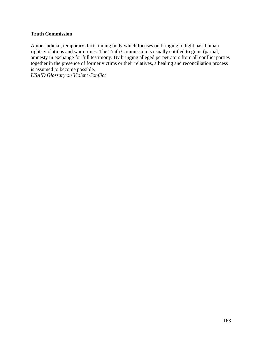## **Truth Commission**

A non-judicial, temporary, fact-finding body which focuses on bringing to light past human rights violations and war crimes. The Truth Commission is usually entitled to grant (partial) amnesty in exchange for full testimony. By bringing alleged perpetrators from all conflict parties together in the presence of former victims or their relatives, a healing and reconciliation process is assumed to become possible.

*USAID Glossary on Violent Conflict*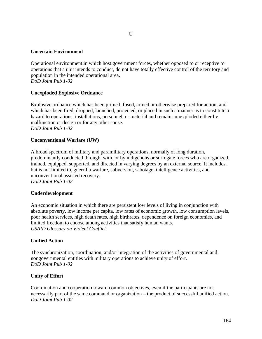#### **Uncertain Environment**

Operational environment in which host government forces, whether opposed to or receptive to operations that a unit intends to conduct, do not have totally effective control of the territory and population in the intended operational area. *DoD Joint Pub 1-02* 

#### **Unexploded Explosive Ordnance**

Explosive ordnance which has been primed, fused, armed or otherwise prepared for action, and which has been fired, dropped, launched, projected, or placed in such a manner as to constitute a hazard to operations, installations, personnel, or material and remains unexploded either by malfunction or design or for any other cause. *DoD Joint Pub 1-02* 

#### **Unconventional Warfare (UW)**

A broad spectrum of military and paramilitary operations, normally of long duration, predominantly conducted through, with, or by indigenous or surrogate forces who are organized, trained, equipped, supported, and directed in varying degrees by an external source. It includes, but is not limited to, guerrilla warfare, subversion, sabotage, intelligence activities, and unconventional assisted recovery. *DoD Joint Pub 1-02* 

#### **Underdevelopment**

An economic situation in which there are persistent low levels of living in conjunction with absolute poverty, low income per capita, low rates of economic growth, low consumption levels, poor health services, high death rates, high birthrates, dependence on foreign economies, and limited freedom to choose among activities that satisfy human wants. *USAID Glossary on Violent Conflict*

#### **Unified Action**

The synchronization, coordination, and/or integration of the activities of governmental and nongovernmental entities with military operations to achieve unity of effort. *DoD Joint Pub 1-02* 

#### **Unity of Effort**

Coordination and cooperation toward common objectives, even if the participants are not necessarily part of the same command or organization – the product of successful unified action. *DoD Joint Pub 1-02*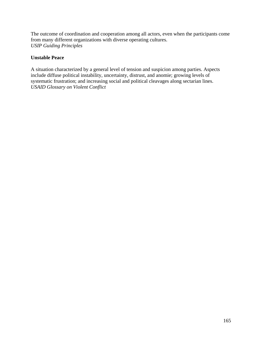The outcome of coordination and cooperation among all actors, even when the participants come from many different organizations with diverse operating cultures. *USIP Guiding Principles* 

## **Unstable Peace**

A situation characterized by a general level of tension and suspicion among parties. Aspects include diffuse political instability, uncertainty, distrust, and anomie; growing levels of systematic frustration; and increasing social and political cleavages along sectarian lines. *USAID Glossary on Violent Conflict*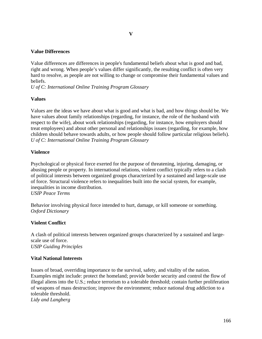#### **Value Differences**

Value differences are differences in people's fundamental beliefs about what is good and bad, right and wrong. When people's values differ significantly, the resulting conflict is often very hard to resolve, as people are not willing to change or compromise their fundamental values and beliefs.

*U of C: International Online Training Program Glossary* 

#### **Values**

Values are the ideas we have about what is good and what is bad, and how things should be. We have values about family relationships (regarding, for instance, the role of the husband with respect to the wife), about work relationships (regarding, for instance, how employers should treat employees) and about other personal and relationships issues (regarding, for example, how children should behave towards adults, or how people should follow particular religious beliefs). *U of C: International Online Training Program Glossary* 

#### **Violence**

Psychological or physical force exerted for the purpose of threatening, injuring, damaging, or abusing people or property. In international relations, violent conflict typically refers to a clash of political interests between organized groups characterized by a sustained and large-scale use of force. Structural violence refers to inequalities built into the social system, for example, inequalities in income distribution.

## *USIP Peace Terms*

Behavior involving physical force intended to hurt, damage, or kill someone or something. *Oxford Dictionary* 

#### **Violent Conflict**

A clash of political interests between organized groups characterized by a sustained and largescale use of force. *USIP Guiding Principles*

#### **Vital National Interests**

Issues of broad, overriding importance to the survival, safety, and vitality of the nation. Examples might include: protect the homeland; provide border security and control the flow of illegal aliens into the U.S.; reduce terrorism to a tolerable threshold; contain further proliferation of weapons of mass destruction; improve the environment; reduce national drug addiction to a tolerable threshold.

*Lidy and Langberg*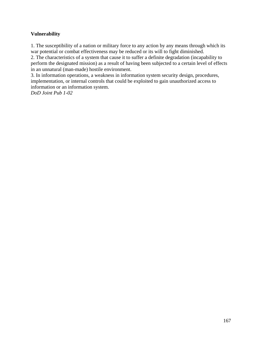## **Vulnerability**

1. The susceptibility of a nation or military force to any action by any means through which its war potential or combat effectiveness may be reduced or its will to fight diminished.

2. The characteristics of a system that cause it to suffer a definite degradation (incapability to perform the designated mission) as a result of having been subjected to a certain level of effects in an unnatural (man-made) hostile environment.

3. In information operations, a weakness in information system security design, procedures, implementation, or internal controls that could be exploited to gain unauthorized access to information or an information system.

*DoD Joint Pub 1-02*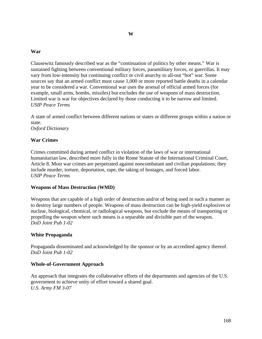#### **War**

Clausewitz famously described war as the "continuation of politics by other means." War is sustained fighting between conventional military forces, paramilitary forces, or guerrillas. It may vary from low-intensity but continuing conflict or civil anarchy to all-out "hot" war. Some sources say that an armed conflict must cause 1,000 or more reported battle deaths in a calendar year to be considered a war. Conventional war uses the arsenal of official armed forces (for example, small arms, bombs, missiles) but excludes the use of weapons of mass destruction. Limited war is war for objectives declared by those conducting it to be narrow and limited. *USIP Peace Terms* 

A state of armed conflict between different nations or states or different groups within a nation or state.

*Oxford Dictionary*

#### **War Crimes**

Crimes committed during armed conflict in violation of the laws of war or international humanitarian law, described more fully in the Rome Statute of the International Criminal Court, Article 8. Most war crimes are perpetrated against noncombatant and civilian populations; they include murder, torture, deportation, rape, the taking of hostages, and forced labor. *USIP Peace Terms* 

#### **Weapons of Mass Destruction (WMD)**

Weapons that are capable of a high order of destruction and/or of being used in such a manner as to destroy large numbers of people. Weapons of mass destruction can be high-yield explosives or nuclear, biological, chemical, or radiological weapons, but exclude the means of transporting or propelling the weapon where such means is a separable and divisible part of the weapon. *DoD Joint Pub 1-02* 

#### **White Propaganda**

Propaganda disseminated and acknowledged by the sponsor or by an accredited agency thereof. *DoD Joint Pub 1-02* 

#### **Whole-of-Government Approach**

An approach that integrates the collaborative efforts of the departments and agencies of the U.S. government to achieve unity of effort toward a shared goal. *U.S. Army FM 3-07*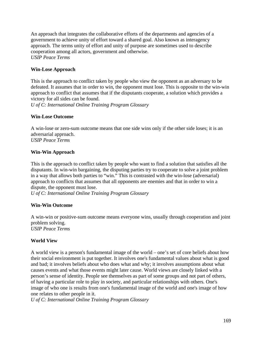An approach that integrates the collaborative efforts of the departments and agencies of a government to achieve unity of effort toward a shared goal. Also known as interagency approach. The terms unity of effort and unity of purpose are sometimes used to describe cooperation among all actors, government and otherwise. *USIP Peace Terms*

## **Win-Lose Approach**

This is the approach to conflict taken by people who view the opponent as an adversary to be defeated. It assumes that in order to win, the opponent must lose. This is opposite to the win-win approach to conflict that assumes that if the disputants cooperate, a solution which provides a victory for all sides can be found.

*U of C: International Online Training Program Glossary* 

## **Win-Lose Outcome**

A win-lose or zero-sum outcome means that one side wins only if the other side loses; it is an adversarial approach. *USIP Peace Terms*

## **Win-Win Approach**

This is the approach to conflict taken by people who want to find a solution that satisfies all the disputants. In win-win bargaining, the disputing parties try to cooperate to solve a joint problem in a way that allows both parties to "win." This is contrasted with the win-lose (adversarial) approach to conflicts that assumes that all opponents are enemies and that in order to win a dispute, the opponent must lose.

*U of C: International Online Training Program Glossary*

## **Win-Win Outcome**

A win-win or positive-sum outcome means everyone wins, usually through cooperation and joint problem solving. *USIP Peace Terms* 

## **World View**

A world view is a person's fundamental image of the world – one's set of core beliefs about how their social environment is put together. It involves one's fundamental values about what is good and bad; it involves beliefs about who does what and why; it involves assumptions about what causes events and what those events might later cause. World views are closely linked with a person's sense of identity. People see themselves as part of some groups and not part of others, of having a particular role to play in society, and particular relationships with others. One's image of who one is results from one's fundamental image of the world and one's image of how one relates to other people in it.

*U of C: International Online Training Program Glossary*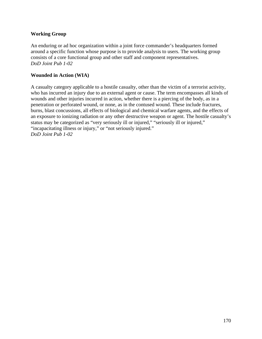## **Working Group**

An enduring or ad hoc organization within a joint force commander's headquarters formed around a specific function whose purpose is to provide analysis to users. The working group consists of a core functional group and other staff and component representatives. *DoD Joint Pub 1-02* 

## **Wounded in Action (WIA)**

A casualty category applicable to a hostile casualty, other than the victim of a terrorist activity, who has incurred an injury due to an external agent or cause. The term encompasses all kinds of wounds and other injuries incurred in action, whether there is a piercing of the body, as in a penetration or perforated wound, or none, as in the contused wound. These include fractures, burns, blast concussions, all effects of biological and chemical warfare agents, and the effects of an exposure to ionizing radiation or any other destructive weapon or agent. The hostile casualty's status may be categorized as "very seriously ill or injured," "seriously ill or injured," "incapacitating illness or injury," or "not seriously injured." *DoD Joint Pub 1-02*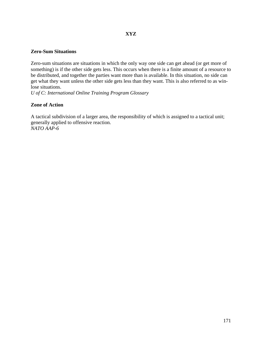## **XYZ**

#### **Zero-Sum Situations**

Zero-sum situations are situations in which the only way one side can get ahead (or get more of something) is if the other side gets less. This occurs when there is a finite amount of a resource to be distributed, and together the parties want more than is available. In this situation, no side can get what they want unless the other side gets less than they want. This is also referred to as winlose situations.

*U of C: International Online Training Program Glossary* 

## **Zone of Action**

A tactical subdivision of a larger area, the responsibility of which is assigned to a tactical unit; generally applied to offensive reaction. *NATO AAP-6*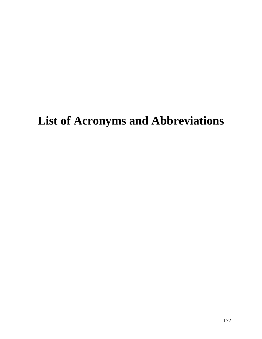# **List of Acronyms and Abbreviations**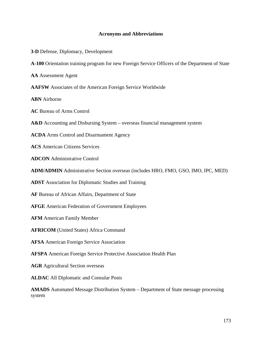## **Acronyms and Abbreviations**

| <b>3-D</b> Defense, Diplomacy, Development                                                            |
|-------------------------------------------------------------------------------------------------------|
| A-100 Orientation training program for new Foreign Service Officers of the Department of State        |
| <b>AA</b> Assessment Agent                                                                            |
| AAFSW Associates of the American Foreign Service Worldwide                                            |
| <b>ABN</b> Airborne                                                                                   |
| <b>AC Bureau of Arms Control</b>                                                                      |
| A&D Accounting and Disbursing System – overseas financial management system                           |
| <b>ACDA</b> Arms Control and Disarmament Agency                                                       |
| <b>ACS</b> American Citizens Services                                                                 |
| <b>ADCON</b> Administrative Control                                                                   |
| <b>ADM/ADMIN</b> Administrative Section overseas (includes HRO, FMO, GSO, IMO, IPC, MED)              |
| <b>ADST</b> Association for Diplomatic Studies and Training                                           |
| AF Bureau of African Affairs, Department of State                                                     |
| <b>AFGE</b> American Federation of Government Employees                                               |
| <b>AFM</b> American Family Member                                                                     |
| <b>AFRICOM</b> (United States) Africa Command                                                         |
| <b>AFSA</b> American Foreign Service Association                                                      |
| <b>AFSPA</b> American Foreign Service Protective Association Health Plan                              |
| <b>AGR</b> Agricultural Section overseas                                                              |
| <b>ALDAC</b> All Diplomatic and Consular Posts                                                        |
| <b>AMADS</b> Automated Message Distribution System – Department of State message processing<br>system |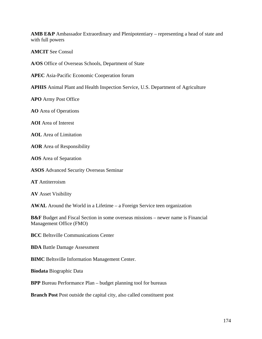**AMB E&P** Ambassador Extraordinary and Plenipotentiary – representing a head of state and with full powers

**AMCIT** See Consul

**A/OS** Office of Overseas Schools, Department of State

**APEC** Asia-Pacific Economic Cooperation forum

**APHIS** Animal Plant and Health Inspection Service, U.S. Department of Agriculture

**APO** Army Post Office

**AO** Area of Operations

**AOI** Area of Interest

**AOL** Area of Limitation

**AOR** Area of Responsibility

**AOS** Area of Separation

**ASOS** Advanced Security Overseas Seminar

**AT** Antiterroism

**AV** Asset Visibility

**AWAL** Around the World in a Lifetime – a Foreign Service teen organization

**B&F** Budget and Fiscal Section in some overseas missions – newer name is Financial Management Office (FMO)

**BCC** Beltsville Communications Center

**BDA** Battle Damage Assessment

**BIMC** Beltsville Information Management Center.

**Biodata** Biographic Data

**BPP** Bureau Performance Plan – budget planning tool for bureaus

**Branch Post** Post outside the capital city, also called constituent post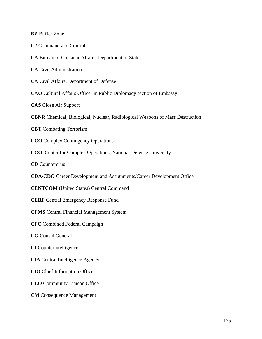## **BZ** Buffer Zone

| C <sub>2</sub> Command and Control                                                  |
|-------------------------------------------------------------------------------------|
| CA Bureau of Consular Affairs, Department of State                                  |
| <b>CA</b> Civil Administration                                                      |
| <b>CA</b> Civil Affairs, Department of Defense                                      |
| <b>CAO</b> Cultural Affairs Officer in Public Diplomacy section of Embassy          |
| <b>CAS</b> Close Air Support                                                        |
| <b>CBNR</b> Chemical, Biological, Nuclear, Radiological Weapons of Mass Destruction |
| <b>CBT</b> Combating Terrorism                                                      |
| <b>CCO</b> Complex Contingency Operations                                           |
| CCO Center for Complex Operations, National Defense University                      |
| <b>CD</b> Counterdrug                                                               |
| <b>CDA/CDO</b> Career Development and Assignments/Career Development Officer        |
| <b>CENTCOM</b> (United States) Central Command                                      |
| <b>CERF</b> Central Emergency Response Fund                                         |
| <b>CFMS</b> Central Financial Management System                                     |
| <b>CFC</b> Combined Federal Campaign                                                |
| <b>CG</b> Consul General                                                            |
| <b>CI</b> Counterintelligence                                                       |
| <b>CIA</b> Central Intelligence Agency                                              |
| <b>CIO</b> Chief Information Officer                                                |
| <b>CLO</b> Community Liaison Office                                                 |
| <b>CM</b> Consequence Management                                                    |
|                                                                                     |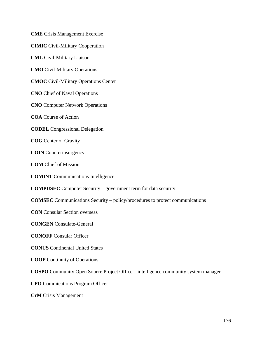**CME** Crisis Management Exercise

**CIMIC** Civil-Military Cooperation

**CML** Civil-Military Liaison

**CMO** Civil-Military Operations

**CMOC** Civil-Military Operations Center

**CNO** Chief of Naval Operations

**CNO** Computer Network Operations

**COA** Course of Action

**CODEL** Congressional Delegation

**COG** Center of Gravity

**COIN** Counterinsurgency

**COM** Chief of Mission

**COMINT** Communications Intelligence

**COMPUSEC** Computer Security – government term for data security

**COMSEC** Communications Security – policy/procedures to protect communications

**CON** Consular Section overseas

**CONGEN** Consulate-General

**CONOFF** Consular Officer

**CONUS** Continental United States

**COOP** Continuity of Operations

**COSPO** Community Open Source Project Office – intelligence community system manager

**CPO** Commications Program Officer

**CrM** Crisis Management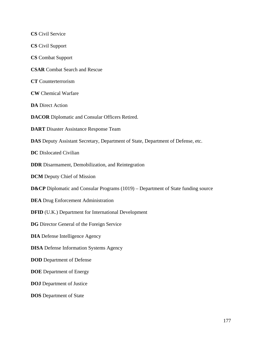| <b>CS</b> Civil Service                                                                      |
|----------------------------------------------------------------------------------------------|
| <b>CS</b> Civil Support                                                                      |
| <b>CS</b> Combat Support                                                                     |
| <b>CSAR</b> Combat Search and Rescue                                                         |
| <b>CT</b> Counterterrorism                                                                   |
| <b>CW</b> Chemical Warfare                                                                   |
| <b>DA</b> Direct Action                                                                      |
| <b>DACOR</b> Diplomatic and Consular Officers Retired.                                       |
| <b>DART</b> Disaster Assistance Response Team                                                |
| DAS Deputy Assistant Secretary, Department of State, Department of Defense, etc.             |
| <b>DC</b> Dislocated Civilian                                                                |
| <b>DDR</b> Disarmament, Demobilization, and Reintegration                                    |
| <b>DCM</b> Deputy Chief of Mission                                                           |
| <b>D&amp;CP</b> Diplomatic and Consular Programs (1019) - Department of State funding source |
| <b>DEA</b> Drug Enforcement Administration                                                   |
| <b>DFID</b> (U.K.) Department for International Development                                  |
| DG Director General of the Foreign Service                                                   |
| <b>DIA</b> Defense Intelligence Agency                                                       |
| <b>DISA</b> Defense Information Systems Agency                                               |
| <b>DOD</b> Department of Defense                                                             |
| <b>DOE</b> Department of Energy                                                              |
| <b>DOJ</b> Department of Justice                                                             |
| <b>DOS</b> Department of State                                                               |
|                                                                                              |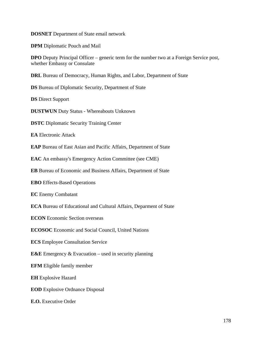**DOSNET** Department of State email network

**DPM** Diplomatic Pouch and Mail

**DPO** Deputy Principal Officer – generic term for the number two at a Foreign Service post, whether Embassy or Consulate

**DRL** Bureau of Democracy, Human Rights, and Labor, Department of State

**DS** Bureau of Diplomatic Security, Department of State

**DS** Direct Support

**DUSTWUN** Duty Status - Whereabouts Unknown

**DSTC** Diplomatic Security Training Center

**EA** Electronic Attack

**EAP** Bureau of East Asian and Pacific Affairs, Department of State

**EAC** An embassy's Emergency Action Committee (see CME)

**EB** Bureau of Economic and Business Affairs, Department of State

**EBO** Effects-Based Operations

**EC** Enemy Combatant

**ECA** Bureau of Educational and Cultural Affairs, Deparment of State

**ECON** Economic Section overseas

**ECOSOC** Economic and Social Council, United Nations

**ECS** Employee Consultation Service

**E&E** Emergency & Evacuation – used in security planning

**EFM** Eligible family member

**EH** Explosive Hazard

**EOD** Explosive Ordnance Disposal

**E.O.** Executive Order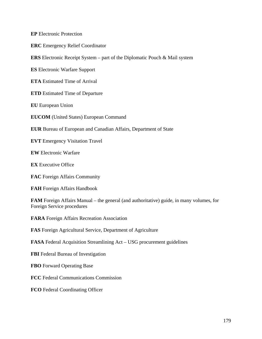**EP** Electronic Protection

**ERC** Emergency Relief Coordinator

**ERS** Electronic Receipt System – part of the Diplomatic Pouch & Mail system

**ES** Electronic Warfare Support

**ETA** Estimated Time of Arrival

**ETD** Estimated Time of Departure

**EU** European Union

**EUCOM** (United States) European Command

**EUR** Bureau of European and Canadian Affairs, Department of State

**EVT** Emergency Visitation Travel

**EW** Electronic Warfare

**EX** Executive Office

**FAC** Foreign Affairs Community

**FAH** Foreign Affairs Handbook

**FAM** Foreign Affairs Manual – the general (and authoritative) guide, in many volumes, for Foreign Service procedures

**FARA** Foreign Affairs Recreation Association

**FAS** Foreign Agricultural Service, Department of Agriculture

**FASA** Federal Acquisition Streamlining Act – USG procurement guidelines

**FBI** Federal Bureau of Investigation

**FBO** Forward Operating Base

**FCC** Federal Communications Commission

**FCO** Federal Coordinating Officer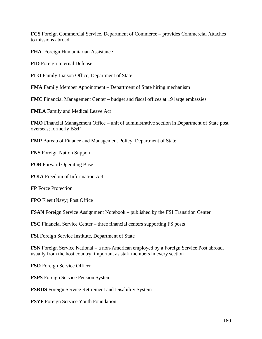**FCS** Foreign Commercial Service, Department of Commerce – provides Commercial Attaches to missions abroad

**FHA** Foreign Humanitarian Assistance

**FID** Foreign Internal Defense

**FLO** Family Liaison Office, Department of State

**FMA** Family Member Appointment – Department of State hiring mechanism

**FMC** Financial Management Center – budget and fiscal offices at 19 large embassies

**FMLA** Family and Medical Leave Act

**FMO** Financial Management Office – unit of administrative section in Department of State post overseas; formerly B&F

**FMP** Bureau of Finance and Management Policy, Department of State

**FNS** Foreign Nation Support

**FOB** Forward Operating Base

**FOIA** Freedom of Information Act

**FP** Force Protection

**FPO** Fleet (Navy) Post Office

**FSAN** Foreign Service Assignment Notebook – published by the FSI Transition Center

**FSC** Financial Service Center – three financial centers supporting FS posts

**FSI** Foreign Service Institute, Department of State

**FSN** Foreign Service National – a non-American employed by a Foreign Service Post abroad, usually from the host country; important as staff members in every section

**FSO** Foreign Service Officer

**FSPS** Foreign Service Pension System

**FSRDS** Foreign Service Retirement and Disability System

**FSYF** Foreign Service Youth Foundation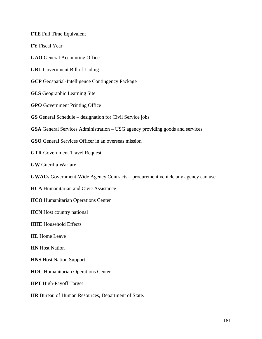**FTE** Full Time Equivalent

**FY** Fiscal Year

**GAO** General Accounting Office

- **GBL** Government Bill of Lading
- **GCP** Geospatial-Intelligence Contingency Package
- **GLS** Geographic Learning Site

**GPO** Government Printing Office

**GS** General Schedule – designation for Civil Service jobs

**GSA** General Services Administration – USG agency providing goods and services

**GSO** General Services Officer in an overseas mission

**GTR** Government Travel Request

**GW** Guerilla Warfare

**GWACs** Government-Wide Agency Contracts – procurement vehicle any agency can use

**HCA** Humanitarian and Civic Assistance

**HCO** Humanitarian Operations Center

**HCN** Host country national

**HHE** Household Effects

**HL** Home Leave

**HN** Host Nation

**HNS** Host Nation Support

**HOC** Humanitarian Operations Center

**HPT** High-Payoff Target

**HR** Bureau of Human Resources, Department of State.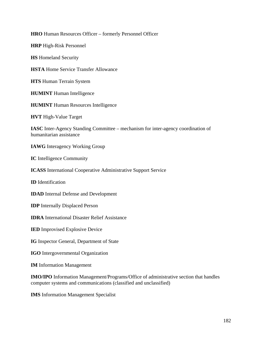### **HRO** Human Resources Officer – formerly Personnel Officer

**HRP** High-Risk Personnel

**HS** Homeland Security

**HSTA** Home Service Transfer Allowance

**HTS** Human Terrain System

**HUMINT** Human Intelligence

**HUMINT** Human Resources Intelligence

**HVT** High-Value Target

**IASC** Inter-Agency Standing Committee – mechanism for inter-agency coordination of humanitarian assistance

**IAWG** Interagency Working Group

**IC** Intelligence Community

**ICASS** International Cooperative Administrative Support Service

**ID** Identification

**IDAD** Internal Defense and Development

**IDP** Internally Displaced Person

**IDRA** International Disaster Relief Assistance

**IED** Improvised Explosive Device

**IG** Inspector General, Department of State

**IGO** Intergovernmental Organization

**IM** Information Management

**IMO/IPO** Information Management/Programs/Office of administrative section that handles computer systems and communications (classified and unclassified)

**IMS** Information Management Specialist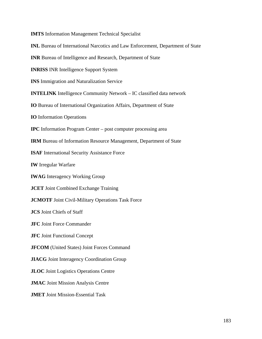**IMTS** Information Management Technical Specialist

**INL** Bureau of International Narcotics and Law Enforcement, Department of State

**INR** Bureau of Intelligence and Research, Department of State

**INRISS** INR Intelligence Support System

**INS** Immigration and Naturalization Service

**INTELINK** Intelligence Community Network – IC classified data network

**IO** Bureau of International Organization Affairs, Department of State

**IO** Information Operations

**IPC** Information Program Center – post computer processing area

**IRM** Bureau of Information Resource Management, Department of State

**ISAF** International Security Assistance Force

**IW** Irregular Warfare

**IWAG** Interagency Working Group

**JCET** Joint Combined Exchange Training

**JCMOTF** Joint Civil-Military Operations Task Force

**JCS** Joint Chiefs of Staff

**JFC** Joint Force Commander

**JFC** Joint Functional Concept

**JFCOM** (United States) Joint Forces Command

**JIACG** Joint Interagency Coordination Group

**JLOC** Joint Logistics Operations Centre

**JMAC** Joint Mission Analysis Centre

**JMET** Joint Mission-Essential Task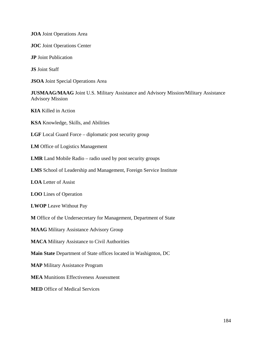**JOA** Joint Operations Area

**JOC** Joint Operations Center

**JP** Joint Publication

**JS** Joint Staff

**JSOA** Joint Special Operations Area

**JUSMAAG/MAAG** Joint U.S. Military Assistance and Advisory Mission/Military Assistance Advisory Mission

**KIA** Killed in Action

**KSA** Knowledge, Skills, and Abilities

**LGF** Local Guard Force – diplomatic post security group

**LM** Office of Logistics Management

**LMR** Land Mobile Radio – radio used by post security groups

**LMS** School of Leadership and Management, Foreign Service Institute

**LOA** Letter of Assist

**LOO** Lines of Operation

**LWOP** Leave Without Pay

**M** Office of the Undersecretary for Management, Department of State

**MAAG** Military Assistance Advisory Group

**MACA** Military Assistance to Civil Authorities

**Main State** Department of State offices located in Washignton, DC

**MAP** Military Assistance Program

**MEA** Munitions Effectiveness Assessment

**MED** Office of Medical Services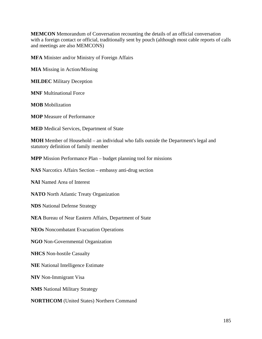**MEMCON** Memorandum of Conversation recounting the details of an official conversation with a foreign contact or official, traditionally sent by pouch (although most cable reports of calls and meetings are also MEMCONS)

**MFA** Minister and/or Ministry of Foreign Affairs

**MIA** Missing in Action/Missing

**MILDEC** Military Deception

**MNF** Multinational Force

**MOB** Mobilization

**MOP** Measure of Performance

**MED** Medical Services, Department of State

**MOH** Member of Household – an individual who falls outside the Department's legal and statutory definition of family member

**MPP** Mission Performance Plan – budget planning tool for missions

**NAS** Narcotics Affairs Section – embassy anti-drug section

**NAI** Named Area of Interest

**NATO** North Atlantic Treaty Organization

**NDS** National Defense Strategy

**NEA** Bureau of Near Eastern Affairs, Department of State

**NEOs** Noncombatant Evacuation Operations

**NGO** Non-Governmental Organization

**NHCS** Non-hostile Casualty

**NIE** National Intelligence Estimate

**NIV** Non-Immigrant Visa

**NMS** National Military Strategy

**NORTHCOM** (United States) Northern Command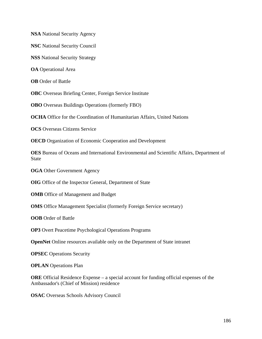**NSA** National Security Agency

**NSC** National Security Council

**NSS** National Security Strategy

**OA** Operational Area

**OB** Order of Battle

**OBC** Overseas Briefing Center, Foreign Service Institute

**OBO** Overseas Buildings Operations (formerly FBO)

**OCHA** Office for the Coordination of Humanitarian Affairs, United Nations

**OCS** Overseas Citizens Service

**OECD** Organization of Economic Cooperation and Development

**OES** Bureau of Oceans and International Environmental and Scientific Affairs, Department of State

**OGA** Other Government Agency

**OIG** Office of the Inspector General, Department of State

**OMB** Office of Management and Budget

**OMS** Office Management Specialist (formerly Foreign Service secretary)

**OOB** Order of Battle

**OP3** Overt Peacetime Psychological Operations Programs

**OpenNet** Online resources available only on the Department of State intranet

**OPSEC** Operations Security

**OPLAN** Operations Plan

**ORE** Official Residence Expense – a special account for funding official expenses of the Ambassador's (Chief of Mission) residence

**OSAC** Overseas Schools Advisory Council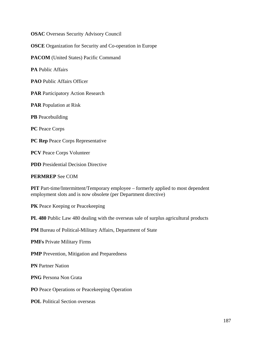**OSAC** Overseas Security Advisory Council

**OSCE** Organization for Security and Co-operation in Europe

**PACOM** (United States) Pacific Command

**PA** Public Affairs

**PAO** Public Affairs Officer

**PAR Participatory Action Research** 

**PAR** Population at Risk

**PB** Peacebuilding

**PC** Peace Corps

**PC Rep** Peace Corps Representative

**PCV** Peace Corps Volunteer

**PDD** Presidential Decision Directive

**PERMREP** See COM

**PIT** Part-time/Intermittent/Temporary employee – formerly applied to most dependent employment slots and is now obsolete (per Department directive)

**PK** Peace Keeping or Peacekeeping

**PL 480** Public Law 480 dealing with the overseas sale of surplus agricultural products

**PM** Bureau of Political-Military Affairs, Department of State

**PMFs** Private Military Firms

**PMP** Prevention, Mitigation and Preparedness

**PN** Partner Nation

**PNG** Persona Non Grata

**PO** Peace Operations or Peacekeeping Operation

**POL** Political Section overseas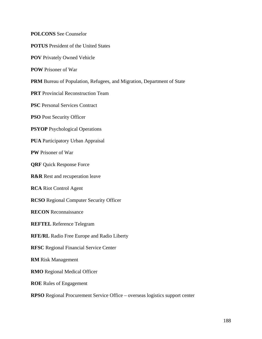#### **POLCONS** See Counselor

**POTUS** President of the United States

**POV** Privately Owned Vehicle

**POW** Prisoner of War

**PRM** Bureau of Population, Refugees, and Migration, Department of State

**PRT** Provincial Reconstruction Team

**PSC** Personal Services Contract

**PSO** Post Security Officer

**PSYOP** Psychological Operations

**PUA** Participatory Urban Appraisal

**PW** Prisoner of War

**QRF** Quick Response Force

**R&R** Rest and recuperation leave

**RCA** Riot Control Agent

**RCSO** Regional Computer Security Officer

**RECON** Reconnaissance

**REFTEL** Reference Telegram

**RFE/RL** Radio Free Europe and Radio Liberty

**RFSC** Regional Financial Service Center

**RM** Risk Management

**RMO** Regional Medical Officer

**ROE** Rules of Engagement

**RPSO** Regional Procurement Service Office – overseas logistics support center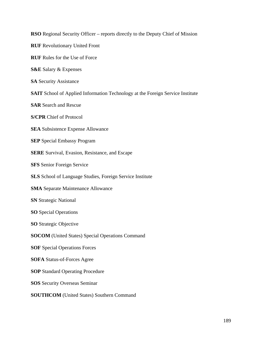| <b>RSO</b> Regional Security Officer – reports directly to the Deputy Chief of Mission |
|----------------------------------------------------------------------------------------|
| <b>RUF</b> Revolutionary United Front                                                  |
| <b>RUF</b> Rules for the Use of Force                                                  |
| <b>S&amp;E</b> Salary & Expenses                                                       |
| <b>SA</b> Security Assistance                                                          |
| <b>SAIT</b> School of Applied Information Technology at the Foreign Service Institute  |
| <b>SAR</b> Search and Rescue                                                           |
| <b>S/CPR</b> Chief of Protocol                                                         |
| <b>SEA</b> Subsistence Expense Allowance                                               |
| <b>SEP</b> Special Embassy Program                                                     |
| <b>SERE</b> Survival, Evasion, Resistance, and Escape                                  |
| <b>SFS</b> Senior Foreign Service                                                      |
| SLS School of Language Studies, Foreign Service Institute                              |
| <b>SMA</b> Separate Maintenance Allowance                                              |
| <b>SN</b> Strategic National                                                           |
| <b>SO</b> Special Operations                                                           |
| <b>SO</b> Strategic Objective                                                          |
| <b>SOCOM</b> (United States) Special Operations Command                                |
| <b>SOF</b> Special Operations Forces                                                   |
| <b>SOFA Status-of-Forces Agree</b>                                                     |
| <b>SOP</b> Standard Operating Procedure                                                |
| <b>SOS</b> Security Overseas Seminar                                                   |
| <b>SOUTHCOM</b> (United States) Southern Command                                       |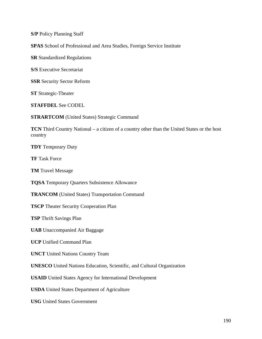**S/P** Policy Planning Staff

**SPAS** School of Professional and Area Studies, Foreign Service Institute

**SR** Standardized Regulations

**S/S** Executive Secretariat

**SSR** Security Sector Reform

**ST** Strategic-Theater

**STAFFDEL** See CODEL

**STRARTCOM** (United States) Strategic Command

**TCN** Third Country National – a citizen of a country other than the United States or the host country

**TDY** Temporary Duty

**TF** Task Force

**TM** Travel Message

**TQSA** Temporary Quarters Subsistence Allowance

**TRANCOM** (United States) Transportation Command

**TSCP** Theater Security Cooperation Plan

**TSP** Thrift Savings Plan

**UAB** Unaccompanied Air Baggage

**UCP** Unified Command Plan

**UNCT** United Nations Country Team

**UNESCO** United Nations Education, Scientific, and Cultural Organization

**USAID** United States Agency for International Development

**USDA** United States Department of Agriculture

**USG** United States Government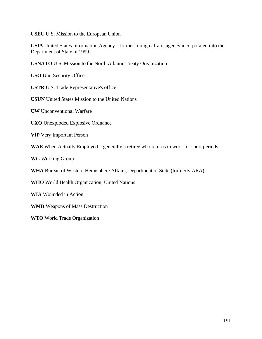**USEU** U.S. Mission to the European Union

**USIA** United States Information Agency – former foreign affairs agency incorporated into the Department of State in 1999

**USNATO** U.S. Mission to the North Atlantic Treaty Organization

**USO** Unit Security Officer

**USTR** U.S. Trade Representative's office

**USUN** United States Mission to the United Nations

**UW** Unconventional Warfare

**UXO** Unexploded Explosive Ordnance

**VIP** Very Important Person

**WAE** When Actually Employed – generally a retiree who returns to work for short periods

**WG** Working Group

**WHA** Bureau of Western Hemisphere Affairs, Department of State (formerly ARA)

**WHO** World Health Organization, United Nations

**WIA** Wounded in Action

**WMD** Weapons of Mass Destruction

**WTO** World Trade Organization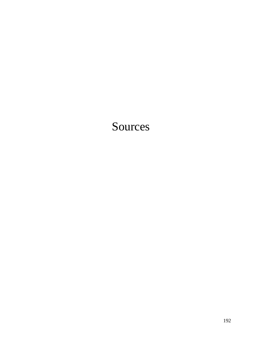# Sources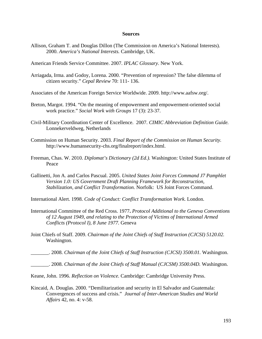#### **Sources**

Allison, Graham T. and Douglas Dillon (The Commission on America's National Interests). 2000. *America's National Interests.* Cambridge, UK.

American Friends Service Committee. 2007. *IPLAC Glossary*. New York.

Arriagada, Irma. and Godoy, Lorena. 2000. "Prevention of repression? The false dilemma of citizen security." *Cepal Review* 70: 111- 136.

Associates of the American Foreign Service Worldwide. 2009. [http://www.aafsw.org/.](http://www.aafsw.org/)

- Breton, Margot. 1994. "On the meaning of empowerment and empowerment-oriented social work practice." *Social Work with Groups* 17 (3): 23-37.
- Civil-Military Coordination Center of Excellence. 2007. *CIMIC Abbreviation Definition Guide.* Lonnekerveldweg, Netherlands
- Commission on Human Security. 2003. *Final Report of the Commission on Human Security.* http://www.humansecurity-chs.org/finalreport/index.html.
- Freeman, Chas. W. 2010. *Diplomat's Dictionary (2d Ed.).* Washington: United States Institute of Peace
- Gallinetti, Jon A. and Carlos Pascual. 2005. *United States Joint Forces Command J7 Pamphlet Version 1.0: US Government Draft Planning Framework for Reconstruction, Stabilization, and Conflict Transformation.* Norfolk: US Joint Forces Command.

International Alert. 1998. *Code of Conduct: Conflict Transformation Work.* London.

- International Committee of the Red Cross. 1977**.** *Protocol Additional to the Geneva Conventions of 12 August 1949, and relating to the Protection of Victims of International Armed Conflicts (Protocol I), 8 June 1977.* Geneva
- Joint Chiefs of Staff. 2009. *Chairman of the Joint Chiefs of Staff Instruction (CJCSI) 5120.02.* Washington.

\_\_\_\_\_\_\_. 2008. *Chairman of the Joint Chiefs of Staff Instruction (CJCSI) 3500.01.* Washington.

\_\_\_\_\_\_\_. 2008. *Chairman of the Joint Chiefs of Staff Manual (CJCSM) 3500.04D.* Washington.

Keane, John. 1996. *Reflection on Violence.* Cambridge: Cambridge University Press.

Kincaid, A. Douglas. 2000. "Demilitarization and security in El Salvador and Guatemala: Convergences of success and crisis." *Journal of Inter-American Studies and World Affairs* 42, no. 4: v-58.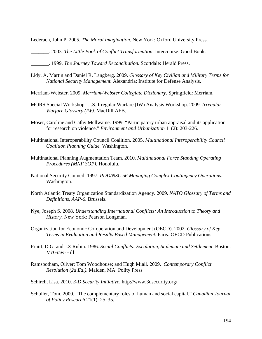Lederach, John P. 2005. *The Moral Imagination.* New York: Oxford University Press.

\_\_\_\_\_\_\_. 2003. *The Little Book of Conflict Transformation.* Intercourse: Good Book.

Lidy, A. Martin and Daniel R. Langberg. 2009. *Glossary of Key Civilian and Military Terms for National Security Management.* Alexandria: Institute for Defense Analysis.

Merriam-Webster. 2009. *Merriam-Webster Collegiate Dictionary*. Springfield: Merriam.

- MORS Special Workshop: U.S. Irregular Warfare (IW) Analysis Workshop. 2009. *Irregular Warfare Glossary (IW).* MacDill AFB.
- Moser, Caroline and Cathy Mcllwaine. 1999. "Participatory urban appraisal and its application for research on violence." *Environment and Urbanization* 11(2): 203-226.
- Multinational Interoperability Council Coalition. 2005. *Multinational Interoperability Council Coalition Planning Guide.* Washington.
- Multinational Planning Augmentation Team. 2010. *Multinational Force Standing Operating Procedures (MNF SOP).* Honolulu.
- National Security Council. 1997. *PDD/NSC 56 Managing Complex Contingency Operations.* Washington.
- North Atlantic Treaty Organization Standardization Agency. 2009. *NATO Glossary of Terms and Definitions, AAP-6.* Brussels.
- Nye, Joseph S. 2008. *Understanding International Conflicts: An Introduction to Theory and History.* New York: Pearson Longman.
- Organization for Economic Co-operation and Development (OECD). 2002. *Glossary of Key Terms in Evaluation and Results Based Management.* Paris: OECD Publications.
- Pruitt, D.G. and J.Z Rubin. 1986. *Social Conflicts: Escalation, Stalemate and Settlement.* Boston: McGraw-Hill
- Ramsbotham, Oliver; Tom Woodhouse; and Hugh Miall. 2009. *Contemporary Conflict Resolution (2d Ed.)*. Malden, MA: Polity Press

Schirch, Lisa. 2010. *3-D Security Initiative*. http://www.3dsecurity.org/.

Schuller, Tom. 2000. "The complementary roles of human and social capital." *Canadian Journal of Policy Research* 21(1): 25–35.

\_\_\_\_\_\_\_. 1999. *The Journey Toward Reconciliation.* Scottdale: Herald Press.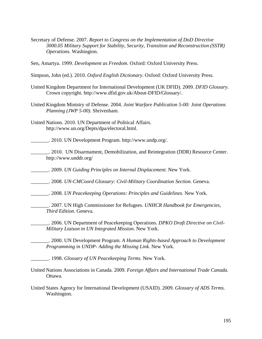Secretary of Defense. 2007. *Report to Congress on the Implementation of DoD Directive 3000.05 Military Support for Stability, Security, Transition and Reconstruction (SSTR) Operations.* Washington.

Sen, Amartya. 1999. *Development as Freedom.* Oxford: Oxford University Press.

- Simpson, John (ed.). 2010. *Oxford English Dictionary*. Oxford: Oxford University Press.
- United Kingdom Department for International Development (UK DFID). 2009. *DFID Glossary.*  Crown copyright. http://www.dfid.gov.uk/About-DFID/Glossary/.
- United Kingdom Ministry of Defense. 2004. *Joint Warfare Publication 5-00: Joint Operations Planning (JWP 5-00).* Shrivenham.
- United Nations. 2010. UN Department of Political Affairs. http://www.un.org/Depts/dpa/electoral.html.
- \_\_\_\_\_\_\_. 2010. UN Development Program. http://www.undp.org/.
- \_\_\_\_\_\_\_. 2010. UN Disarmament, Demobilization, and Reintegration (DDR) Resource Center. http*://*www.unddr.org/
- \_\_\_\_\_\_\_. 2009. *UN Guiding Principles on Internal Displacement*. New York.
- \_\_\_\_\_\_\_. 2008. *UN-CMCoord Glossary: Civil-Military Coordination Section.* Geneva.
- \_\_\_\_\_\_\_. 2008. *UN Peacekeeping Operations: Principles and Guidelines.* New York.
	- \_\_\_\_\_\_\_. 2007. UN High Commissioner for Refugees. *UNHCR Handbook for Emergencies, Third Edition.* Geneva.
	- \_\_\_\_\_\_\_. 2006. UN Department of Peacekeeping Operations. *DPKO Draft Directive on Civil-Military Liaison in UN Integrated Mission*. New York.

\_\_\_\_\_\_\_. 2000. UN Development Program. *A Human Rights-based Approach to Development Programming in UNDP- Adding the Missing Link.* New York.

- \_\_\_\_\_\_\_. 1998. *Glossary of UN Peacekeeping Terms.* New York.
- United Nations Associations in Canada. 2009. *Foreign Affairs and International Trade Canada.* Ottawa.
- United States Agency for International Development (USAID). 2009. *Glossary of ADS Terms.* Washington.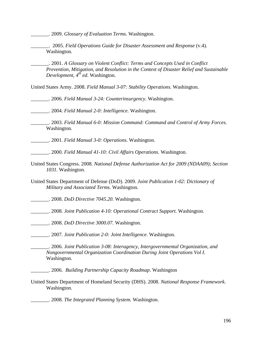\_\_\_\_\_\_\_. 2009. *Glossary of Evaluation Terms*. Washington.

\_\_\_\_\_\_\_. 2005. *Field Operations Guide for Disaster Assessment and Response* (v.4). Washington.

\_\_\_\_\_\_\_. 2001. *A Glossary on Violent Conflict: Terms and Concepts Used in Conflict Prevention, Mitigation, and Resolution in the Context of Disaster Relief and Sustainable Development, 4th ed*. Washington.

United States Army. 2008. *Field Manual 3-07: Stability Operations*. Washington.

\_\_\_\_\_\_\_. 2006. *Field Manual 3-24: Counterinsurgency.* Washington.

\_\_\_\_\_\_\_. 2004. *Field Manual 2-0: Intelligence.* Washington.

\_\_\_\_\_\_\_. 2003. *Field Manual 6-0: Mission Command: Command and Control of Army Forces.* Washington.

\_\_\_\_\_\_\_. 2001. *Field Manual 3-0: Operations*. Washington.

\_\_\_\_\_\_\_. 2000. *Field Manual 41-10: Civil Affairs Operations*. Washington.

- United States Congress. 2008. *National Defense Authorization Act for 2009 (NDAA09); Section 1031.* Washington.
- United States Department of Defense (DoD). 2009. *Joint Publication 1-02: Dictionary of Military and Associated Terms.* Washington.

\_\_\_\_\_\_\_. 2008. *DoD Directive 7045.20.* Washington.

\_\_\_\_\_\_\_. 2008. *Joint Publication 4-10: Operational Contract Support.* Washington.

\_\_\_\_\_\_\_. 2008. *DoD Directive 3000.07.* Washington.

\_\_\_\_\_\_\_. 2007. *Joint Publication 2-0: Joint Intelligence*. Washington.

\_\_\_\_\_\_\_. 2006. *Joint Publication 3-08: Interagency, Intergovernmental Organization, and Nongovernmental Organization Coordination During Joint Operations Vol I*. Washington.

\_\_\_\_\_\_\_. 2006. *Building Partnership Capacity Roadmap*. Washington

United States Department of Homeland Security (DHS). 2008. *National Response Framework.* Washington.

\_\_\_\_\_\_\_. 2008. *The Integrated Planning System.* Washington.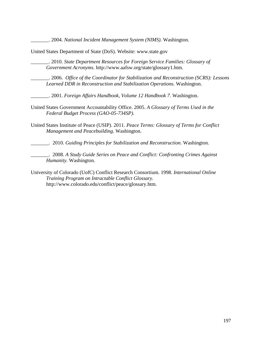\_\_\_\_\_\_\_. 2004. *National Incident Management System (NIMS).* Washington.

United States Department of State (DoS). Website: www.state.gov

\_\_\_\_\_\_\_. 2010. *State Department Resources for Foreign Service Families: Glossary of Government Acronyms*. http://www.aafsw.org/state/glossary1.htm.

\_\_\_\_\_\_\_. 2006. *Office of the Coordinator for Stabilization and Reconstruction (SCRS): Lessons Learned DDR in Reconstruction and Stabilization Operations*. Washington.

\_\_\_\_\_\_\_. 2001. *Foreign Affairs Handbook, Volume 12 Handbook 7.* Washington.

- United States Government Accountability Office. 2005. *A Glossary of Terms Used in the Federal Budget Process (GAO-05-734SP)*.
- United States Institute of Peace (USIP). 2011. *Peace Terms: Glossary of Terms for Conflict Management and Peacebuilding*. Washington.

\_\_\_\_\_\_\_. 2010. *Guiding Principles for Stabilization and Reconstruction.* Washington.

- \_\_\_\_\_\_\_. 2008. *A Study Guide Series on Peace and Conflict: Confronting Crimes Against Humanity.* Washington.
- University of Colorado (UofC) Conflict Research Consortium. 1998. *International Online Training Program on Intractable Conflict Glossary.* http://www.colorado.edu/conflict/peace/glossary.htm.